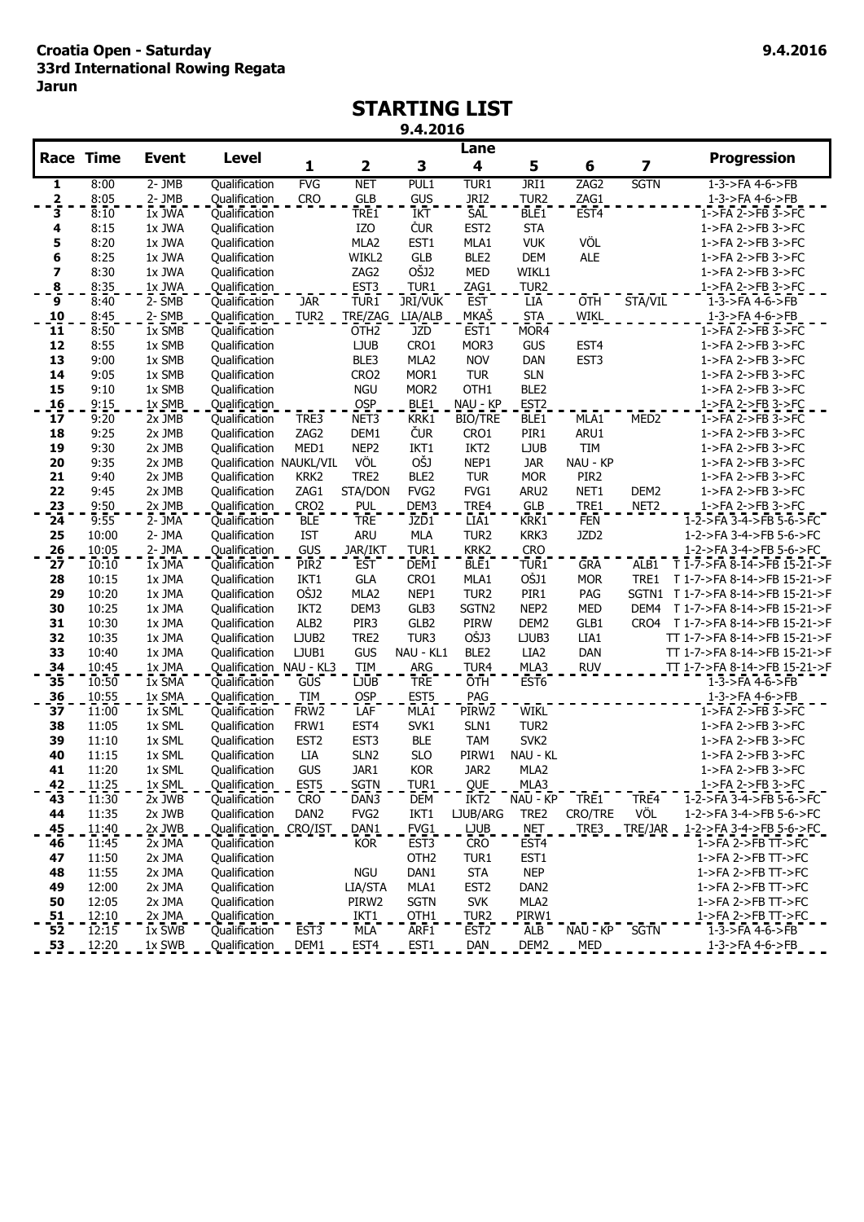# **STARTING LIST**

**9.4.2016**

|                  |                |                  |                                |                                |                          |                                    | Lane               |                         |                  |                  |                                                        |
|------------------|----------------|------------------|--------------------------------|--------------------------------|--------------------------|------------------------------------|--------------------|-------------------------|------------------|------------------|--------------------------------------------------------|
| <b>Race Time</b> |                | <b>Event</b>     | <b>Level</b>                   | 1                              | $\mathbf 2$              | 3                                  | 4                  | 5                       | 6                | 7                | <b>Progression</b>                                     |
| 1                | 8:00           | $2 - JMB$        | Qualification                  | <b>FVG</b>                     | <b>NET</b>               | PUL1                               | TUR1               | JRI1                    | ZAG2             | <b>SGTN</b>      | 1-3->FA 4-6->FB                                        |
| $\frac{2}{3}$    | 8:05           | $2 -$ JMB        | <b>Qualification</b>           | CRO                            | GLB<br>TRE1              | <b>GUS</b>                         | JRI <sub>2</sub>   | TUR <sub>2</sub>        | ZAG1             |                  | $1 - 3 - 5FA$ $4 - 6 - 5FB$                            |
|                  | 8:10           | $1x$ JWA         | Qualification                  |                                |                          | <b>IKT</b>                         | SAL                | BLE <sub>1</sub>        | EST <sub>4</sub> |                  | 1->FA 2->FB 3->FC                                      |
| 4                | 8:15           | 1x JWA           | Qualification                  |                                | IZO                      | <b>ČUR</b>                         | EST <sub>2</sub>   | <b>STA</b>              |                  |                  | 1->FA 2->FB 3->FC                                      |
| 5                | 8:20           | 1x JWA           | Qualification                  |                                | MLA2                     | EST1                               | MLA1               | <b>VUK</b>              | VÖL              |                  | 1->FA 2->FB 3->FC                                      |
| 6                | 8:25           | 1x JWA           | Qualification                  |                                | WIKL2                    | GLB<br>OŠJ2                        | BLE <sub>2</sub>   | <b>DEM</b>              | <b>ALE</b>       |                  | 1->FA 2->FB 3->FC                                      |
| 7                | 8:30           | 1x JWA<br>1x JWA | Qualification                  |                                | ZAG2                     |                                    | <b>MED</b>         | WIKL1                   |                  |                  | 1->FA 2->FB 3->FC                                      |
| $\frac{8}{9}$    | 8:35<br>8:40   | $2 - 5MB$        | Qualification<br>Qualification | <b>JAR</b>                     | EST <sub>3</sub><br>TUR1 | TUR <sub>1</sub><br><b>JRI/VUK</b> | ZAG1<br><b>EST</b> | TUR <sub>2</sub><br>LĪĀ | <b>OTH</b>       | STA/VIL          | 1->FA 2->FB 3->FC<br>1-3->FA 4-6->FB                   |
| 10               | 8:45           | 2- SMB           | Qualification                  | TUR <sub>2</sub>               | TRE/ZAG                  | LIA/ALB                            | <u>MKAŠ</u>        | <b>STA</b>              | <b>WIKL</b>      |                  | $1 - 3 - \geq$ FA $4 - 6 - \geq$ FB                    |
| $\overline{11}$  | 8:50           | 1x SMB           | Qualification                  |                                | OTH <sub>2</sub>         | JZD                                | EST <sub>1</sub>   | MOR <sub>4</sub>        |                  |                  | 1->FA 2->FB 3->FC                                      |
| 12               | 8:55           | 1x SMB           | Qualification                  |                                | <b>LJUB</b>              | CRO1                               | MOR3               | <b>GUS</b>              | EST <sub>4</sub> |                  | 1->FA 2->FB 3->FC                                      |
| 13               | 9:00           | 1x SMB           | Qualification                  |                                | BLE3                     | MLA2                               | <b>NOV</b>         | DAN                     | EST <sub>3</sub> |                  | 1->FA 2->FB 3->FC                                      |
| 14               | 9:05           | 1x SMB           | Qualification                  |                                | CRO <sub>2</sub>         | MOR1                               | <b>TUR</b>         | <b>SLN</b>              |                  |                  | 1->FA 2->FB 3->FC                                      |
| 15               | 9:10           | 1x SMB           | Qualification                  |                                | <b>NGU</b>               | MOR <sub>2</sub>                   | OTH <sub>1</sub>   | BLE2                    |                  |                  | 1->FA 2->FB 3->FC                                      |
| 16               | 9:15           | 1x SMB           | Qualification                  |                                | <b>OSP</b>               | BLE1                               | NAU - KP           | EST <sub>2</sub>        |                  |                  | 1->FA 2->FB 3->FC                                      |
| 17               | 9:20           | 2x JMB           | Qualification                  | TRE3                           | NET <sub>3</sub>         | $\overline{\text{K}RK1}$           | <b>BIO/TRE</b>     | BLE <sub>1</sub>        | MLA <sub>1</sub> | MED <sub>2</sub> | 1->FA 2->FB 3->FC                                      |
| 18               | 9:25           | 2x JMB           | Qualification                  | ZAG2                           | DEM1                     | <b>ČUR</b>                         | CRO1               | PIR1                    | ARU1             |                  | 1->FA 2->FB 3->FC                                      |
| 19               | 9:30           | 2x JMB           | Qualification                  | MED1                           | NEP <sub>2</sub>         | IKT1                               | IKT <sub>2</sub>   | <b>LJUB</b>             | <b>TIM</b>       |                  | 1->FA 2->FB 3->FC                                      |
| 20               | 9:35           | 2x JMB           | Qualification NAUKL/VIL        |                                | VÖL                      | OŠJ                                | NEP1               | <b>JAR</b>              | NAU - KP         |                  | 1->FA 2->FB 3->FC                                      |
| 21               | 9:40           | 2x JMB           | Qualification                  | KRK <sub>2</sub>               | TRE2                     | BLE2                               | <b>TUR</b>         | <b>MOR</b>              | PIR2             |                  | 1->FA 2->FB 3->FC                                      |
| 22               | 9:45           | 2x JMB           | Qualification                  | ZAG1                           | STA/DON                  | FVG <sub>2</sub>                   | FVG1               | ARU2                    | NET1             | DEM2             | 1->FA 2->FB 3->FC                                      |
| 23               | 9:50           | 2x JMB           | Qualification                  | CRO <sub>2</sub>               | <b>PUL</b>               | DEM3                               | TRE4               | <b>GLB</b>              | TRE1             | NET <sub>2</sub> | 1->FA 2->FB 3->FC                                      |
| 24               | 9:55           | 2- JMA           | Qualification                  | <b>BLE</b>                     | <b>TRE</b>               | JZD1                               | LIA <sub>1</sub>   | KRK1                    | <b>FEN</b>       |                  | $1 - 2 - 5FA$ 3-4- $>FB$ 5-6- $>FC$                    |
| 25               | 10:00<br>10:05 | 2- JMA           | Qualification                  | <b>IST</b>                     | <b>ARU</b>               | <b>MLA</b>                         | TUR <sub>2</sub>   | KRK3                    | JZD <sub>2</sub> |                  | 1-2->FA 3-4->FB 5-6->FC                                |
| 26<br>27         | 10:10          | 2- JMA<br>1x JMA | Qualification<br>Qualification | GUS<br>PIR <sub>2</sub>        | JAR/IKT<br><b>EST</b>    | TUR1<br>DEM1                       | KRK2<br>BLE1       | <b>CRO</b><br>TUR1      | <b>GRA</b>       | ALB1             | 1-2->FA 3-4->FB 5-6->FC<br>T 1-7->FA 8-14->FB 15-21->F |
| 28               | 10:15          | 1x JMA           | Qualification                  | IKT1                           | <b>GLA</b>               | CRO1                               | MLA1               | OŠJ1                    | <b>MOR</b>       | TRE1             | T 1-7->FA 8-14->FB 15-21->F                            |
| 29               | 10:20          | 1x JMA           | Qualification                  | OŠJ2                           | MLA <sub>2</sub>         | NEP1                               | TUR <sub>2</sub>   | PIR1                    | PAG              |                  | SGTN1 T 1-7->FA 8-14->FB 15-21->F                      |
| 30               | 10:25          | 1x JMA           | Qualification                  | IKT <sub>2</sub>               | DEM3                     | GLB3                               | SGTN2              | NEP <sub>2</sub>        | <b>MED</b>       | DEM4             | T 1-7->FA 8-14->FB 15-21->F                            |
| 31               | 10:30          | 1x JMA           | Qualification                  | ALB <sub>2</sub>               | PIR <sub>3</sub>         | GLB2                               | PIRW               | DEM2                    | GLB1             | CRO4             | T 1-7->FA 8-14->FB 15-21->F                            |
| 32               | 10:35          | 1x JMA           | Qualification                  | LJUB2                          | TRE2                     | TUR3                               | <b>OŠJ3</b>        | LJUB3                   | LIA1             |                  | TT 1-7->FA 8-14->FB 15-21->F                           |
| 33               | 10:40          | 1x JMA           | Qualification                  | LJUB1                          | GUS                      | NAU - KL1                          | BLE <sub>2</sub>   | LIA2                    | DAN              |                  | TT 1-7->FA 8-14->FB 15-21->F                           |
| 34               | 10:45          | 1x JMA           | Qualification NAU - KL3        |                                | TIM                      | ARG                                | TUR4               | MLA3                    | <b>RUV</b>       |                  | TT 1-7->FA 8-14->FB 15-21->F                           |
| 35               | 10:50          | 1x SMA           | Qualification                  | GUS                            | <b>LJUB</b>              | <b>TRE</b>                         | OTH                | EST <sub>6</sub>        |                  |                  | $1 - 3 - 5 = A$ 4-6- $>$ FB                            |
| 36               | 10:55          | 1x SMA           | Qualification                  | <b>TIM</b>                     | <b>OSP</b>               | EST <sub>5</sub>                   | PAG                |                         |                  |                  | $1 - 3 - 5 = A$ 4-6- $>$ FB                            |
| 37               | 11:00          | 1x SML           | Qualification                  | FRW <sub>2</sub>               | LAF                      | MLA1                               | PIRW <sub>2</sub>  | <b>WIKL</b>             |                  |                  | 1->FA 2->FB 3->FC                                      |
| 38               | 11:05          | 1x SML           | Qualification                  | FRW1                           | EST <sub>4</sub>         | SVK1                               | SLN1               | TUR <sub>2</sub>        |                  |                  | 1->FA 2->FB 3->FC                                      |
| 39               | 11:10          | 1x SML           | Qualification                  | EST <sub>2</sub>               | EST <sub>3</sub>         | <b>BLE</b>                         | <b>TAM</b>         | SVK <sub>2</sub>        |                  |                  | 1->FA 2->FB 3->FC                                      |
| 40               | 11:15          | 1x SML           | Qualification                  | LIA                            | SLN <sub>2</sub>         | <b>SLO</b>                         | PIRW1              | NAU - KL                |                  |                  | 1->FA 2->FB 3->FC                                      |
| 41<br>42         | 11:20          | 1x SML           | Qualification                  | GUS                            | JAR1                     | <b>KOR</b>                         | JAR2               | MLA2                    |                  |                  | 1->FA 2->FB 3->FC                                      |
| 43               | 11:25<br>11:30 | 1x SML<br>2x JWB | Qualification<br>Qualification | EST <sub>5</sub><br><b>CRO</b> | <b>SGTN</b><br>DAN3      | TUR1<br><b>DEM</b>                 | QUE<br>IKT2        | MLA3<br>NAU - KP        | TRE1             | TRE4             | 1->FA 2->FB 3->FC<br>1-2->FA 3-4->FB 5-6->FC           |
| 44               | 11:35          | 2x JWB           | Qualification                  | DAN <sub>2</sub>               | FVG <sub>2</sub>         | IKT1                               | LJUB/ARG           | TRE2                    | CRO/TRE          | VÖL              | 1-2->FA 3-4->FB 5-6->FC                                |
| 45               | 11:40          | $2x$ JWB         | <b>Qualification</b>           | CRO/IST                        | DAN <sub>1</sub>         | FVG1                               | LJUB               | NET.                    | <b>TRE3</b>      | TRE/JAR          | $1 - 2 - 5FA$ 3-4- $>$ FB 5-6- $>$ FC                  |
| 46               | 11:45          | 2x JMA           | Qualification                  |                                | <b>KOR</b>               | EST <sub>3</sub>                   | <b>CRO</b>         | EST <sub>4</sub>        |                  |                  | 1->FA 2->FB TT->FC                                     |
| 47               | 11:50          | 2x JMA           | Qualification                  |                                |                          | OTH <sub>2</sub>                   | TUR1               | EST1                    |                  |                  | 1->FA 2->FB TT->FC                                     |
| 48               | 11:55          | 2x JMA           | Qualification                  |                                | <b>NGU</b>               | DAN <sub>1</sub>                   | <b>STA</b>         | <b>NEP</b>              |                  |                  | 1->FA 2->FB TT->FC                                     |
| 49               | 12:00          | 2x JMA           | Qualification                  |                                | LIA/STA                  | MLA1                               | EST <sub>2</sub>   | DAN <sub>2</sub>        |                  |                  | 1->FA 2->FB TT->FC                                     |
| 50               | 12:05          | 2x JMA           | Qualification                  |                                | PIRW2                    | <b>SGTN</b>                        | <b>SVK</b>         | MLA2                    |                  |                  | 1->FA 2->FB TT->FC                                     |
| 51               | 12:10          | 2x JMA           | Qualification                  |                                | IKT <sub>1</sub>         | OTH <sub>1</sub>                   | TUR <sub>2</sub>   | PIRW1                   |                  |                  | $1$ ->FA 2->FB TT->FC                                  |
| 52               | 12:15          | 1x SWB           | Qualification                  | EST <sub>3</sub>               | MLA                      | ARF1                               | EST <sub>2</sub>   | <b>ALB</b>              | Nau - Kp         | <b>SGTN</b>      | 1-3->FA 4-6->FB                                        |
| 53               | 12:20          | $1x$ SWB         | Qualification                  | DEM <sub>1</sub>               | EST <sub>4</sub>         | EST1                               | DAN                | DEM <sub>2</sub>        | MED              |                  | $1 - 3 - 5 = A$ 4-6- $>$ FB                            |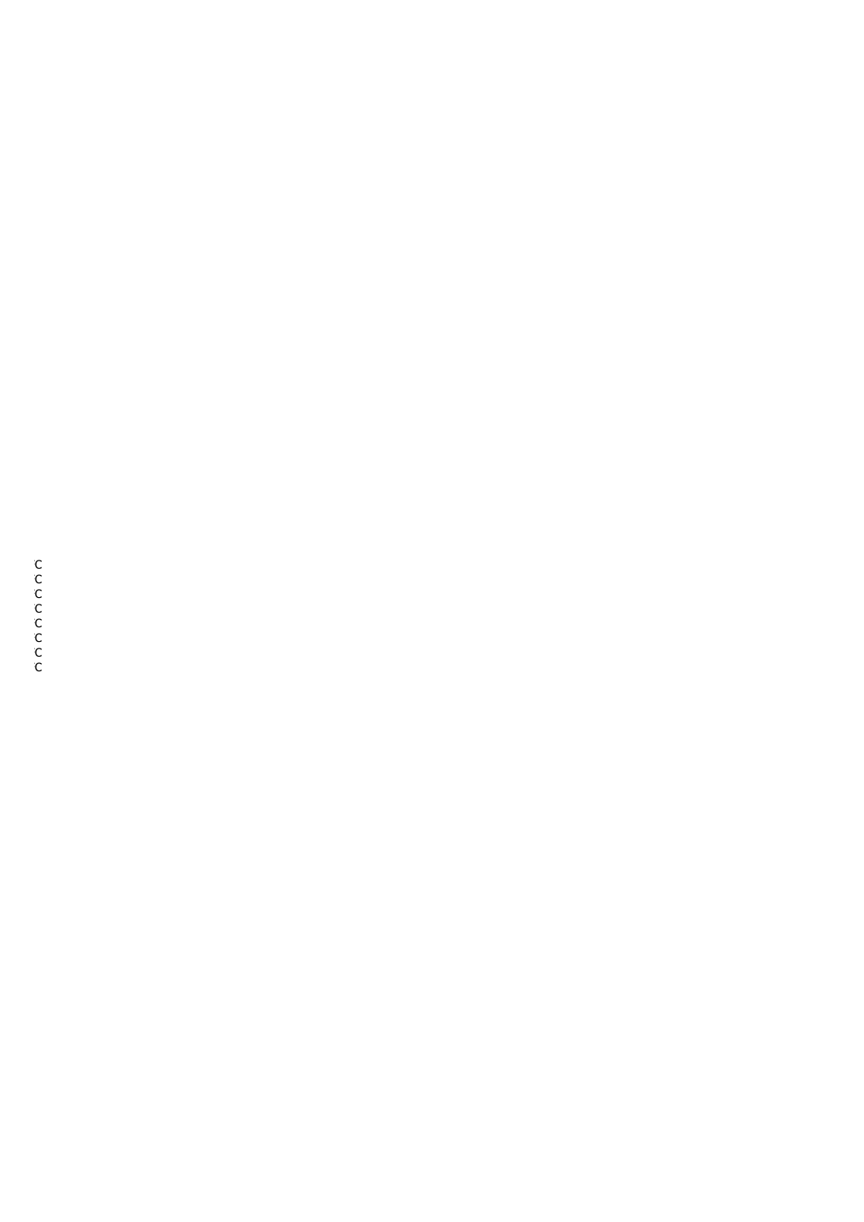$T$   $-C$  $T$   $-C$  $T$   $-C$  $T$   $-C$  $T$   $-C$  $T$   $-C$  $T$   $-C$  $T$   $-C$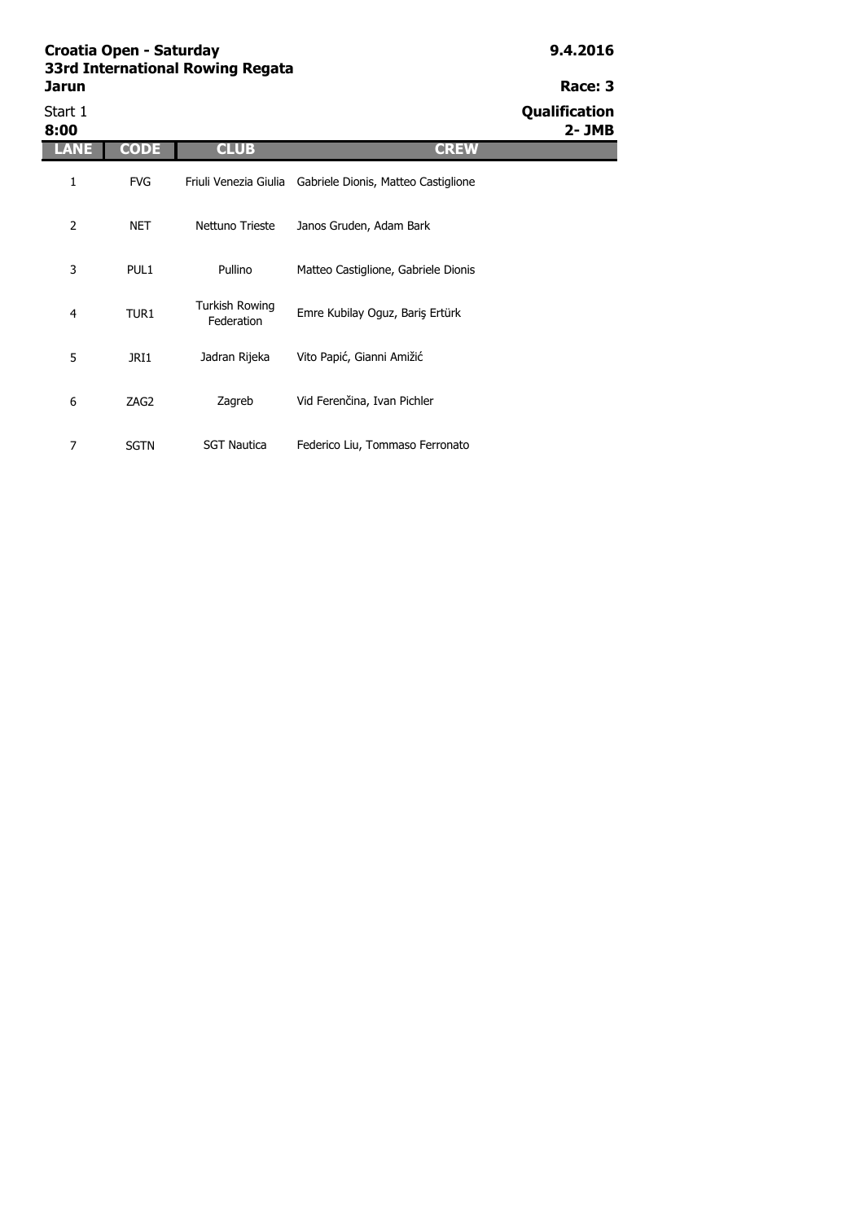| 33ra International Kowing Kegata |               |  |  |
|----------------------------------|---------------|--|--|
| Jarun                            | Race: 3       |  |  |
| Start 1                          | Qualification |  |  |

| Start 1<br>8:00 |             |                              |                                     | Qualification<br>$2 - JMB$ |
|-----------------|-------------|------------------------------|-------------------------------------|----------------------------|
| LANE            | <b>CODE</b> | <b>CLUB</b>                  | <b>CREW</b>                         |                            |
| 1               | <b>FVG</b>  | Friuli Venezia Giulia        | Gabriele Dionis, Matteo Castiglione |                            |
| $\overline{2}$  | <b>NET</b>  | Nettuno Trieste              | Janos Gruden, Adam Bark             |                            |
| 3               | PUL1        | Pullino                      | Matteo Castiglione, Gabriele Dionis |                            |
| 4               | TUR1        | Turkish Rowing<br>Federation | Emre Kubilay Oguz, Bariş Ertürk     |                            |
| 5               | JRI1        | Jadran Rijeka                | Vito Papić, Gianni Amižić           |                            |
| 6               | ZAG2        | Zagreb                       | Vid Ferenčina, Ivan Pichler         |                            |
| 7               | <b>SGTN</b> | <b>SGT Nautica</b>           | Federico Liu, Tommaso Ferronato     |                            |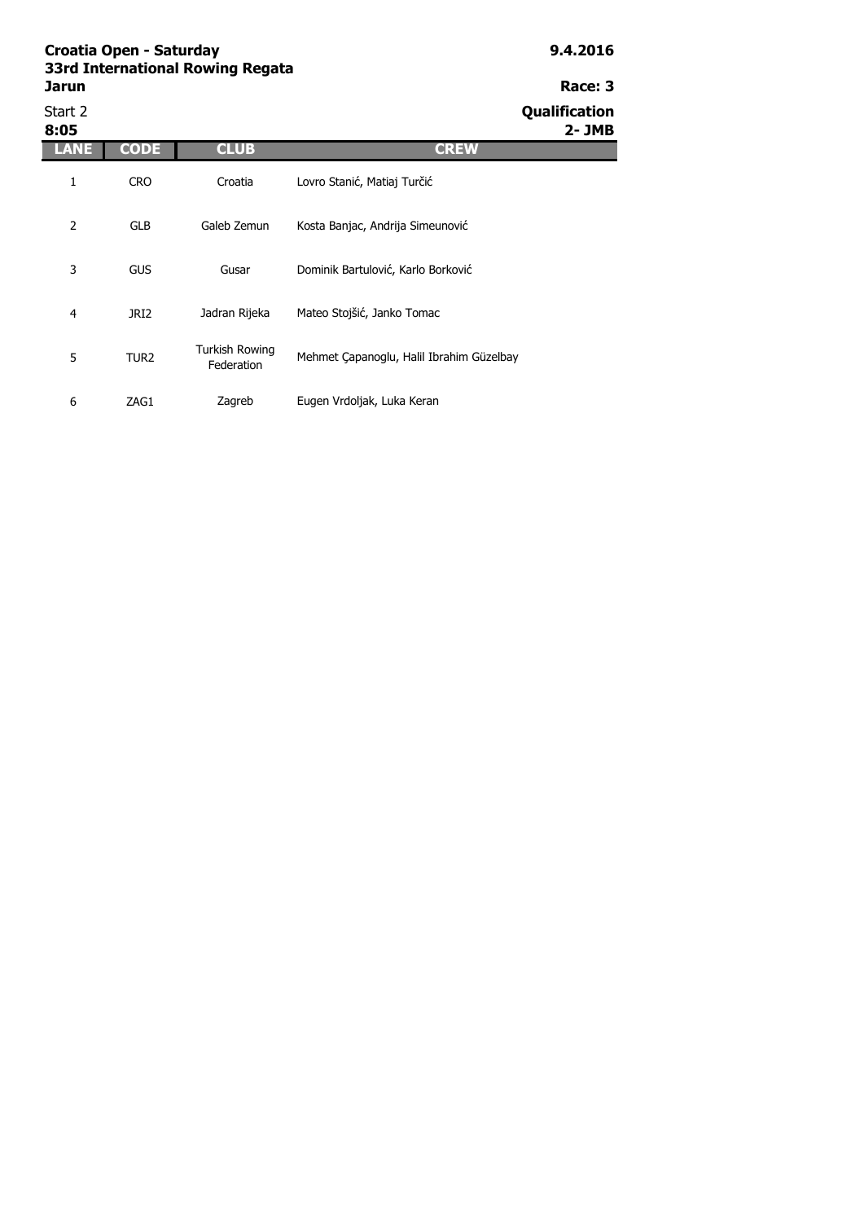| Start 2<br>8:05 |                  |                              |                                          | Qualification<br>$2 - JMB$ |
|-----------------|------------------|------------------------------|------------------------------------------|----------------------------|
| LANE            | <b>CODE</b>      | <b>CLUB</b>                  | <b>CREW</b>                              |                            |
| 1               | <b>CRO</b>       | Croatia                      | Lovro Stanić, Matiaj Turčić              |                            |
| 2               | <b>GLB</b>       | Galeb Zemun                  | Kosta Banjac, Andrija Simeunović         |                            |
| 3               | <b>GUS</b>       | Gusar                        | Dominik Bartulović, Karlo Borković       |                            |
| 4               | JRI <sub>2</sub> | Jadran Rijeka                | Mateo Stojšić, Janko Tomac               |                            |
| 5               | TUR <sub>2</sub> | Turkish Rowing<br>Federation | Mehmet Çapanoglu, Halil Ibrahim Güzelbay |                            |
| 6               | ZAG1             | Zagreb                       | Eugen Vrdoljak, Luka Keran               |                            |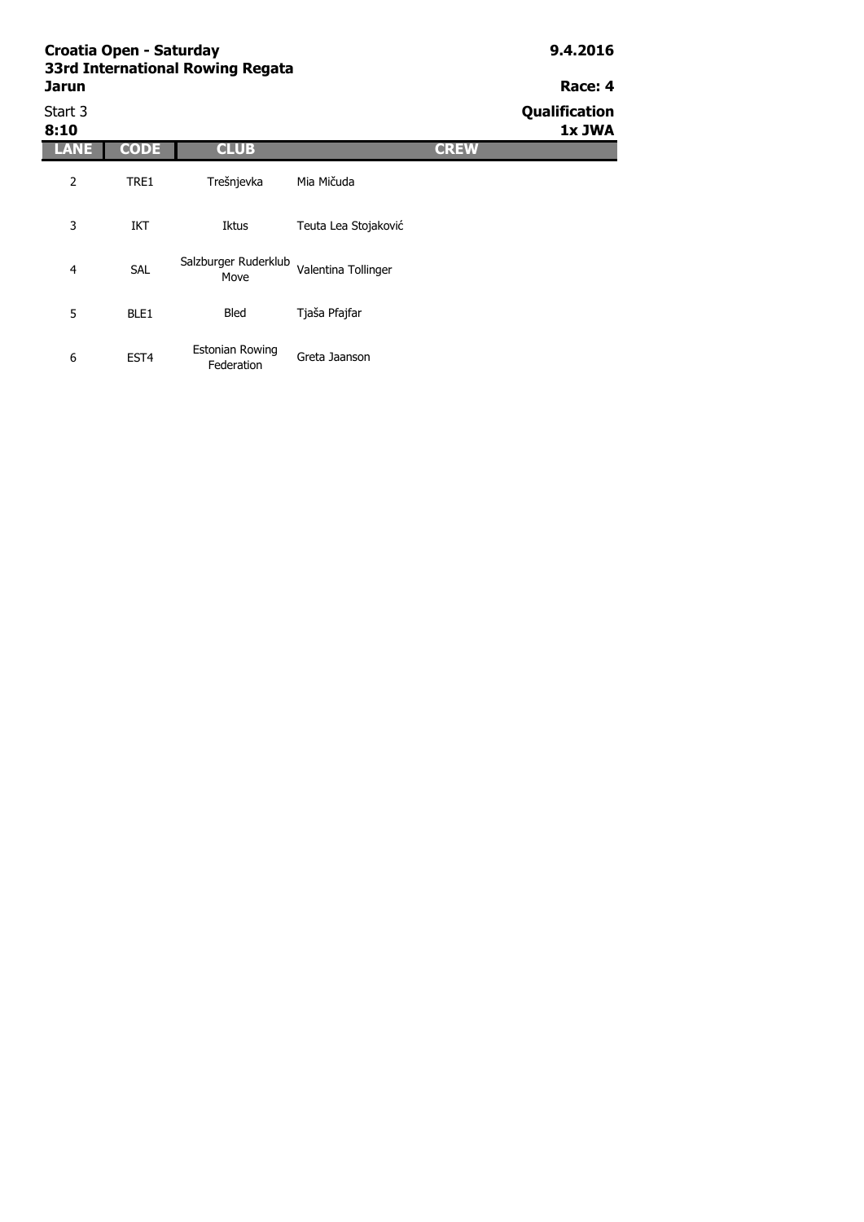## **Jarun Race: 4** Start 3 **Qualification**

| 8:10 |                  |                                      |                      | -           | 1x JWA |
|------|------------------|--------------------------------------|----------------------|-------------|--------|
| ANE  | <b>CODE</b>      | <b>CLUB</b>                          |                      | <b>CREW</b> |        |
| 2    | TRE1             | Trešnjevka                           | Mia Mičuda           |             |        |
| 3    | IKT              | Iktus                                | Teuta Lea Stojaković |             |        |
| 4    | <b>SAL</b>       | Salzburger Ruderklub<br>Move         | Valentina Tollinger  |             |        |
| 5    | BLE1             | <b>Bled</b>                          | Tjaša Pfajfar        |             |        |
| 6    | EST <sub>4</sub> | <b>Estonian Rowing</b><br>Federation | Greta Jaanson        |             |        |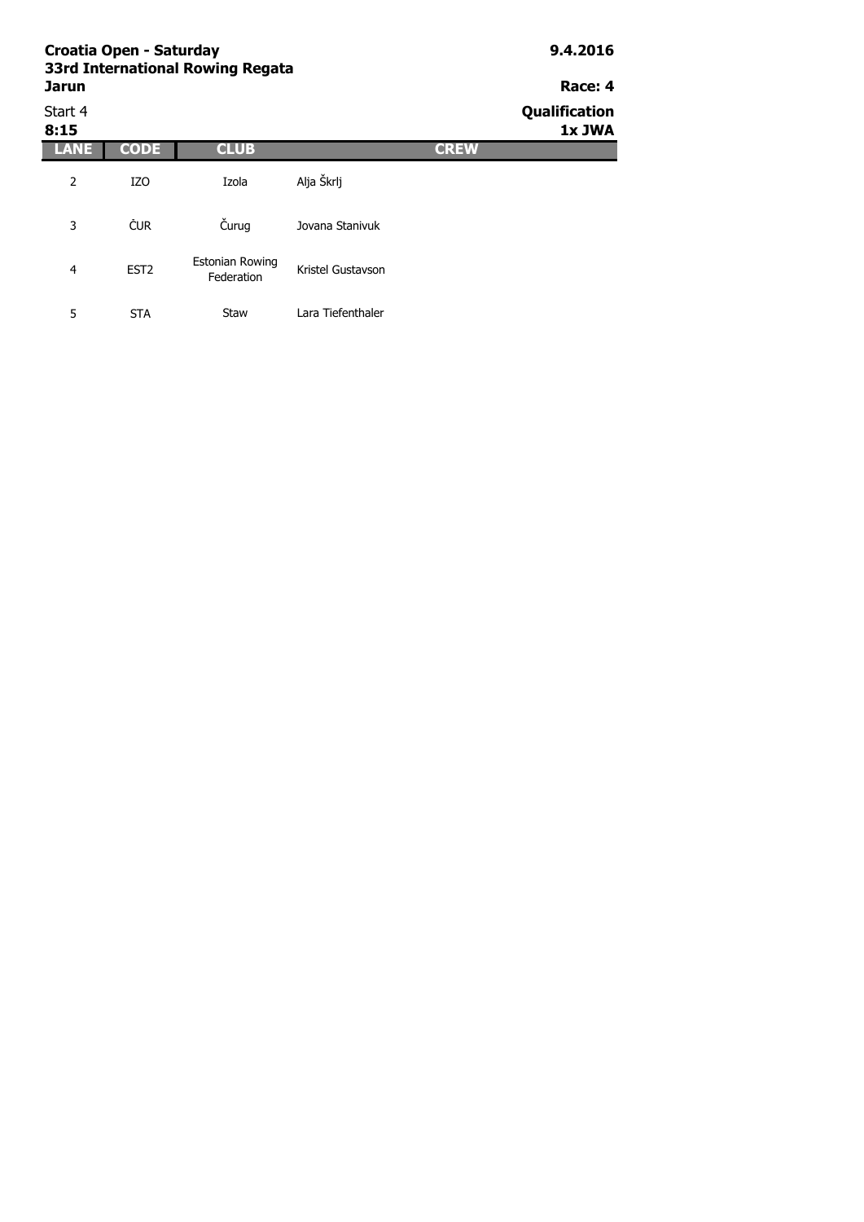| Croatia Open - Saturday<br>33rd International Rowing Regata |                  |                                      |                   |             | 9.4.2016                |  |
|-------------------------------------------------------------|------------------|--------------------------------------|-------------------|-------------|-------------------------|--|
| <b>Jarun</b>                                                |                  |                                      |                   |             |                         |  |
| Start 4<br>8:15                                             |                  |                                      |                   |             | Qualification<br>1x JWA |  |
| <b>LANE</b>                                                 | <b>CODE</b>      | <b>CLUB</b>                          |                   | <b>CREW</b> |                         |  |
| $\overline{2}$                                              | IZ <sub>O</sub>  | Izola                                | Alja Škrlj        |             |                         |  |
| 3                                                           | <b>CUR</b>       | Čurug                                | Jovana Stanivuk   |             |                         |  |
| 4                                                           | EST <sub>2</sub> | <b>Estonian Rowing</b><br>Federation | Kristel Gustavson |             |                         |  |
| 5                                                           | <b>STA</b>       | Staw                                 | Lara Tiefenthaler |             |                         |  |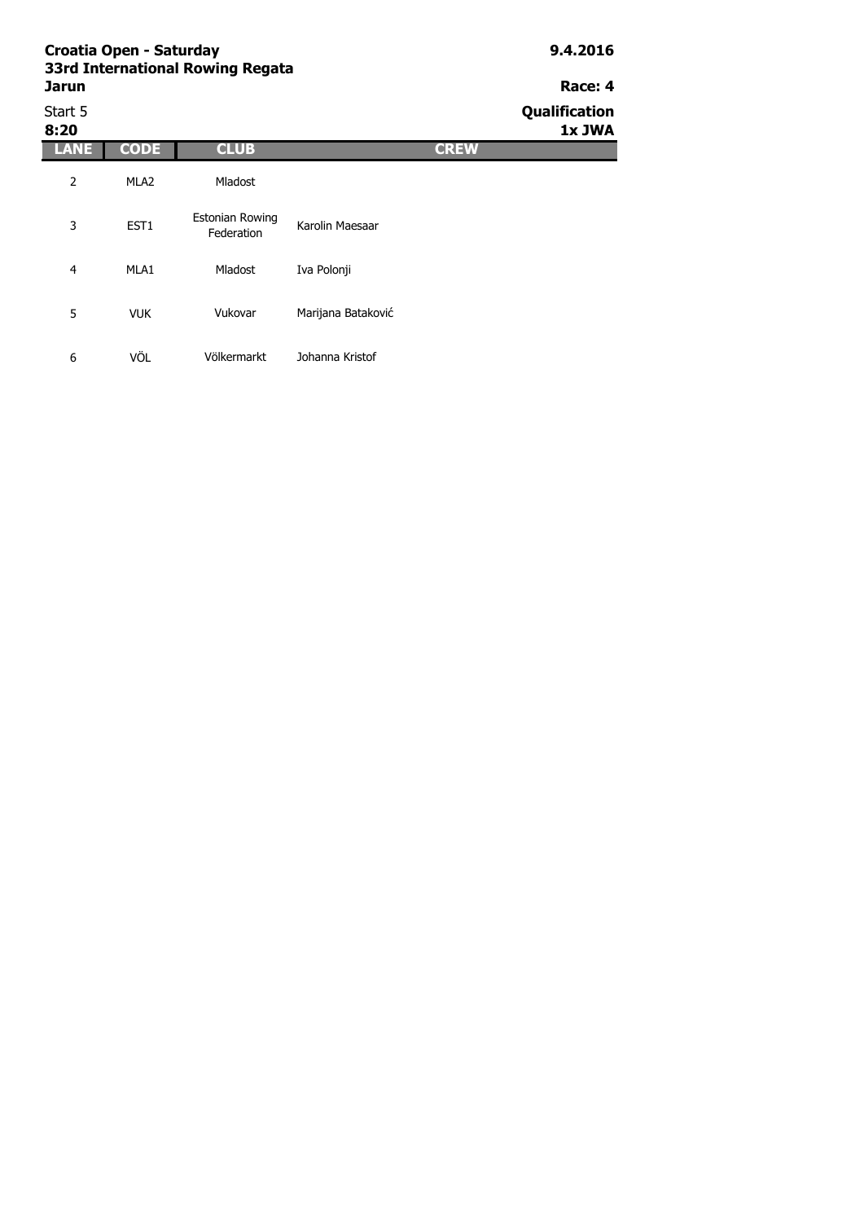| <b>SSRI International Rowling Regata</b><br>Jarun | Race: 4              |
|---------------------------------------------------|----------------------|
| Start 5                                           | <b>Qualification</b> |

**8:20 1x JWA LANE CODE CLUB CREW** 2 MLA2 3 EST1 4 MLA1 5 VUK 6 VÖL Vukovar Marijana Bataković Völkermarkt Johanna Kristof Mladost Estonian Rowing Karolin Maesaar Mladost Iva Polonji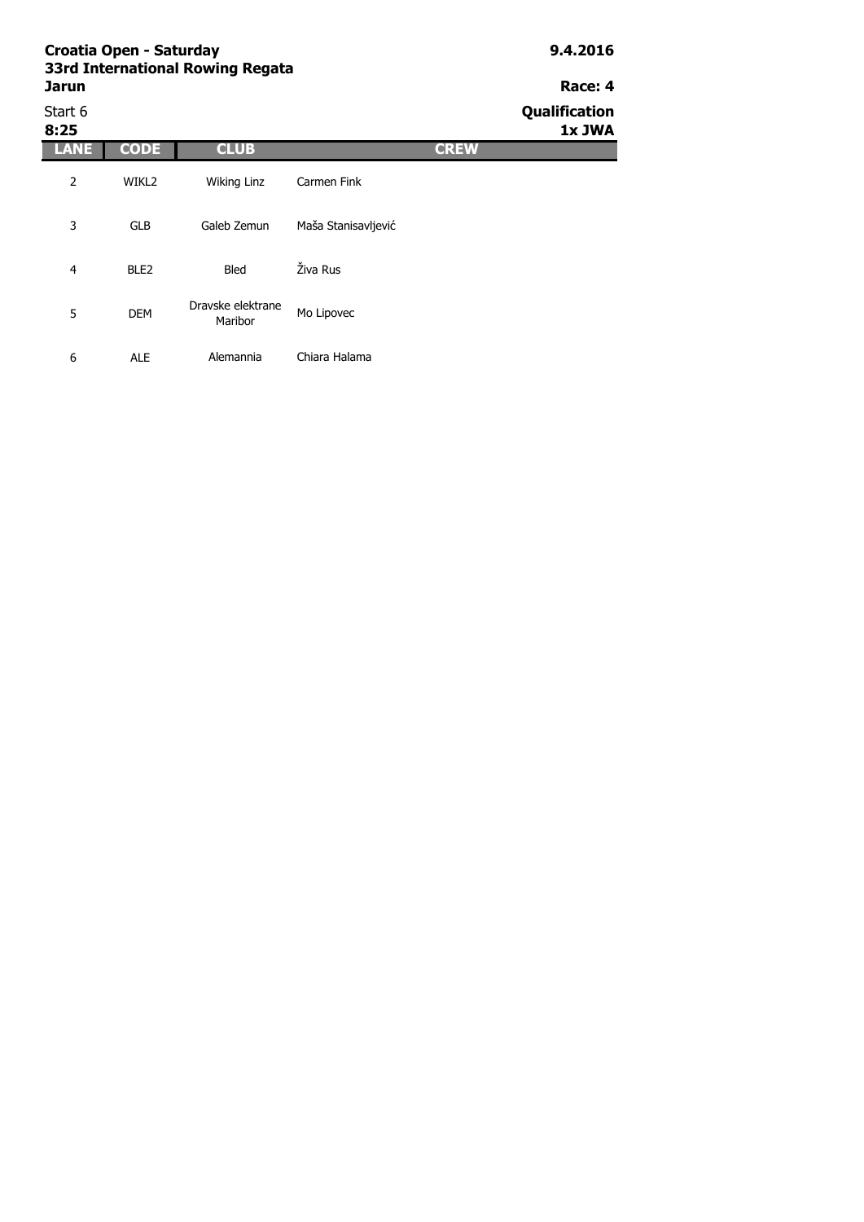# **Jarun Race: 4**

Start 6 **Qualification 8:25 1x JWA LANE CODE CLUB CREW** 2 WIKL2 3 GLB 4 BLE2 5 DEM 6 ALE Dravske elektrane ske elektrane<br>Maribor Mo Lipovec Alemannia Chiara Halama Wiking Linz Carmen Fink Galeb Zemun Maša Stanisavljević Bled Živa Rus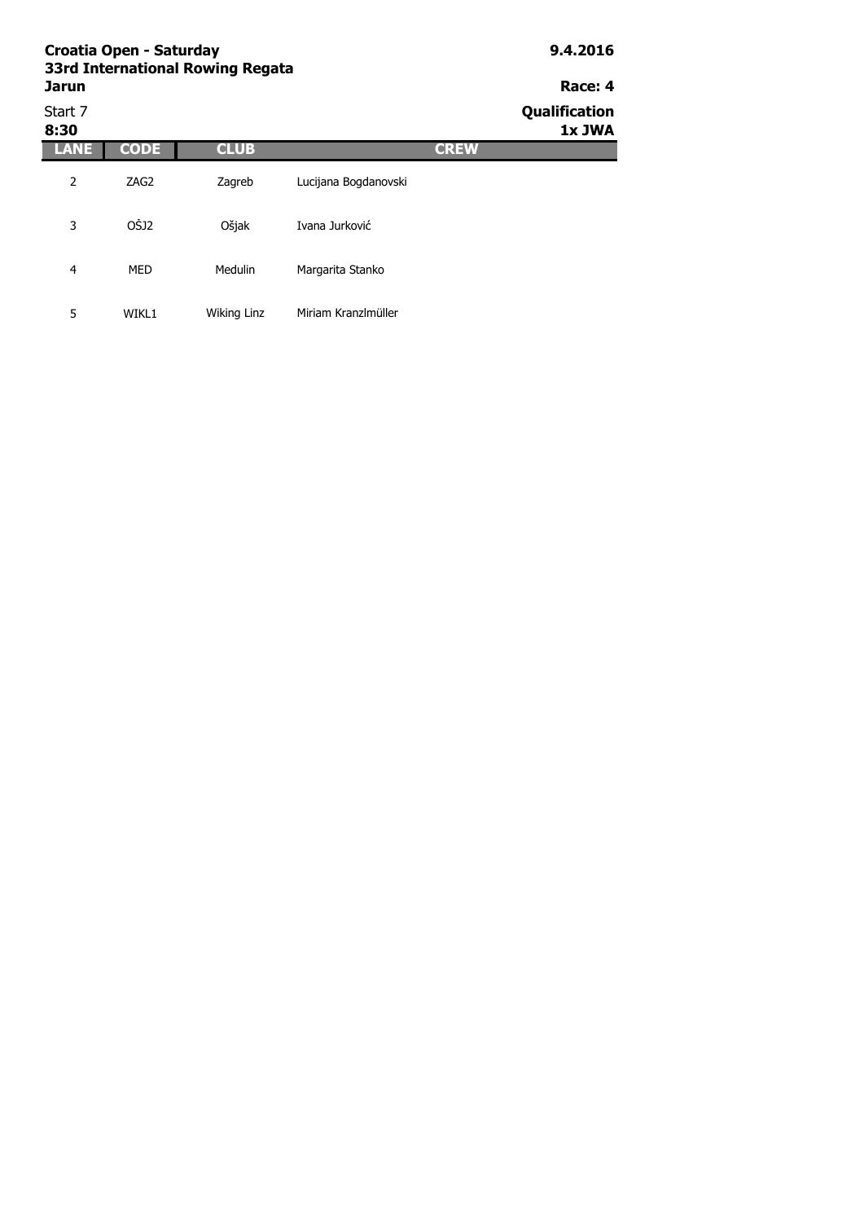| Croatia Open - Saturday<br>33rd International Rowing Regata | 9.4.2016         |             |                      |             |                                    |
|-------------------------------------------------------------|------------------|-------------|----------------------|-------------|------------------------------------|
| Jarun<br>Start 7<br>8:30                                    |                  |             |                      |             | Race: 4<br>Qualification<br>1x JWA |
| LANE                                                        | <b>CODE</b>      | <b>CLUB</b> |                      | <b>CREW</b> |                                    |
| 2                                                           | ZAG <sub>2</sub> | Zagreb      | Lucijana Bogdanovski |             |                                    |
| 3                                                           | OŠJ2             | Ošjak       | Ivana Jurković       |             |                                    |
| 4                                                           | MED              | Medulin     | Margarita Stanko     |             |                                    |
| 5                                                           | WIKL1            | Wiking Linz | Miriam Kranzlmüller  |             |                                    |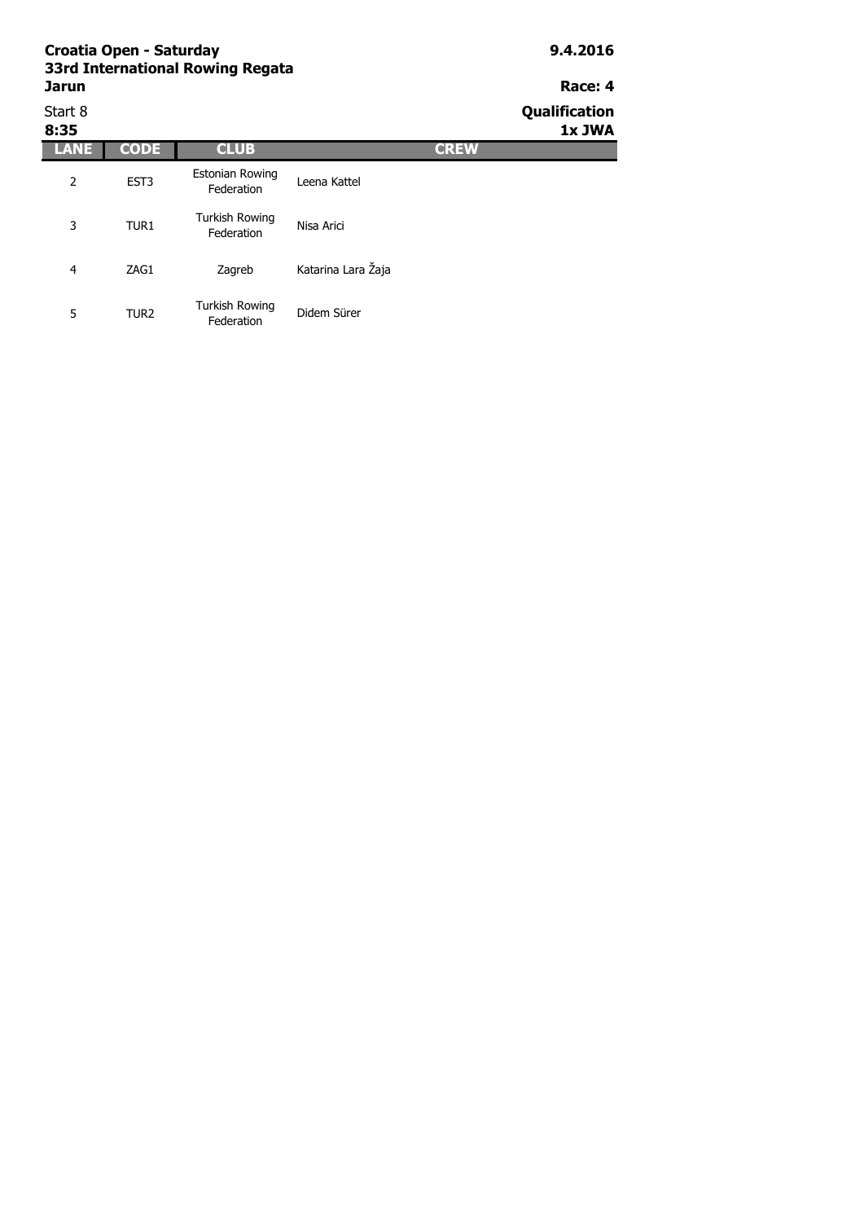| Start 8<br>8:35 |                  |                                      |                    | Qualification<br>1x JWA |  |
|-----------------|------------------|--------------------------------------|--------------------|-------------------------|--|
| LANE            | <b>CODE</b>      | <b>CLUB</b>                          | <b>CREW</b>        |                         |  |
| 2               | EST <sub>3</sub> | <b>Estonian Rowing</b><br>Federation | Leena Kattel       |                         |  |
| 3               | TUR1             | Turkish Rowing<br>Federation         | Nisa Arici         |                         |  |
| 4               | ZAG1             | Zagreb                               | Katarina Lara Žaja |                         |  |
| 5               | TUR <sub>2</sub> | <b>Turkish Rowing</b><br>Federation  | Didem Sürer        |                         |  |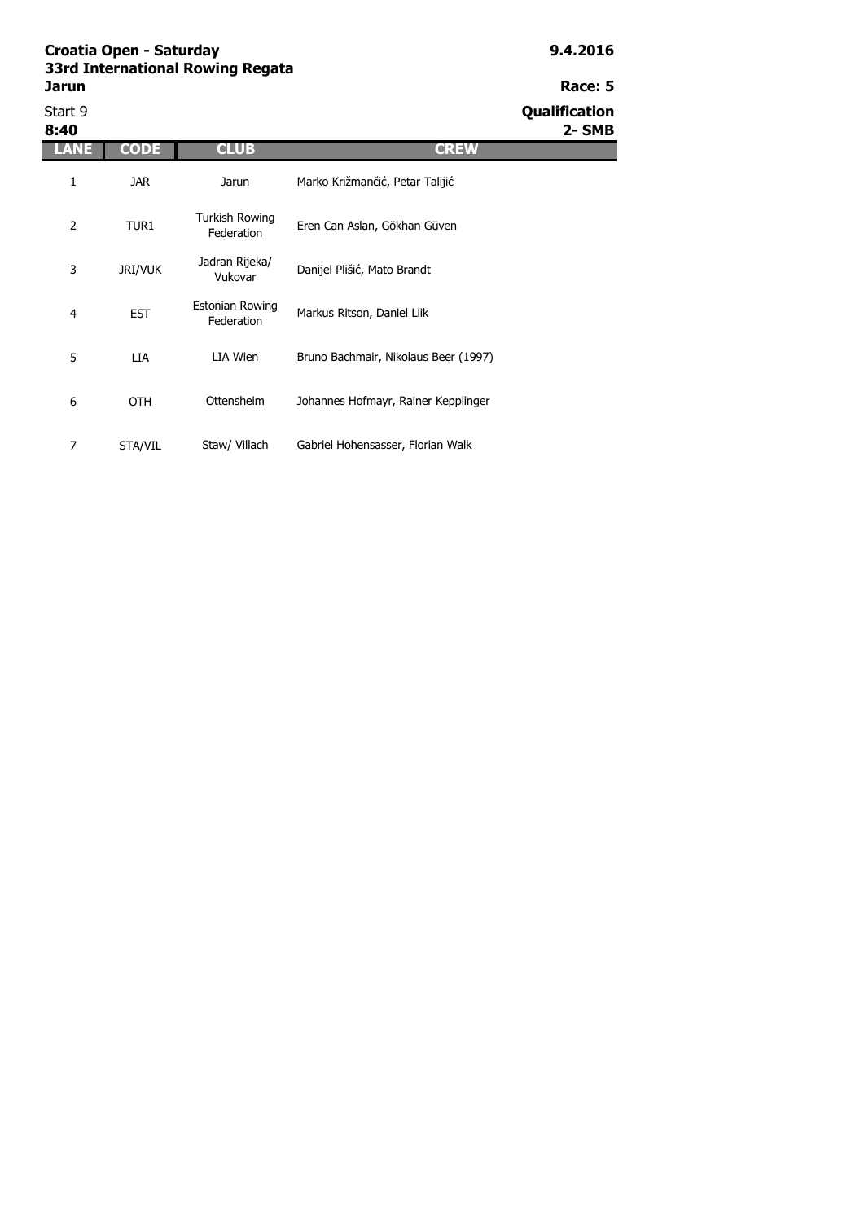| Start 9<br>8:40 |                |                                      |                                      | Qualification<br>2- SMB |
|-----------------|----------------|--------------------------------------|--------------------------------------|-------------------------|
| ANE             | <b>CODE</b>    | <b>CLUB</b>                          | <b>CREW</b>                          |                         |
| 1               | <b>JAR</b>     | Jarun                                | Marko Križmančić, Petar Talijić      |                         |
| 2               | TUR1           | Turkish Rowing<br>Federation         | Eren Can Aslan, Gökhan Güven         |                         |
| 3               | <b>JRI/VUK</b> | Jadran Rijeka/<br>Vukovar            | Danijel Plišić, Mato Brandt          |                         |
| 4               | <b>EST</b>     | <b>Estonian Rowing</b><br>Federation | Markus Ritson, Daniel Liik           |                         |
| 5               | LIA            | LIA Wien                             | Bruno Bachmair, Nikolaus Beer (1997) |                         |
| 6               | <b>OTH</b>     | Ottensheim                           | Johannes Hofmayr, Rainer Kepplinger  |                         |
| 7               | STA/VIL        | Staw/ Villach                        | Gabriel Hohensasser, Florian Walk    |                         |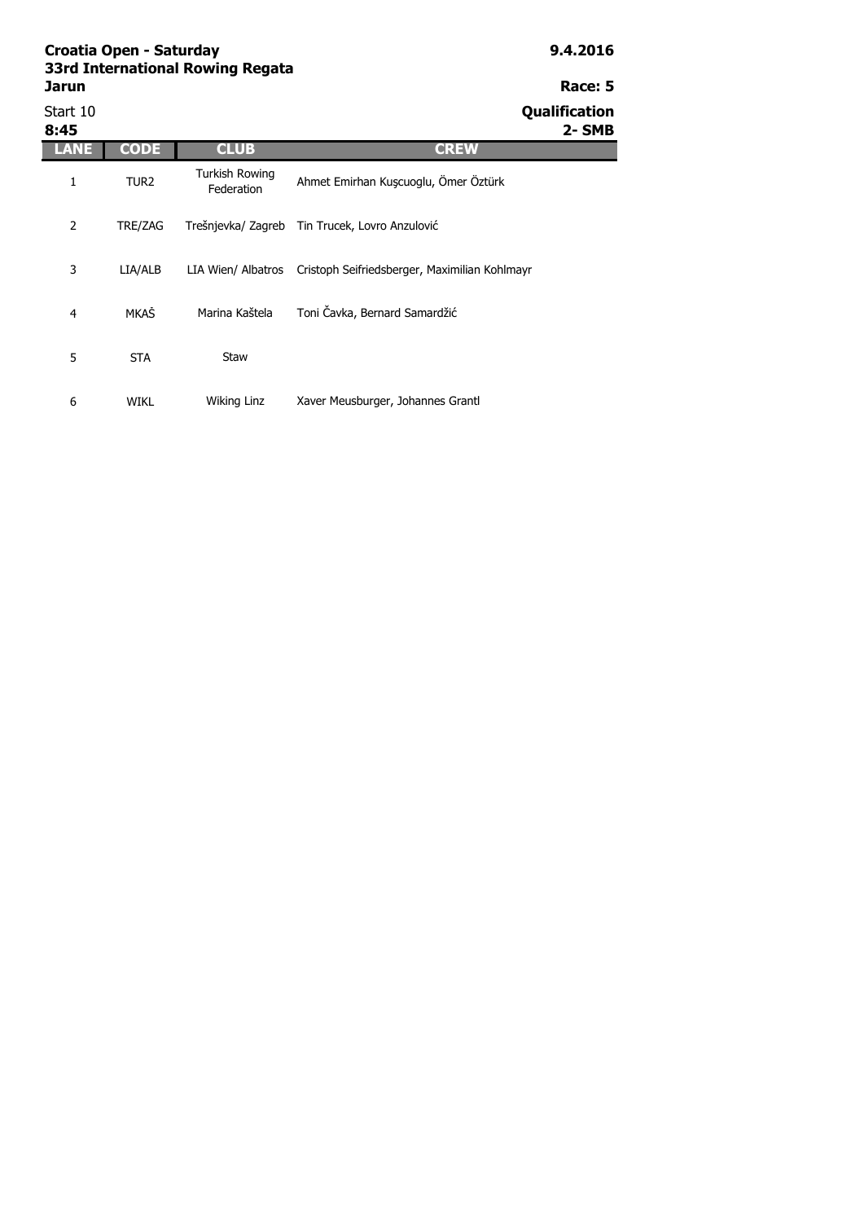6 WIKL

| Jarun            |                  |                                     | Race: 5                                        |
|------------------|------------------|-------------------------------------|------------------------------------------------|
| Start 10<br>8:45 |                  |                                     | Qualification<br>2-SMB                         |
| LANE             | <b>CODE</b>      | <b>CLUB</b>                         | <b>CREW</b>                                    |
| 1                | TUR <sub>2</sub> | <b>Turkish Rowing</b><br>Federation | Ahmet Emirhan Kuşcuoglu, Ömer Öztürk           |
| $\overline{2}$   | TRE/ZAG          |                                     | Trešnjevka/ Zagreb Tin Trucek, Lovro Anzulović |
| 3                | LIA/ALB          | LIA Wien/ Albatros                  | Cristoph Seifriedsberger, Maximilian Kohlmayr  |
| $\overline{4}$   | <b>MKAŠ</b>      | Marina Kaštela                      | Toni Čavka, Bernard Samardžić                  |
| 5                | <b>STA</b>       | Staw                                |                                                |

Wiking Linz Xaver Meusburger, Johannes Grantl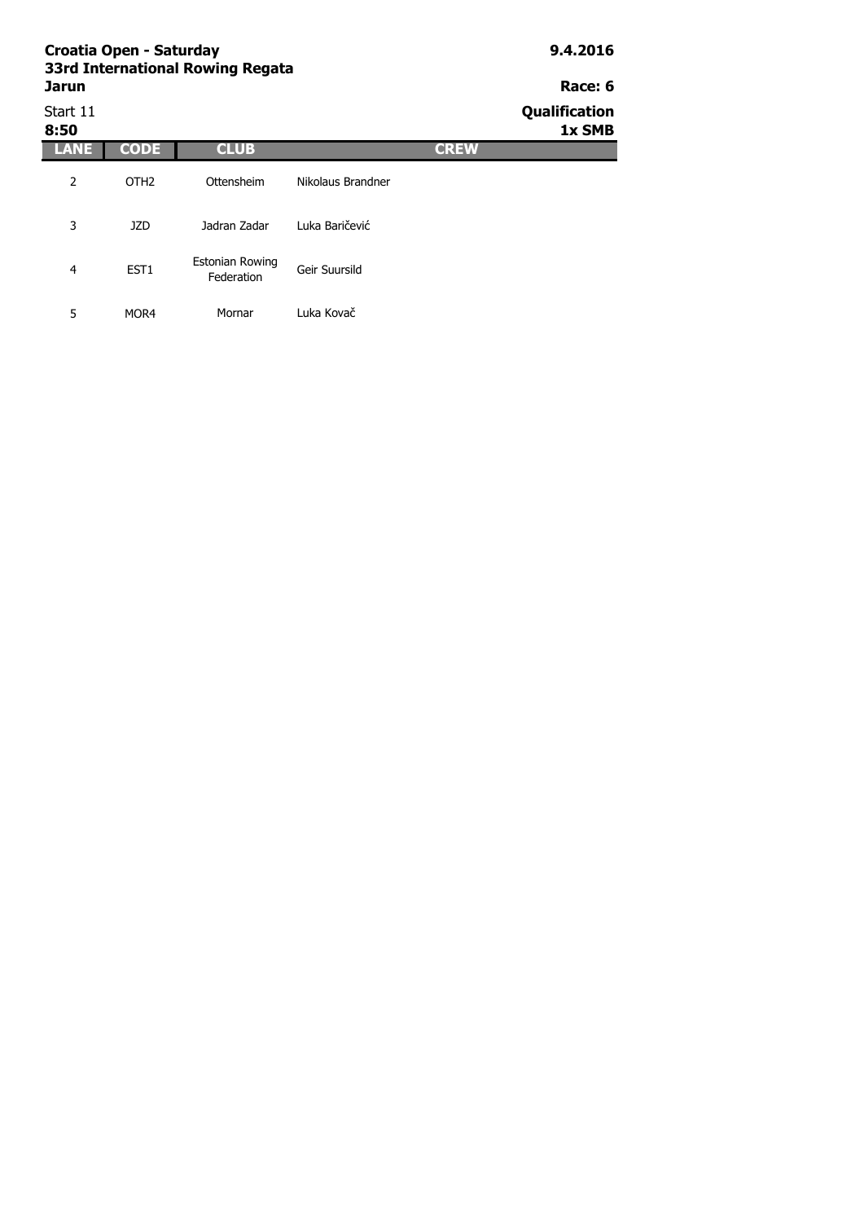|                  | Croatia Open - Saturday<br>33rd International Rowing Regata |                               | 9.4.2016          |             |                         |  |
|------------------|-------------------------------------------------------------|-------------------------------|-------------------|-------------|-------------------------|--|
| <b>Jarun</b>     |                                                             |                               |                   |             |                         |  |
| Start 11<br>8:50 |                                                             |                               |                   |             | Qualification<br>1x SMB |  |
| LANE             | <b>CODE</b>                                                 | <b>CLUB</b>                   |                   | <b>CREW</b> |                         |  |
| 2                | OTH <sub>2</sub>                                            | Ottensheim                    | Nikolaus Brandner |             |                         |  |
| 3                | <b>JZD</b>                                                  | Jadran Zadar                  | Luka Baričević    |             |                         |  |
| $\overline{4}$   | EST <sub>1</sub>                                            | Estonian Rowing<br>Federation | Geir Suursild     |             |                         |  |
| 5                | MOR4                                                        | Mornar                        | Luka Kovač        |             |                         |  |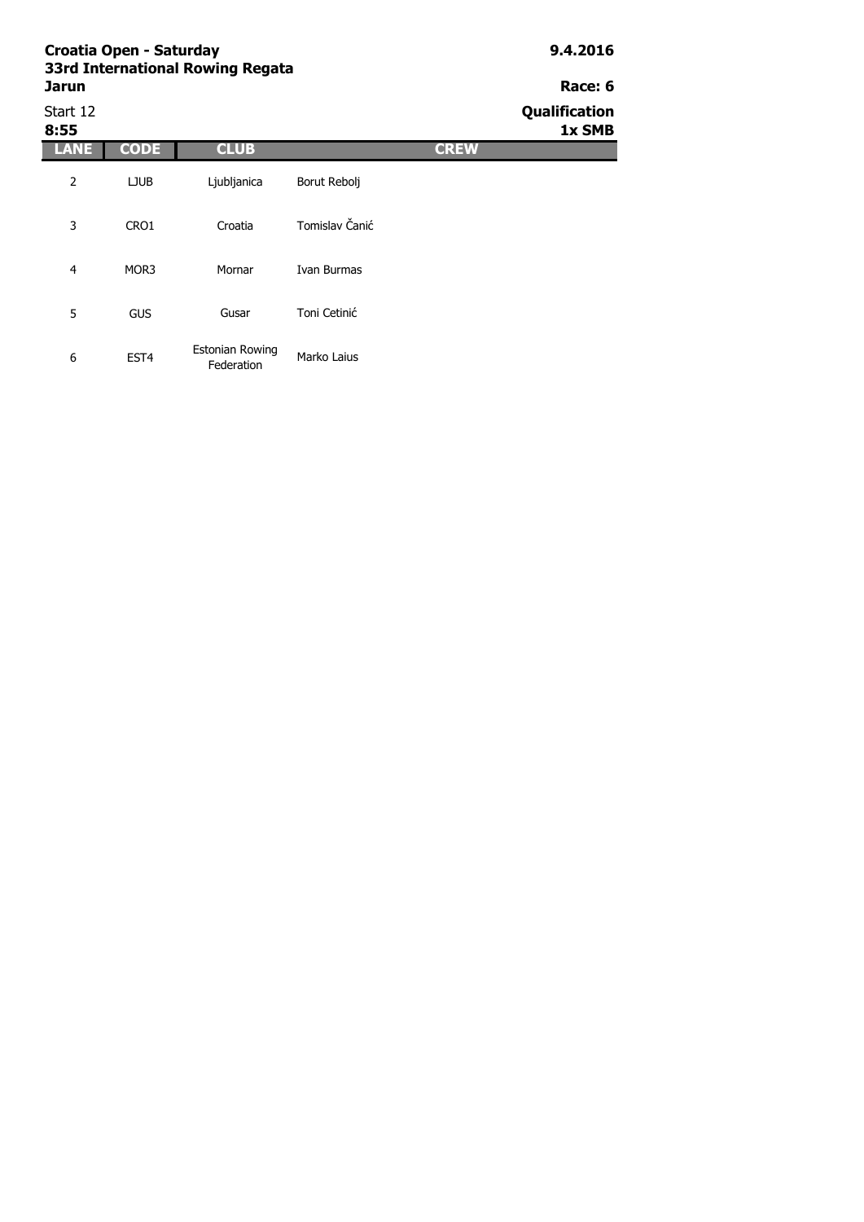| 33ra International Kowing Kegata |                      |
|----------------------------------|----------------------|
| Jarun                            | Race: 6              |
| Ctart 17                         | <b>Oualification</b> |

| Start 12<br>8:55 |                  |                               |                |             | Qualification<br>1x SMB |
|------------------|------------------|-------------------------------|----------------|-------------|-------------------------|
| ANE              | <b>CODE</b>      | <b>CLUB</b>                   |                | <b>CREW</b> |                         |
| $\overline{2}$   | <b>LJUB</b>      | Ljubljanica                   | Borut Rebolj   |             |                         |
| 3                | CRO1             | Croatia                       | Tomislav Čanić |             |                         |
| $\overline{4}$   | MOR3             | Mornar                        | Ivan Burmas    |             |                         |
| 5                | <b>GUS</b>       | Gusar                         | Toni Cetinić   |             |                         |
| 6                | EST <sub>4</sub> | Estonian Rowing<br>Federation | Marko Laius    |             |                         |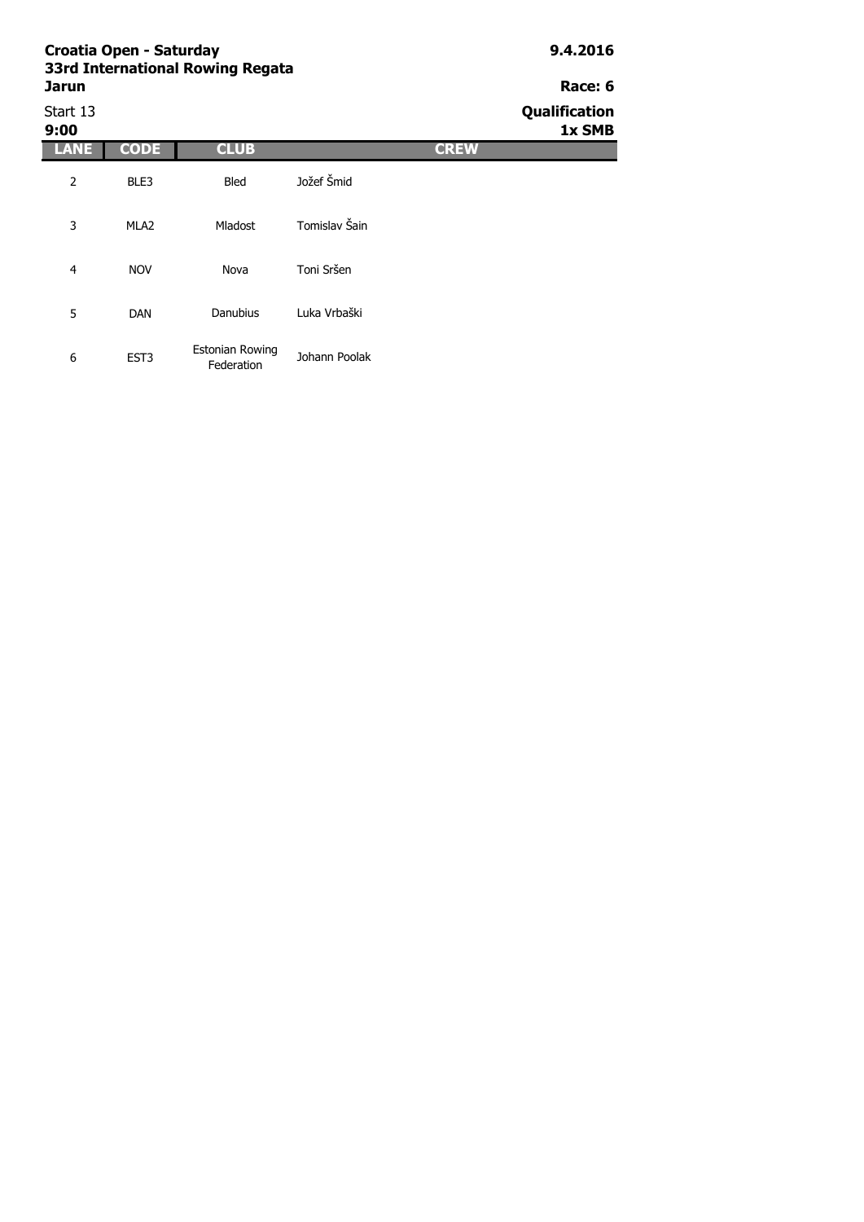# **Croatia Open - Saturday 9.4.2016 33rd In**

| 33rd International Rowing Regata |         |
|----------------------------------|---------|
| Jarun                            | Race: 6 |
|                                  |         |

Start 13 **Qualification 9:00 1x SMB LANE CODE CLUB CREW** 2 BLE3 3 MLA2 4 NOV 5 DAN 6 EST3 Danubius Luka Vrbaški Estonian Rowing Johann Poolak Bled Jožef Šmid Mladost Tomislav Šain Nova Toni Sršen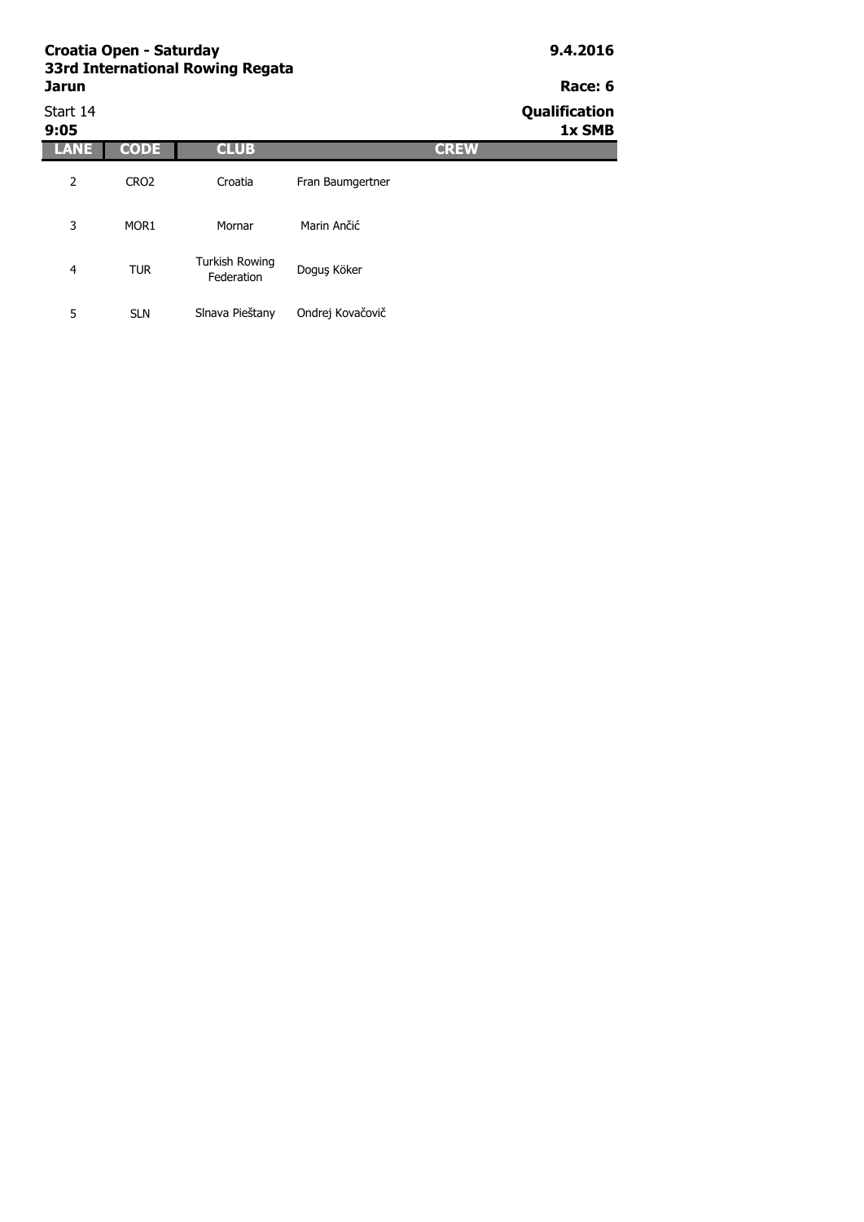| Croatia Open - Saturday<br>33rd International Rowing Regata |                  |                                     |                  |             | 9.4.2016                |  |
|-------------------------------------------------------------|------------------|-------------------------------------|------------------|-------------|-------------------------|--|
| <b>Jarun</b>                                                |                  |                                     |                  |             | Race: 6                 |  |
| Start 14<br>9:05                                            |                  |                                     |                  |             | Qualification<br>1x SMB |  |
| <b>LANE</b>                                                 | <b>CODE</b>      | <b>CLUB</b>                         |                  | <b>CREW</b> |                         |  |
| 2                                                           | CRO <sub>2</sub> | Croatia                             | Fran Baumgertner |             |                         |  |
| 3                                                           | MOR <sub>1</sub> | Mornar                              | Marin Ančić      |             |                         |  |
| 4                                                           | <b>TUR</b>       | <b>Turkish Rowing</b><br>Federation | Doguş Köker      |             |                         |  |
| 5                                                           | <b>SLN</b>       | Slnava Pieštany                     | Ondrej Kovačovič |             |                         |  |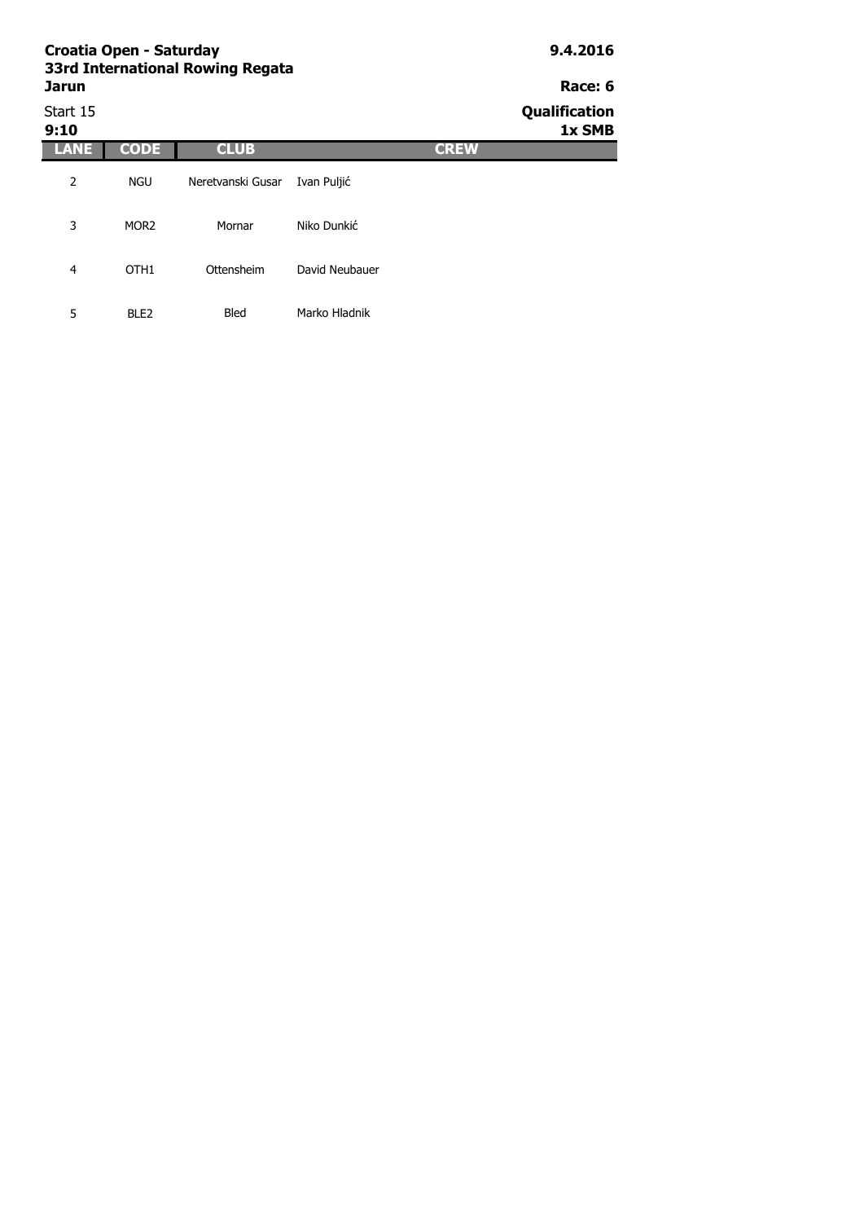|                  | Croatia Open - Saturday<br>33rd International Rowing Regata | 9.4.2016          |                |             |                         |
|------------------|-------------------------------------------------------------|-------------------|----------------|-------------|-------------------------|
| Jarun            |                                                             |                   | Race: 6        |             |                         |
| Start 15<br>9:10 |                                                             |                   |                |             | Qualification<br>1x SMB |
| <b>LANE</b>      | <b>CODE</b>                                                 | <b>CLUB</b>       |                | <b>CREW</b> |                         |
| 2                | <b>NGU</b>                                                  | Neretvanski Gusar | Ivan Puljić    |             |                         |
| 3                | MOR <sub>2</sub>                                            | Mornar            | Niko Dunkić    |             |                         |
| 4                | OTH <sub>1</sub>                                            | Ottensheim        | David Neubauer |             |                         |
| 5                | BLE <sub>2</sub>                                            | <b>Bled</b>       | Marko Hladnik  |             |                         |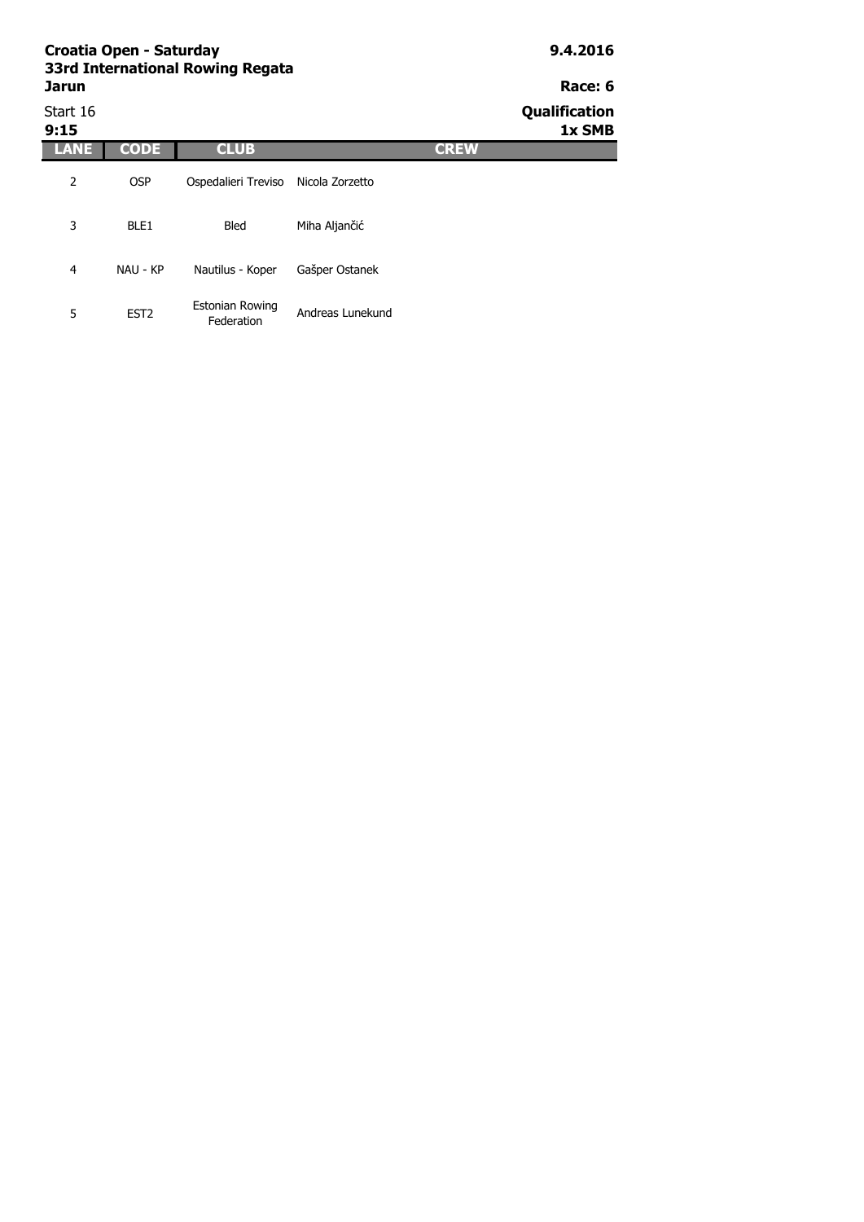| Croatia Open - Saturday<br>33rd International Rowing Regata |                  |                                      |                  |             | 9.4.2016                |
|-------------------------------------------------------------|------------------|--------------------------------------|------------------|-------------|-------------------------|
| <b>Jarun</b>                                                |                  |                                      |                  |             | Race: 6                 |
| Start 16<br>9:15                                            |                  |                                      |                  |             | Qualification<br>1x SMB |
| LANE                                                        | <b>CODE</b>      | <b>CLUB</b>                          |                  | <b>CREW</b> |                         |
| 2                                                           | <b>OSP</b>       | Ospedalieri Treviso                  | Nicola Zorzetto  |             |                         |
| 3                                                           | BLE1             | <b>Bled</b>                          | Miha Aljančić    |             |                         |
| 4                                                           | NAU - KP         | Nautilus - Koper                     | Gašper Ostanek   |             |                         |
| 5                                                           | EST <sub>2</sub> | <b>Estonian Rowing</b><br>Federation | Andreas Lunekund |             |                         |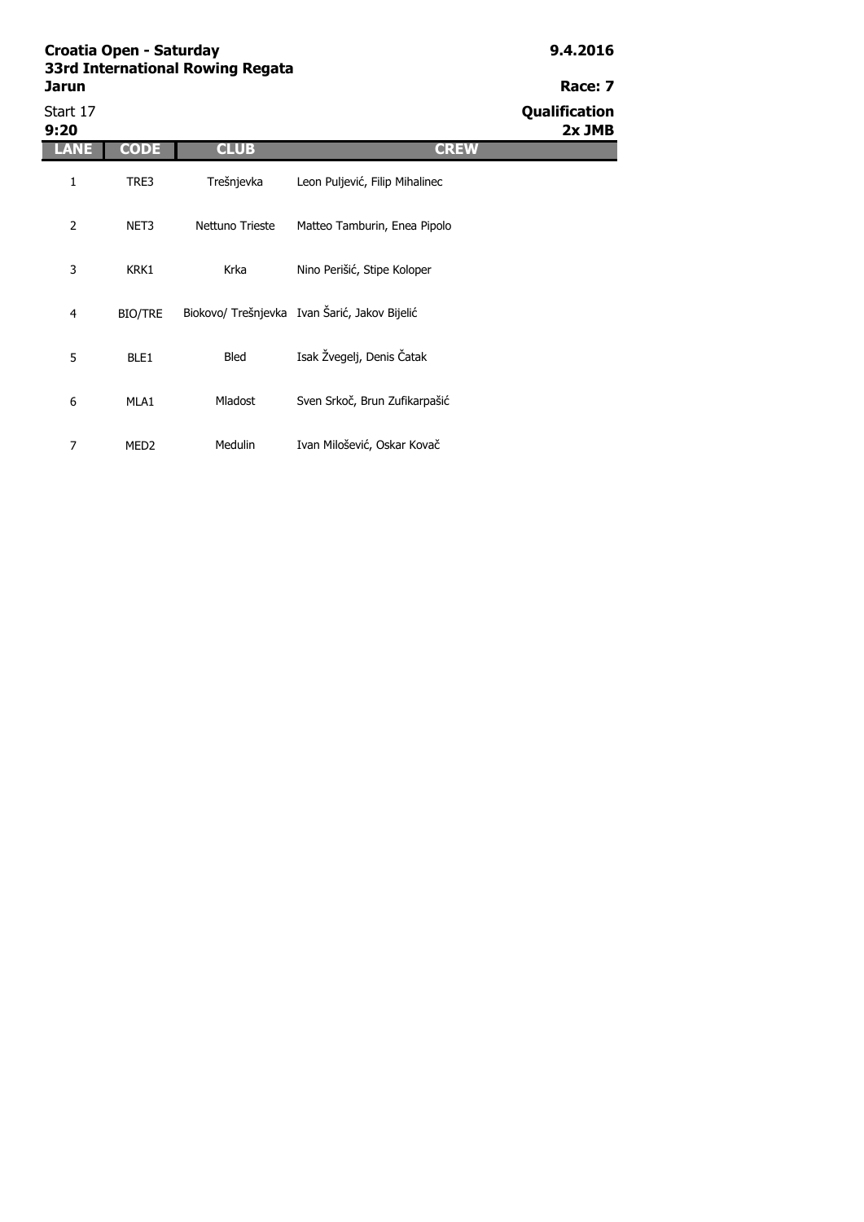| 3rd International Rowing Regata |  |  |
|---------------------------------|--|--|
| arun                            |  |  |
|                                 |  |  |

|                  |                  |                 |                                               | . <i>.</i>                |
|------------------|------------------|-----------------|-----------------------------------------------|---------------------------|
| Start 17<br>9:20 |                  |                 |                                               | Qualification<br>$2x$ JMB |
| ANE              | <b>CODE</b>      | <b>CLUB</b>     | <b>CREW</b>                                   |                           |
| 1                | TRE3             | Trešnjevka      | Leon Puljević, Filip Mihalinec                |                           |
| 2                | NET3             | Nettuno Trieste | Matteo Tamburin, Enea Pipolo                  |                           |
| 3                | KRK1             | Krka            | Nino Perišić, Stipe Koloper                   |                           |
| 4                | <b>BIO/TRE</b>   |                 | Biokovo/ Trešnjevka Ivan Šarić, Jakov Bijelić |                           |
| 5                | BLE1             | <b>Bled</b>     | Isak Žvegelj, Denis Čatak                     |                           |
| 6                | MLA1             | Mladost         | Sven Srkoč, Brun Zufikarpašić                 |                           |
| 7                | MED <sub>2</sub> | Medulin         | Ivan Milošević, Oskar Kovač                   |                           |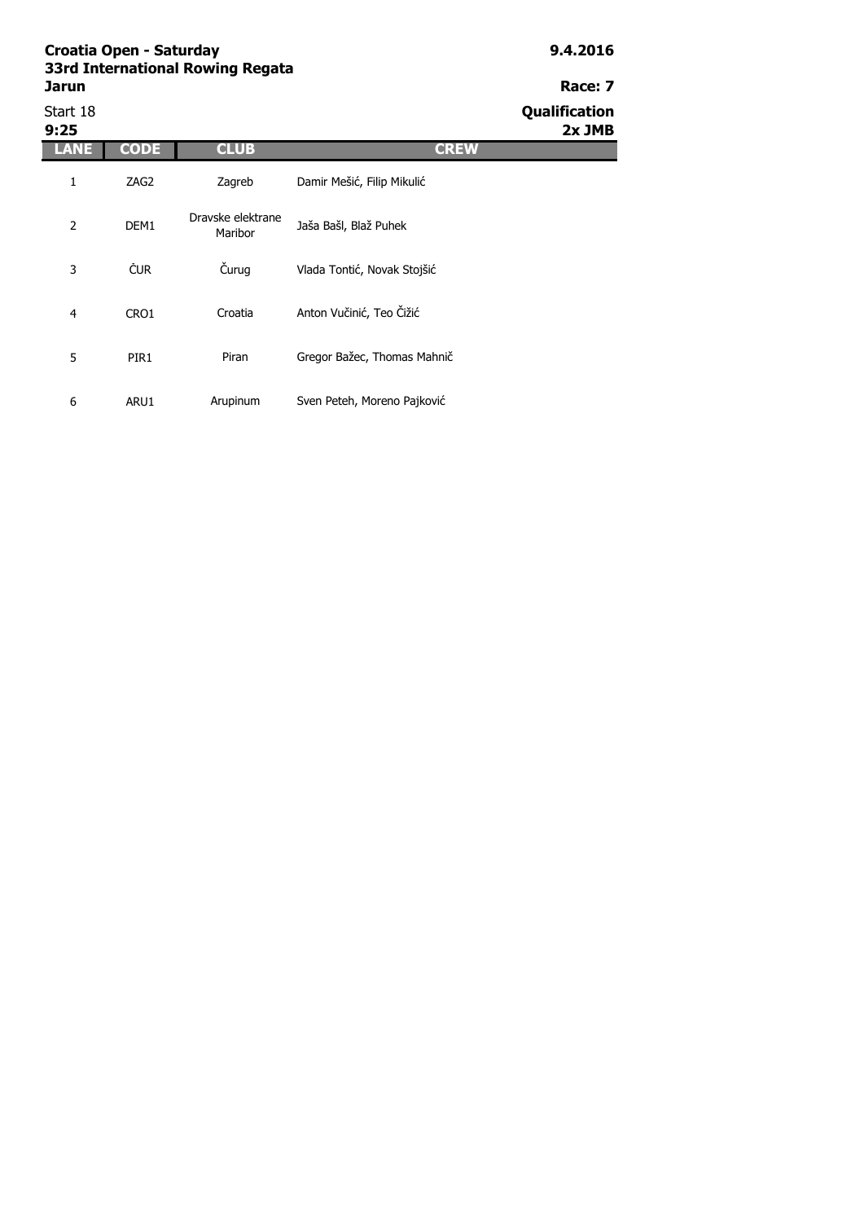| Start 18<br>9:25 |             |                              |                             | <b>Qualification</b><br>$2x$ JMB |
|------------------|-------------|------------------------------|-----------------------------|----------------------------------|
| ANE              | <b>CODE</b> | <b>CLUB</b>                  | <b>CREW</b>                 |                                  |
| 1                | ZAG2        | Zagreb                       | Damir Mešić, Filip Mikulić  |                                  |
| $\overline{2}$   | DEM1        | Dravske elektrane<br>Maribor | Jaša Bašl, Blaž Puhek       |                                  |
| 3                | <b>ČUR</b>  | Čurug                        | Vlada Tontić, Novak Stojšić |                                  |
| 4                | CRO1        | Croatia                      | Anton Vučinić, Teo Čižić    |                                  |
| 5                | PIR1        | Piran                        | Gregor Bažec, Thomas Mahnič |                                  |
| 6                | ARU1        | Arupinum                     | Sven Peteh, Moreno Pajković |                                  |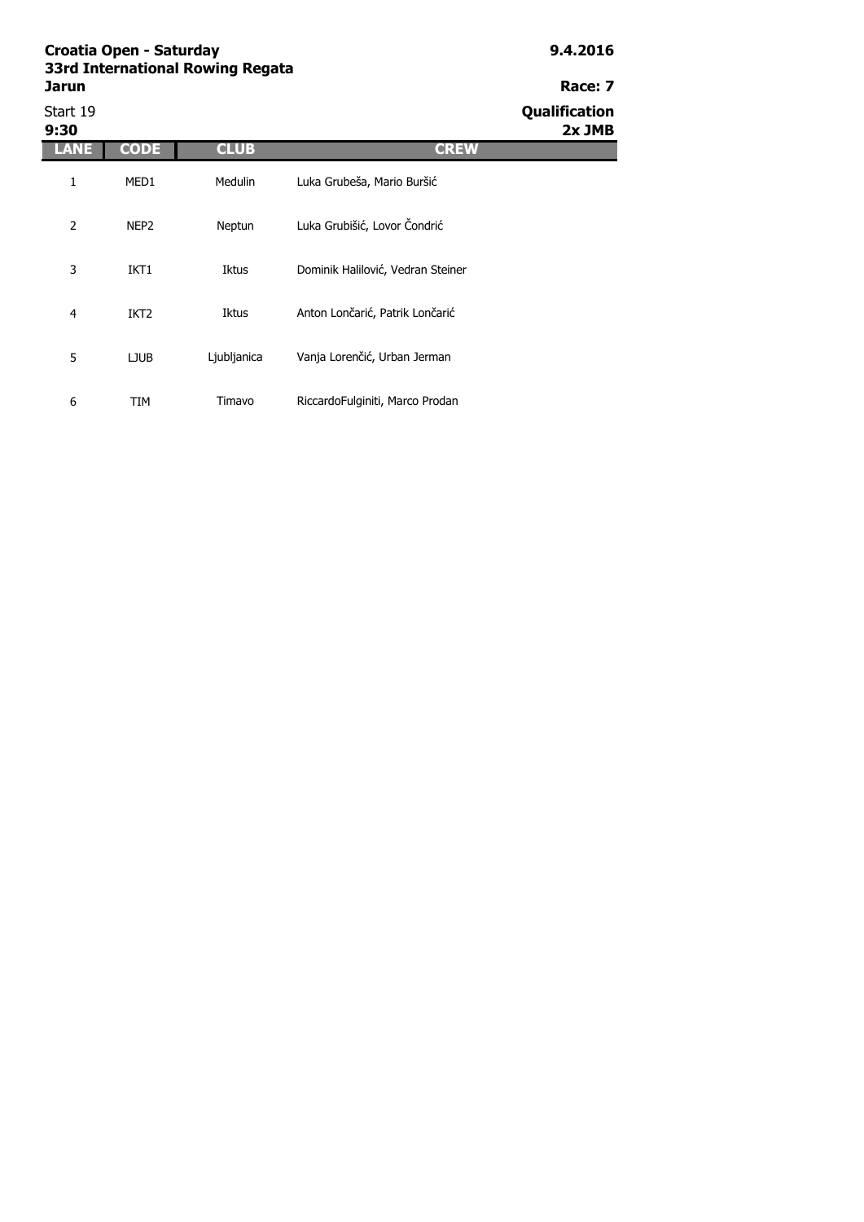| Start 19<br>9:30 |                  |                |                                   | Qualification<br>$2x$ JMB |
|------------------|------------------|----------------|-----------------------------------|---------------------------|
| <b>ANE</b>       | <b>CODE</b>      | <b>CLUB</b>    | <b>CREW</b>                       |                           |
| 1                | MED1             | <b>Medulin</b> | Luka Grubeša, Mario Buršić        |                           |
| $\overline{2}$   | NEP <sub>2</sub> | Neptun         | Luka Grubišić, Lovor Čondrić      |                           |
| 3                | IKT1             | Iktus          | Dominik Halilović, Vedran Steiner |                           |
| $\overline{4}$   | IKT <sub>2</sub> | Iktus          | Anton Lončarić, Patrik Lončarić   |                           |
| 5                | <b>LJUB</b>      | Ljubljanica    | Vanja Lorenčić, Urban Jerman      |                           |
| 6                | TIM              | Timavo         | RiccardoFulginiti, Marco Prodan   |                           |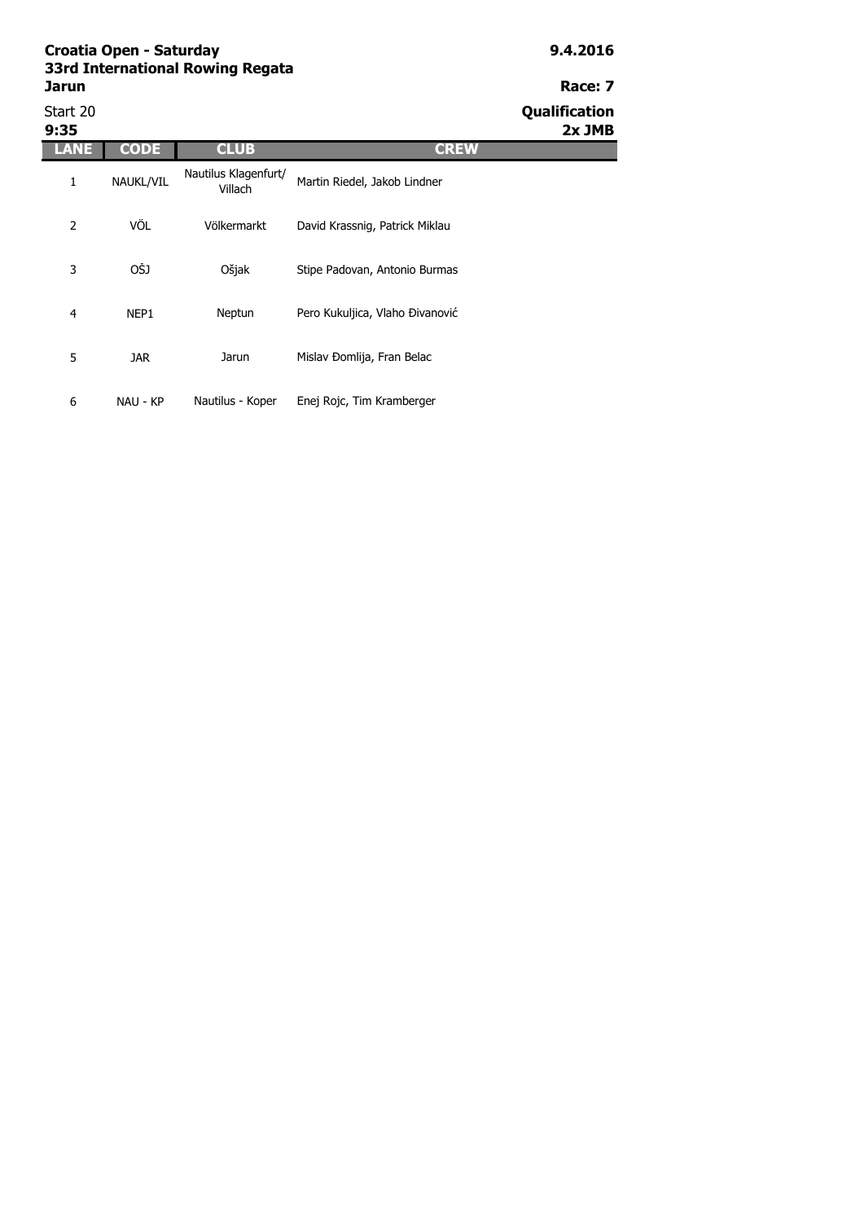| Start 20<br>9:35 |             |                                 |                                 | Qualification<br>$2x$ JMB |
|------------------|-------------|---------------------------------|---------------------------------|---------------------------|
| LANE             | <b>CODE</b> | <b>CLUB</b>                     | <b>CREW</b>                     |                           |
| 1                | NAUKL/VIL   | Nautilus Klagenfurt/<br>Villach | Martin Riedel, Jakob Lindner    |                           |
| 2                | VÖL         | Völkermarkt                     | David Krassnig, Patrick Miklau  |                           |
| 3                | OŠJ         | Ošjak                           | Stipe Padovan, Antonio Burmas   |                           |
| 4                | NEP1        | Neptun                          | Pero Kukuljica, Vlaho Đivanović |                           |
| 5                | <b>JAR</b>  | Jarun                           | Mislav Đomlija, Fran Belac      |                           |
| 6                | NAU - KP    | Nautilus - Koper                | Enej Rojc, Tim Kramberger       |                           |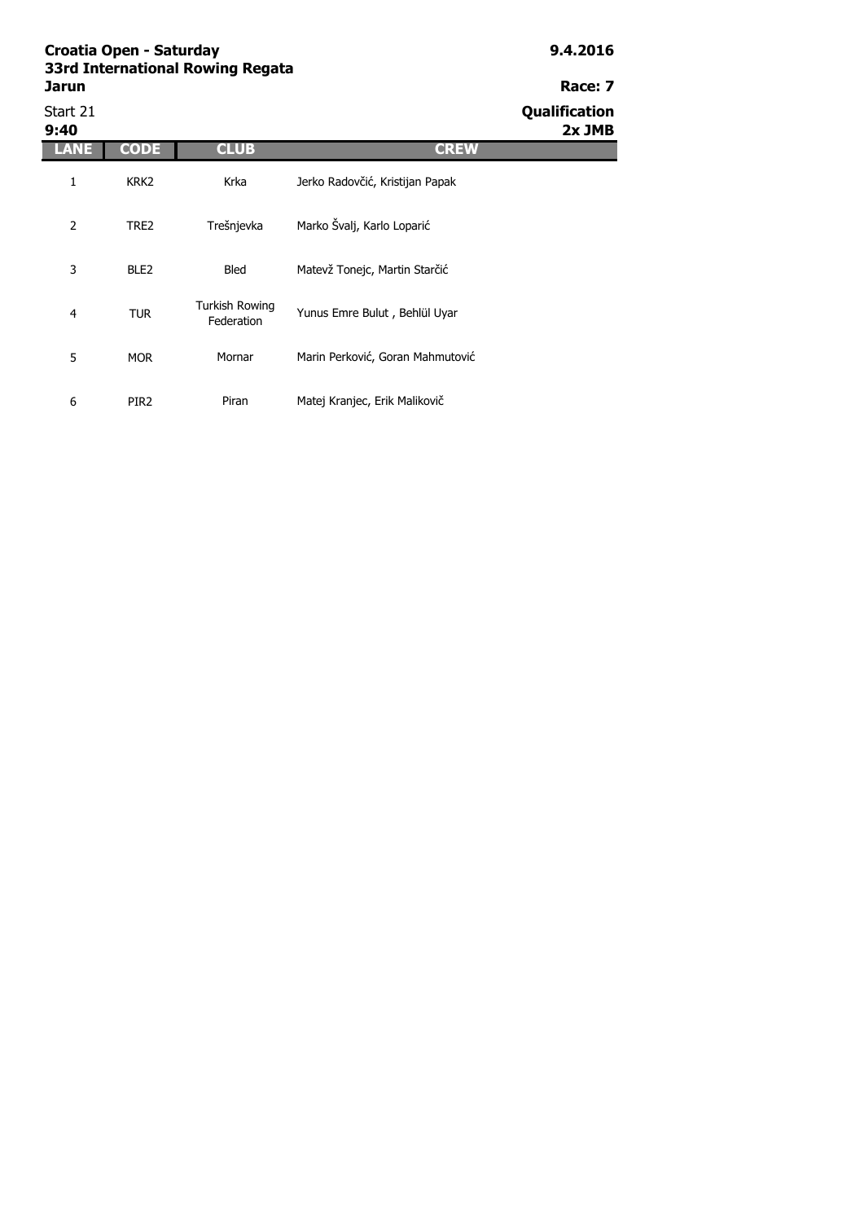| Start 21<br>9:40 |                  |                                     |                                  | Qualification<br>$2x$ JMB |
|------------------|------------------|-------------------------------------|----------------------------------|---------------------------|
|                  | <b>CODE</b>      | <b>CLUB</b>                         | <b>CREW</b>                      |                           |
| 1                | KRK <sub>2</sub> | Krka                                | Jerko Radovčić, Kristijan Papak  |                           |
| 2                | TRE2             | Trešnjevka                          | Marko Švalj, Karlo Loparić       |                           |
| 3                | BLE <sub>2</sub> | Bled                                | Matevž Tonejc, Martin Starčić    |                           |
| 4                | <b>TUR</b>       | <b>Turkish Rowing</b><br>Federation | Yunus Emre Bulut, Behlül Uyar    |                           |
| 5                | <b>MOR</b>       | Mornar                              | Marin Perković, Goran Mahmutović |                           |
| 6                | PIR <sub>2</sub> | Piran                               | Matej Kranjec, Erik Malikovič    |                           |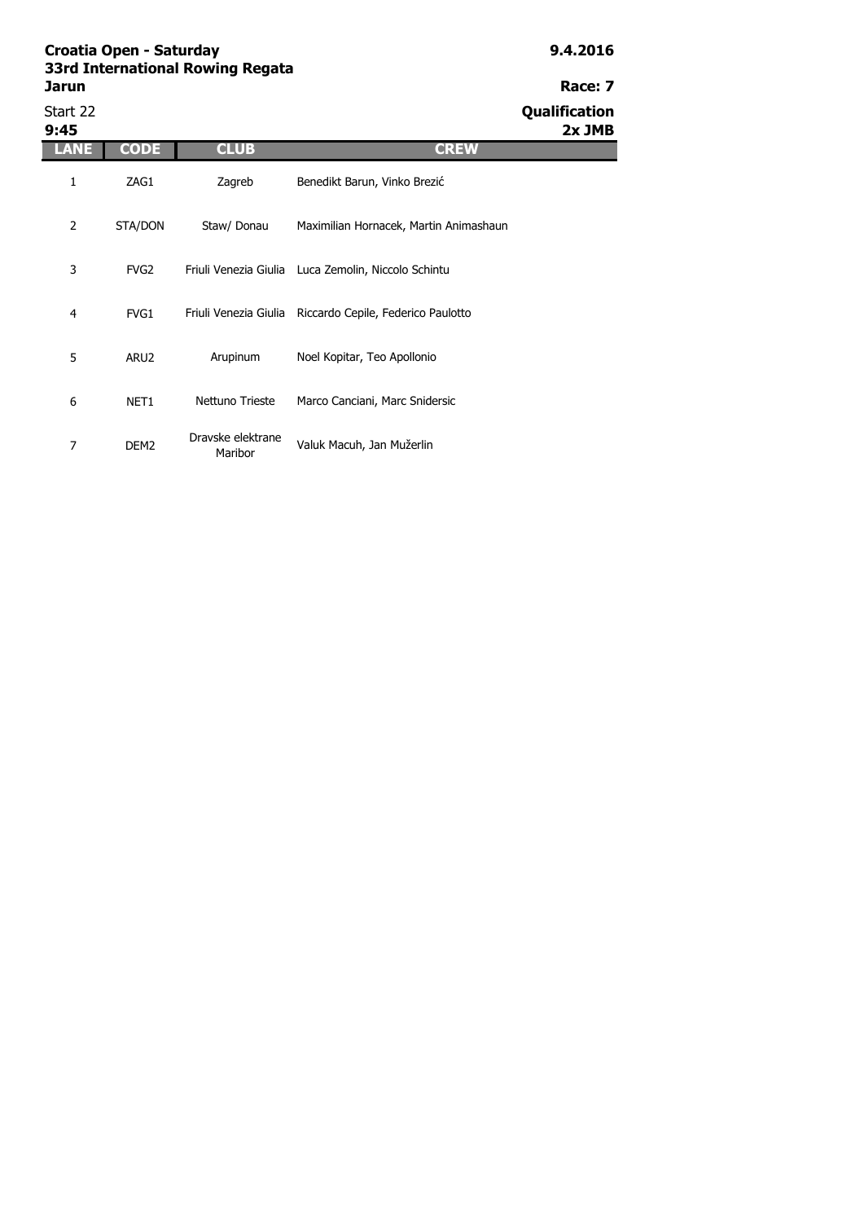# Start 22 **Qualification**

| 9:45 |                  |                              |                                                          | 2x JMB |
|------|------------------|------------------------------|----------------------------------------------------------|--------|
| LANE | <b>CODE</b>      | <b>CLUB</b>                  | <b>CREW</b>                                              |        |
| 1    | ZAG1             | Zagreb                       | Benedikt Barun, Vinko Brezić                             |        |
| 2    | STA/DON          | Staw/ Donau                  | Maximilian Hornacek, Martin Animashaun                   |        |
| 3    | FVG <sub>2</sub> |                              | Friuli Venezia Giulia Luca Zemolin, Niccolo Schintu      |        |
| 4    | FVG1             |                              | Friuli Venezia Giulia Riccardo Cepile, Federico Paulotto |        |
| 5    | ARU <sub>2</sub> | Arupinum                     | Noel Kopitar, Teo Apollonio                              |        |
| 6    | NET1             | Nettuno Trieste              | Marco Canciani, Marc Snidersic                           |        |
| 7    | DEM <sub>2</sub> | Dravske elektrane<br>Maribor | Valuk Macuh, Jan Mužerlin                                |        |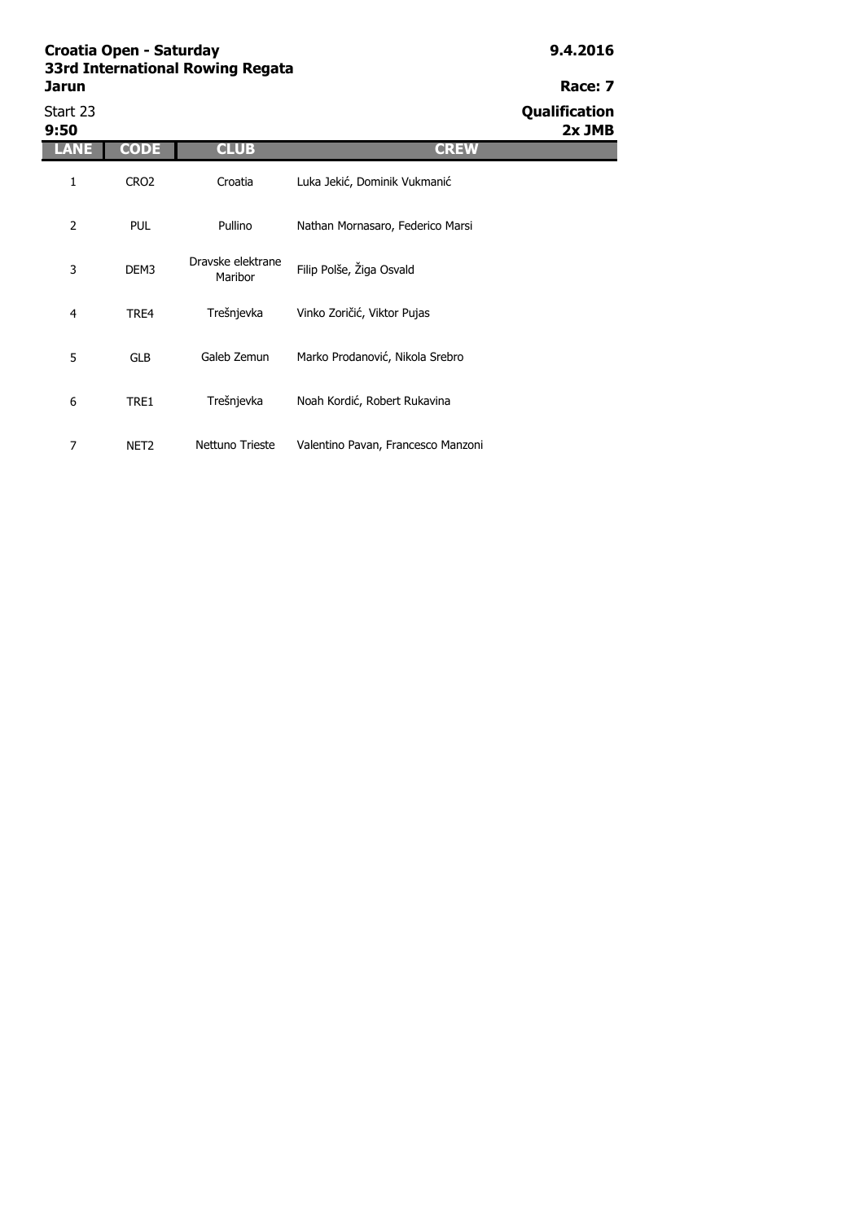| Start 23<br>9:50 |                  |                              |                                    | Qualification<br>$2x$ JMB |
|------------------|------------------|------------------------------|------------------------------------|---------------------------|
| ANE              | <b>CODE</b>      | <b>CLUB</b>                  | <b>CREW</b>                        |                           |
| 1                | CRO <sub>2</sub> | Croatia                      | Luka Jekić, Dominik Vukmanić       |                           |
| 2                | <b>PUL</b>       | Pullino                      | Nathan Mornasaro, Federico Marsi   |                           |
| 3                | DEM3             | Dravske elektrane<br>Maribor | Filip Polše, Žiga Osvald           |                           |
| $\overline{4}$   | TRE4             | Trešnjevka                   | Vinko Zoričić, Viktor Pujas        |                           |
| 5                | <b>GLB</b>       | Galeb Zemun                  | Marko Prodanović, Nikola Srebro    |                           |
| 6                | TRE1             | Trešnjevka                   | Noah Kordić, Robert Rukavina       |                           |
| 7                | NET <sub>2</sub> | Nettuno Trieste              | Valentino Pavan, Francesco Manzoni |                           |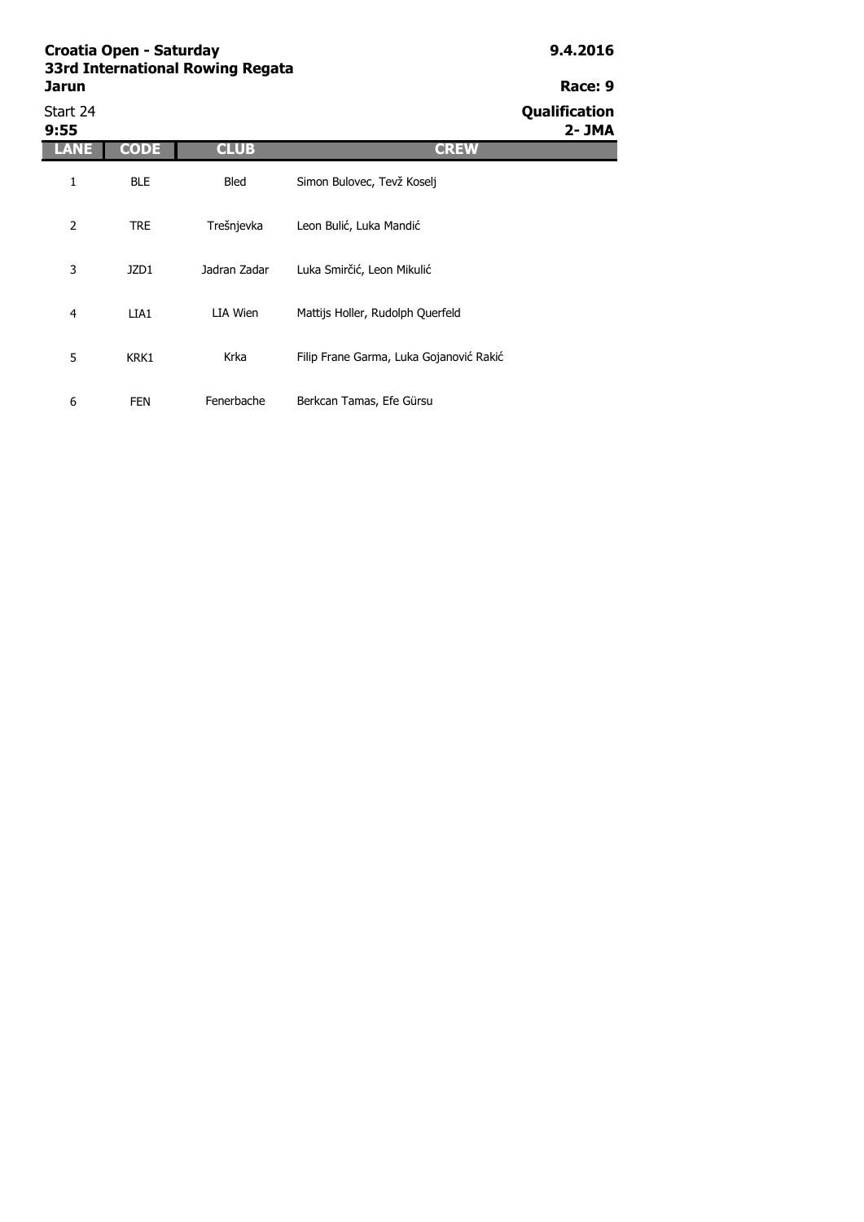Start 24 **Qualification 9:55 2- JMA LANE CODE CLUB CREW** 1 BLE 2 TRE 3 JZD1 4 LIA1 5 KRK1 6 FEN LIA Wien Mattijs Holler, Rudolph Querfeld Krka Filip Frane Garma, Luka Gojanović Rakić Fenerbache Berkcan Tamas, Efe Gürsu Bled Simon Bulovec, Tevž Koselj Trešnjevka Leon Bulić, Luka Mandić Jadran Zadar Luka Smirčić, Leon Mikulić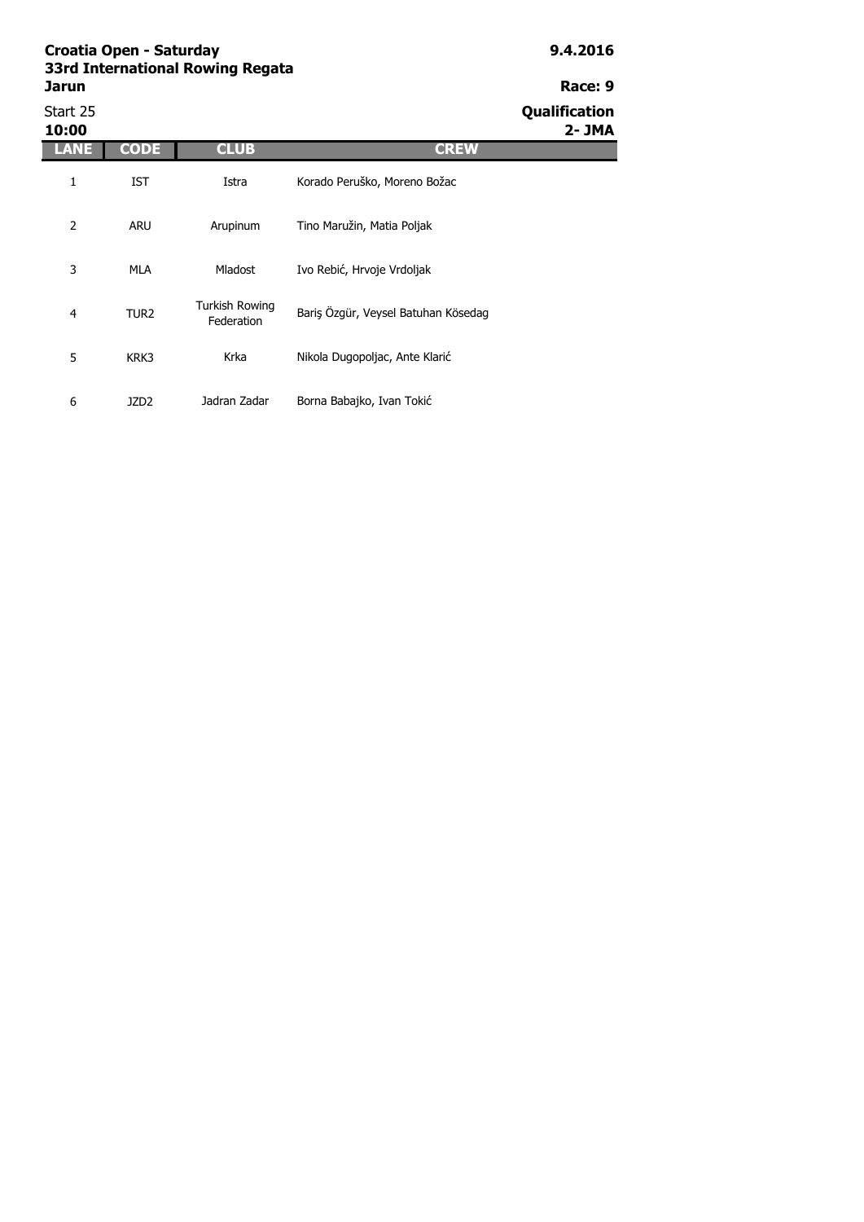Start 25 **Qualification 10:00 2- JMA LANE CODE CLUB CREW** 1 IST 2 ARU 3 MLA 4 TUR2 5 KRK3 6 JZD2 Turkish Rowing Irkisti Rowling<br>Federation Bariş Özgür, Veysel Batuhan Kösedag Krka Nikola Dugopoljac, Ante Klarić Jadran Zadar Borna Babajko, Ivan Tokić Istra Korado Peruško, Moreno Božac Arupinum Tino Maružin, Matia Poljak Mladost Ivo Rebić, Hrvoje Vrdoljak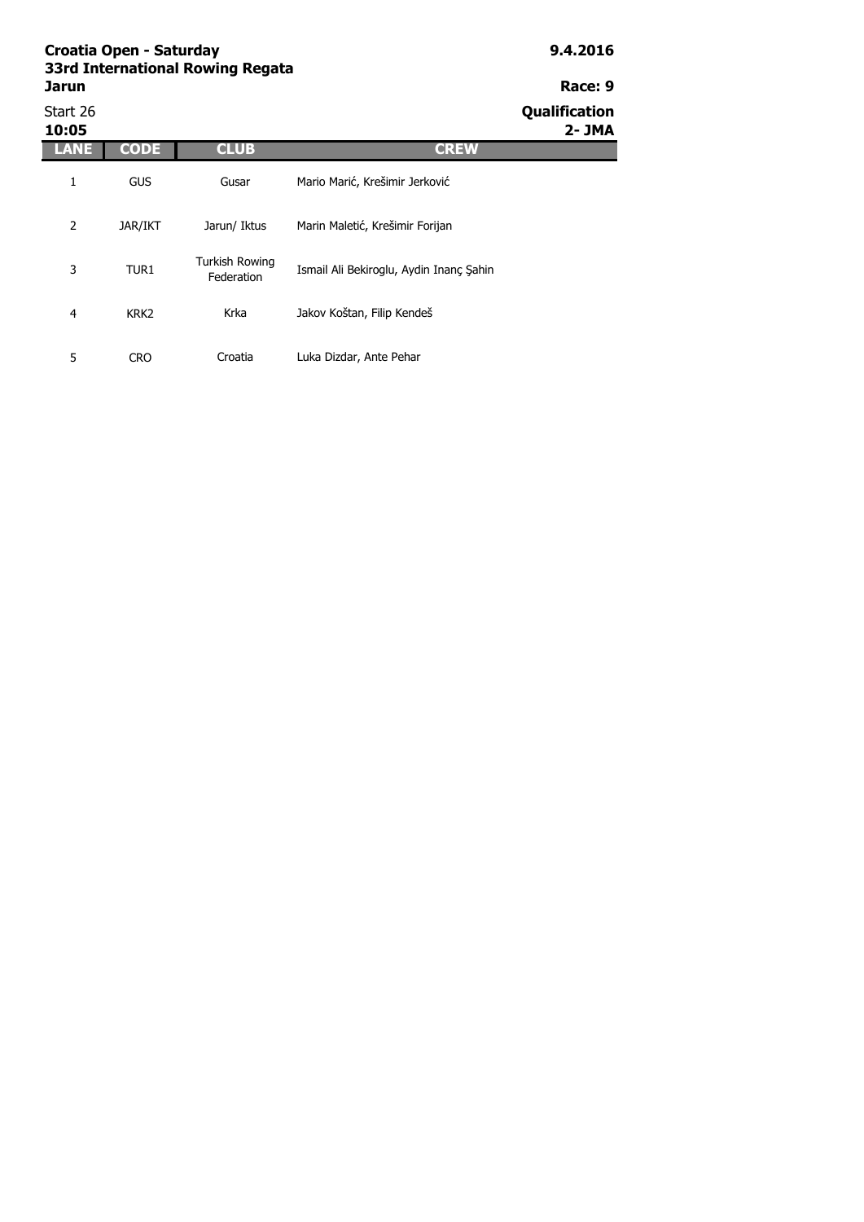## **Croatia Open - Saturday 9.4.2016 33rd**

| 33rd International Rowing Regata |  |         |
|----------------------------------|--|---------|
| Jarun                            |  | Race: 9 |
| .                                |  | . .     |

### Start 26 **Qualification 10:05 2- JMA LANE CODE CLUB CREW** 1 GUS 2 JAR/IKT 3 TUR1 4 KRK2 5 CRO Krka Jakov Koštan, Filip Kendeš Croatia Luka Dizdar, Ante Pehar Gusar Mario Marić, Krešimir Jerković Jarun/ Iktus Marin Maletić, Krešimir Forijan Turkish Rowing Ismail Ali Bekiroglu, Aydin Inanç Şahin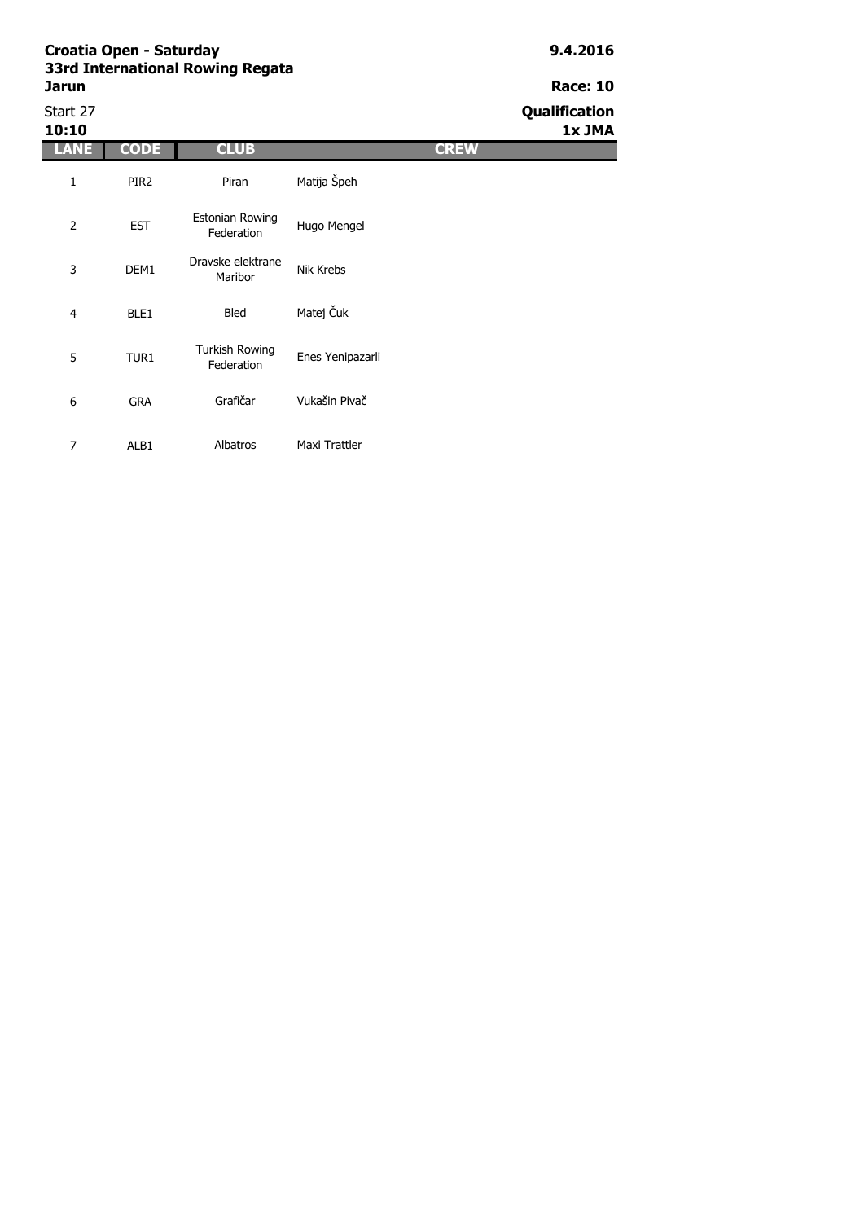**Jarun Race: 10**<br> **Race: 10**<br>
Start 27 **Oualification** 

| Start 27<br>10:10 |                  |                                      |                  |             | Qualification<br>1x JMA |
|-------------------|------------------|--------------------------------------|------------------|-------------|-------------------------|
| <b>LANE</b>       | <b>CODE</b>      | <b>CLUB</b>                          |                  | <b>CREW</b> |                         |
| 1                 | PIR <sub>2</sub> | Piran                                | Matija Špeh      |             |                         |
| 2                 | <b>EST</b>       | <b>Estonian Rowing</b><br>Federation | Hugo Mengel      |             |                         |
| 3                 | DEM1             | Dravske elektrane<br>Maribor         | Nik Krebs        |             |                         |
| 4                 | BLE1             | Bled                                 | Matej Čuk        |             |                         |
| 5                 | TUR1             | <b>Turkish Rowing</b><br>Federation  | Enes Yenipazarli |             |                         |
| 6                 | <b>GRA</b>       | Grafičar                             | Vukašin Pivač    |             |                         |
| $\overline{7}$    | ALB1             | Albatros                             | Maxi Trattler    |             |                         |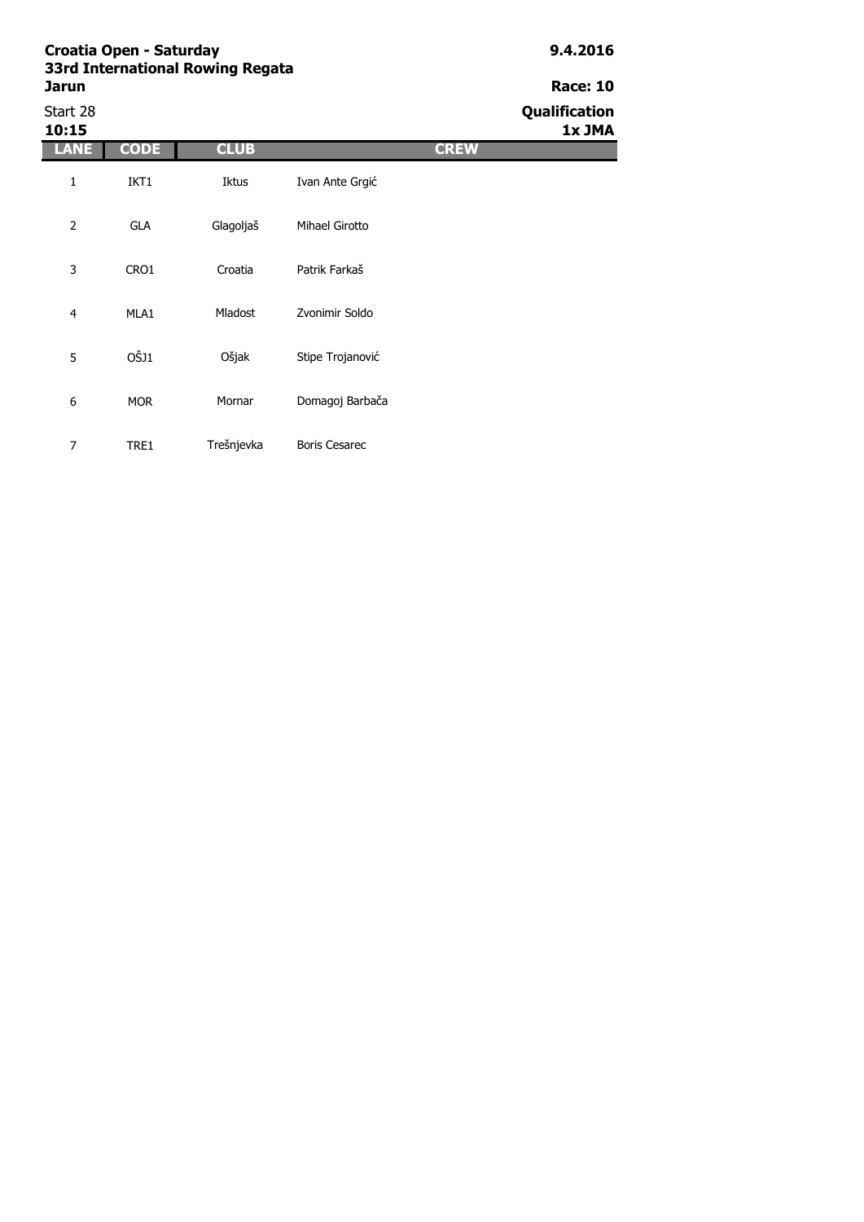## **Croatia Open - Saturday 9.4.2016 33rd I**

| 33rd International Rowing Regata |                                                              |
|----------------------------------|--------------------------------------------------------------|
| <b>Jarun</b>                     | <b>Race: 10</b>                                              |
| $C_{\pm}$ $\pm$ 20               | $\mathbf{A} = \mathbf{B} \mathbf{B} + \mathbf{B} \mathbf{B}$ |

7 TRE1 Trešnjevka Boris Cesarec

Start 28 **Qualification 10:15 1x JMA LANE CODE CLUB CREW** 1 IKT1 2 GLA 3 CRO1 4 MLA1 5 OŠJ1 6 MOR Mladost Zvonimir Soldo Ošjak Stipe Trojanović Mornar Domagoj Barbača Iktus Ivan Ante Grgić Glagoljaš Mihael Girotto Croatia Patrik Farkaš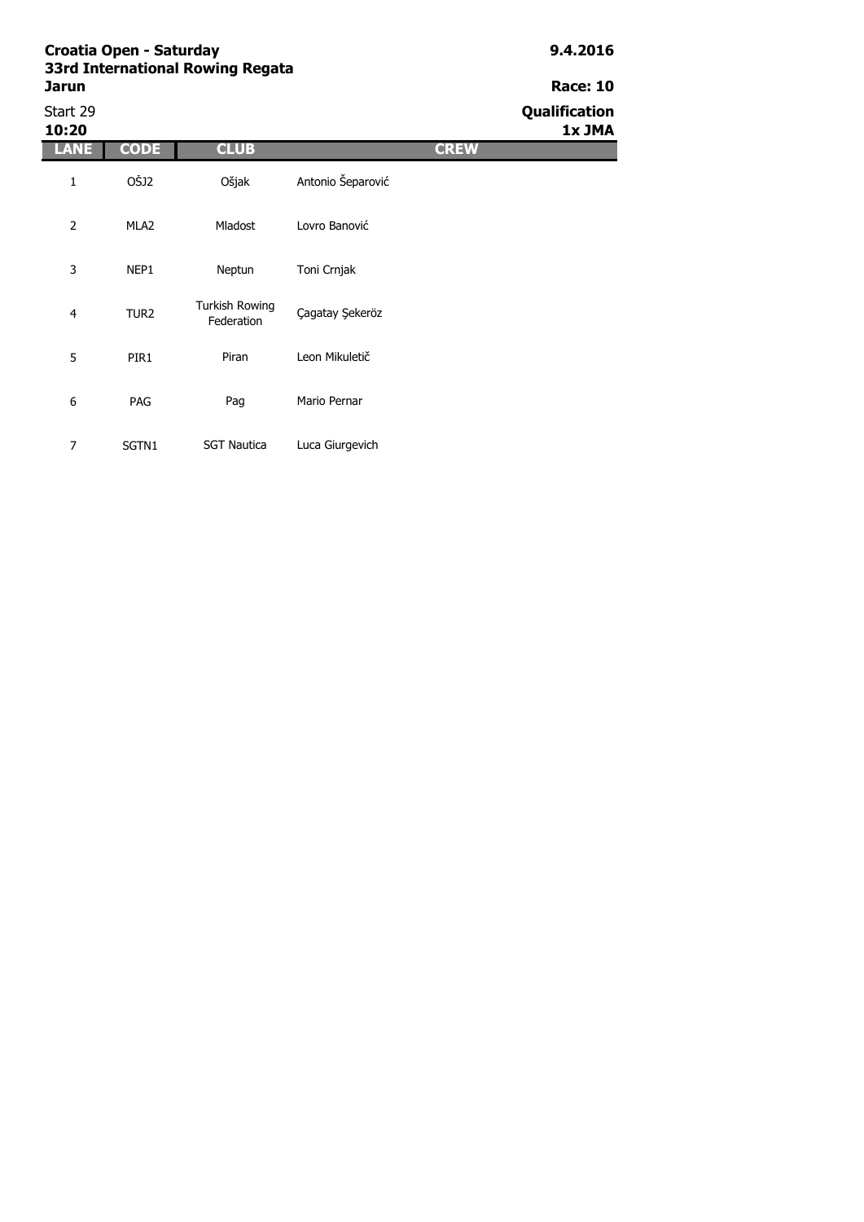## **Croatia Open - Saturday 9.4.2016 33rd**

| 33rd International Rowing Regata |                      |
|----------------------------------|----------------------|
| Jarun                            | <b>Race: 10</b>      |
| Start 29                         | <b>Qualification</b> |

| Start 29<br>10:20 |                  |                                     |                   |             | Qualification<br>1x JMA |
|-------------------|------------------|-------------------------------------|-------------------|-------------|-------------------------|
| <b>LANE</b>       | <b>CODE</b>      | <b>CLUB</b>                         |                   | <b>CREW</b> |                         |
| 1                 | OŠJ2             | Ošjak                               | Antonio Šeparović |             |                         |
| $\overline{2}$    | MLA <sub>2</sub> | Mladost                             | Lovro Banović     |             |                         |
| 3                 | NEP1             | Neptun                              | Toni Crnjak       |             |                         |
| 4                 | TUR <sub>2</sub> | <b>Turkish Rowing</b><br>Federation | Çagatay Şekeröz   |             |                         |
| 5                 | PIR1             | Piran                               | Leon Mikuletič    |             |                         |
| 6                 | PAG              | Pag                                 | Mario Pernar      |             |                         |
| $\overline{7}$    | SGTN1            | <b>SGT Nautica</b>                  | Luca Giurgevich   |             |                         |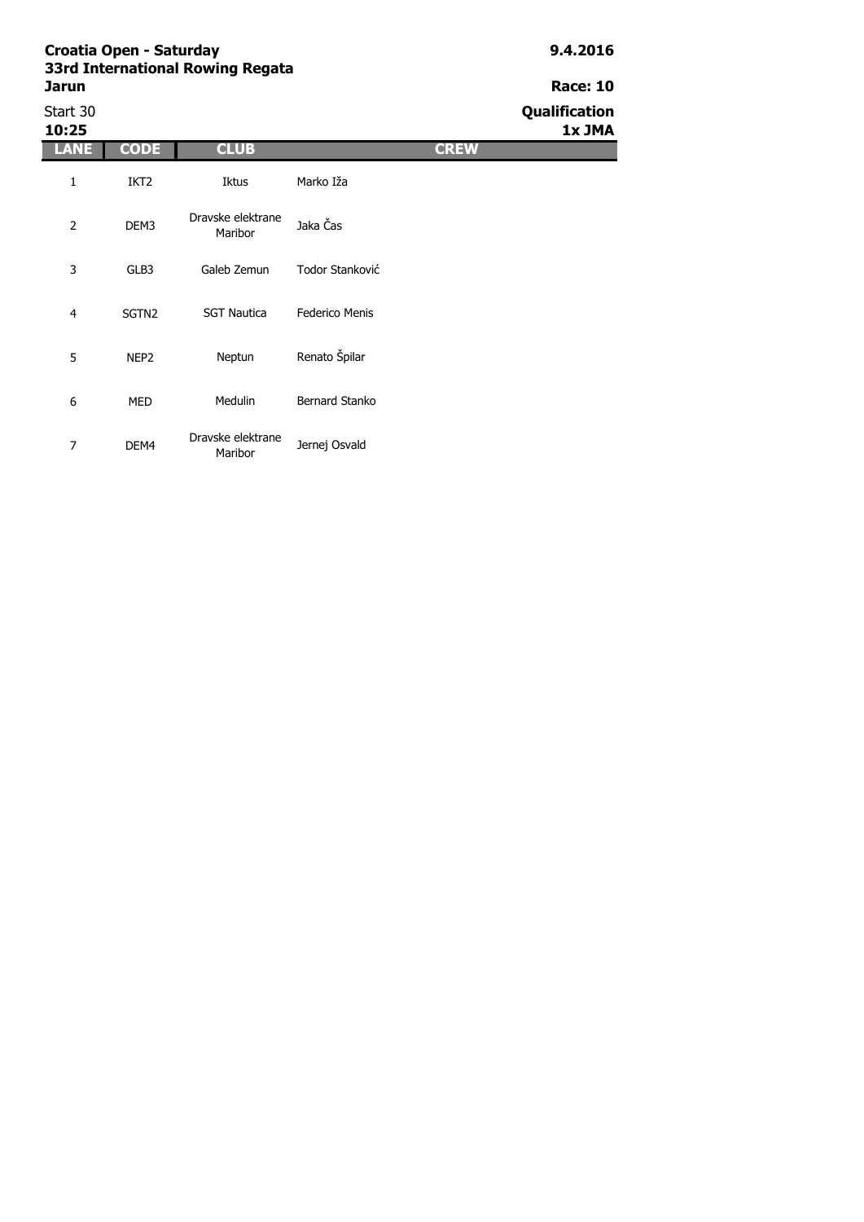| Start 30<br>10:25 |                   |                              |                       | Qualification<br>1x JMA |
|-------------------|-------------------|------------------------------|-----------------------|-------------------------|
| LANE              | <b>CODE</b>       | <b>CLUB</b>                  | <b>CREW</b>           |                         |
| $\mathbf 1$       | IKT <sub>2</sub>  | Iktus                        | Marko Iža             |                         |
| $\overline{2}$    | DEM3              | Dravske elektrane<br>Maribor | Jaka Čas              |                         |
| 3                 | GLB3              | Galeb Zemun                  | Todor Stanković       |                         |
| $\overline{4}$    | SGTN <sub>2</sub> | <b>SGT Nautica</b>           | <b>Federico Menis</b> |                         |
| 5                 | NEP <sub>2</sub>  | Neptun                       | Renato Špilar         |                         |
| 6                 | MED               | Medulin                      | Bernard Stanko        |                         |
| 7                 | DEM4              | Dravske elektrane<br>Maribor | Jernej Osvald         |                         |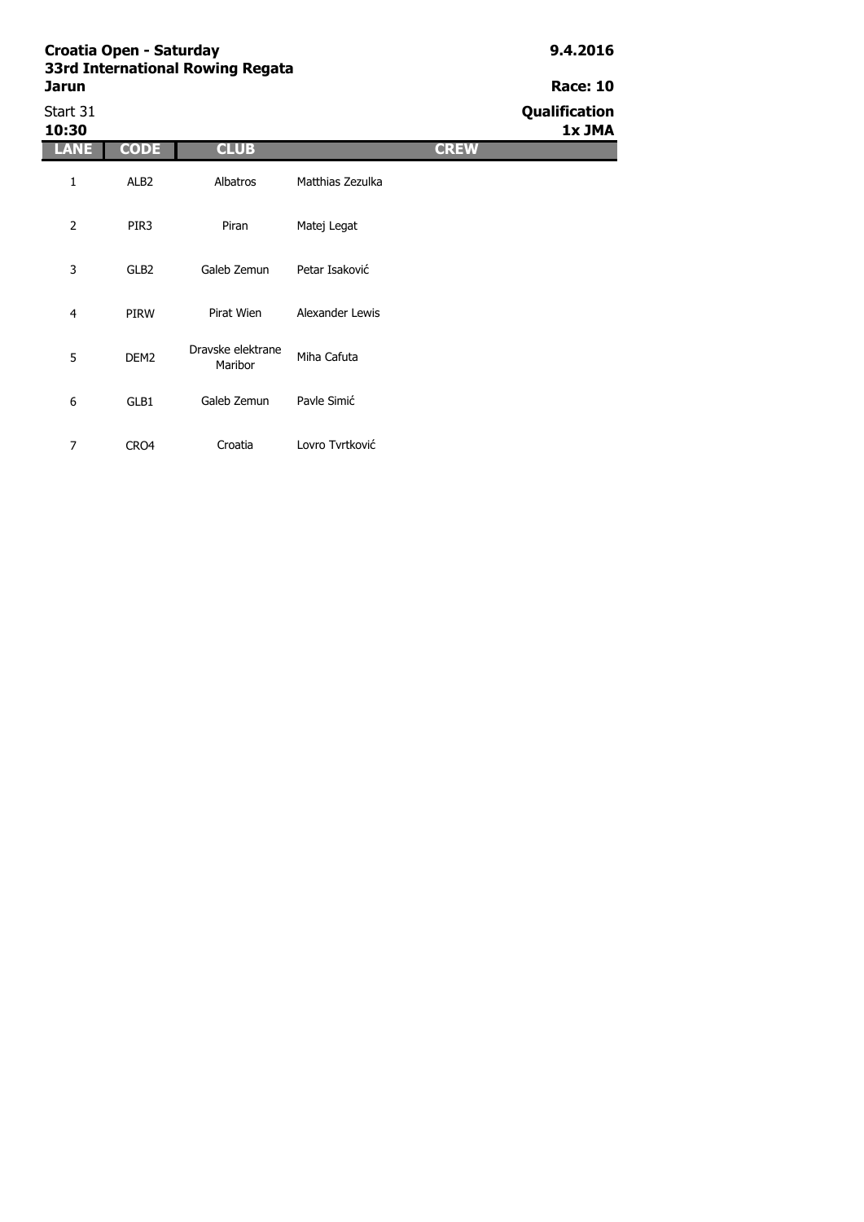| 33rd International Rowing Regata |                 |  |  |  |
|----------------------------------|-----------------|--|--|--|
| Jarun                            | <b>Race: 10</b> |  |  |  |
| Start 31                         | Qualification   |  |  |  |

| Start 31<br>10:30 |                  |                              |                  |             | Qualification<br>1x JMA |
|-------------------|------------------|------------------------------|------------------|-------------|-------------------------|
| <b>LANE</b>       | <b>CODE</b>      | <b>CLUB</b>                  |                  | <b>CREW</b> |                         |
| 1                 | ALB <sub>2</sub> | Albatros                     | Matthias Zezulka |             |                         |
| $\overline{2}$    | PIR <sub>3</sub> | Piran                        | Matej Legat      |             |                         |
| 3                 | GLB <sub>2</sub> | Galeb Zemun                  | Petar Isaković   |             |                         |
| $\overline{4}$    | <b>PIRW</b>      | Pirat Wien                   | Alexander Lewis  |             |                         |
| 5                 | DEM <sub>2</sub> | Dravske elektrane<br>Maribor | Miha Cafuta      |             |                         |
| 6                 | GLB1             | Galeb Zemun                  | Pavle Simić      |             |                         |
| 7                 | CRO4             | Croatia                      | Lovro Tvrtković  |             |                         |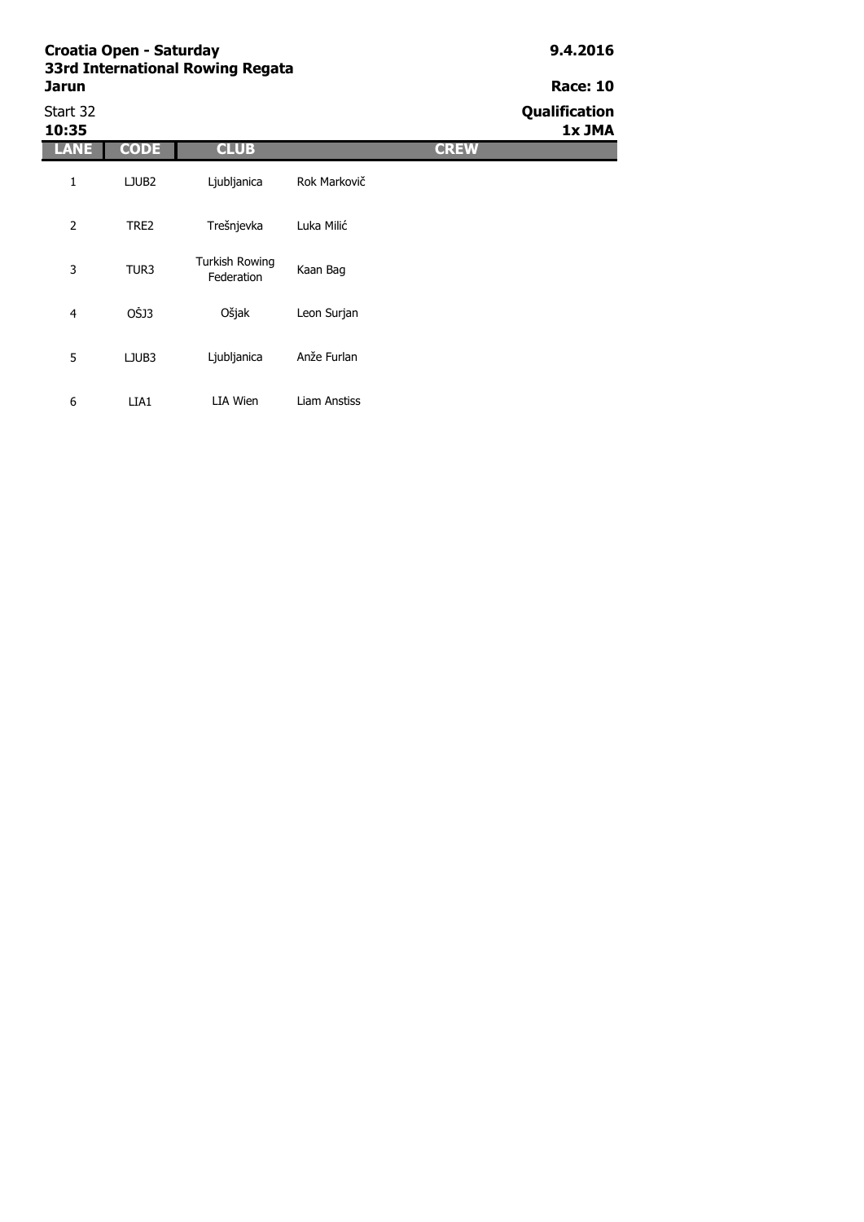| Croatia Open - Saturday<br>33rd International Rowing Regata<br>Jarun |                   |                                     |              |             | 9.4.2016                       |  |
|----------------------------------------------------------------------|-------------------|-------------------------------------|--------------|-------------|--------------------------------|--|
|                                                                      |                   |                                     |              |             | <b>Race: 10</b>                |  |
| Start 32<br>10:35                                                    |                   |                                     |              |             | <b>Qualification</b><br>1x JMA |  |
| <b>LANE</b>                                                          | <b>CODE</b>       | <b>CLUB</b>                         |              | <b>CREW</b> |                                |  |
| 1                                                                    | LJUB <sub>2</sub> | Ljubljanica                         | Rok Markovič |             |                                |  |
| $\overline{2}$                                                       | TRE2              | Trešnjevka                          | Luka Milić   |             |                                |  |
| 3                                                                    | TUR3              | <b>Turkish Rowing</b><br>Federation | Kaan Bag     |             |                                |  |
| $\overline{4}$                                                       | OŠJ3              | Ošjak                               | Leon Surjan  |             |                                |  |
| 5                                                                    | LJUB3             | Ljubljanica                         | Anže Furlan  |             |                                |  |
| 6                                                                    | LIA1              | LIA Wien                            | Liam Anstiss |             |                                |  |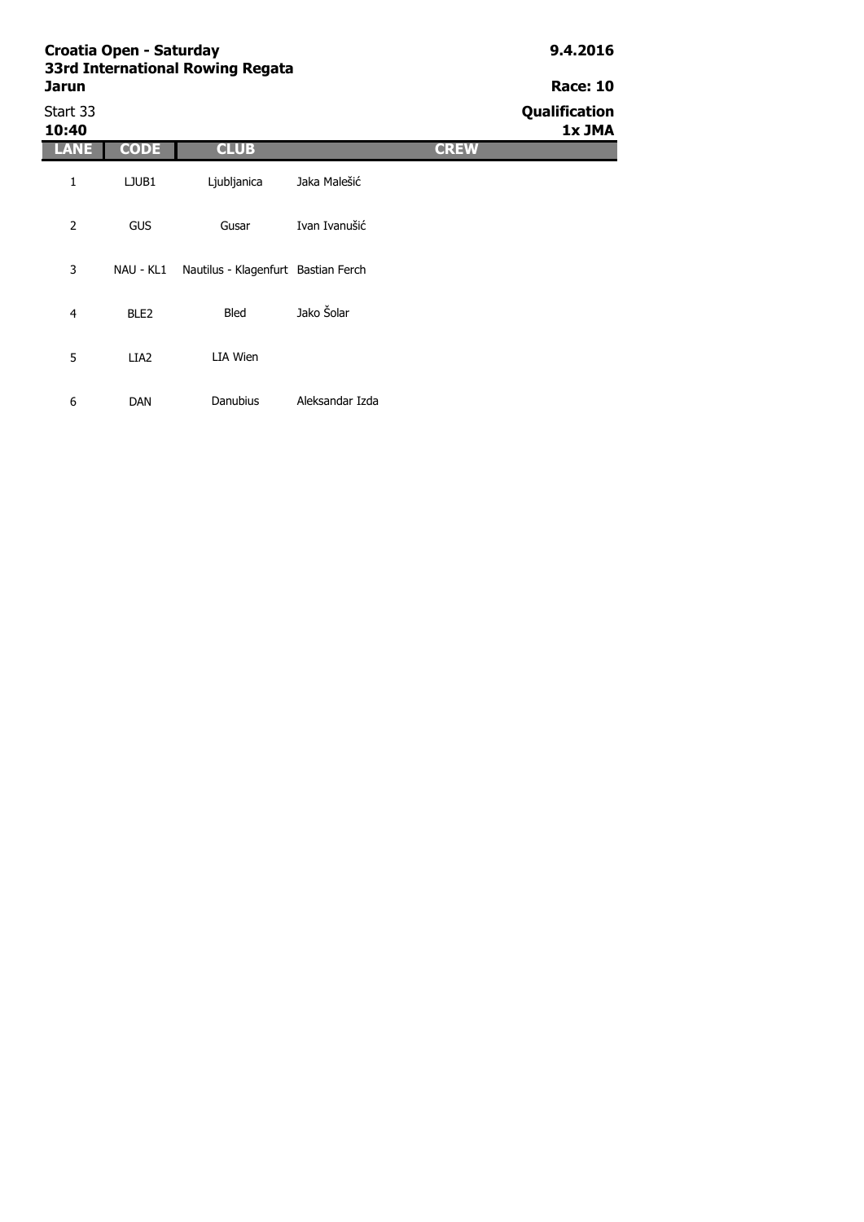# **Jarun Race: 10**

6 DAN

Start 33 **Qualification 10:40 1x JMA LANE CODE CLUB CREW** 1 LJUB1 2 GUS 3 NAU - KL1 Nautilus - Klagenfurt Bastian Ferch4 BLE2 5 LIA2 Bled Jako Šolar LIA Wien Ljubljanica Jaka Malešić Gusar Ivan Ivanušić

Danubius Aleksandar Izda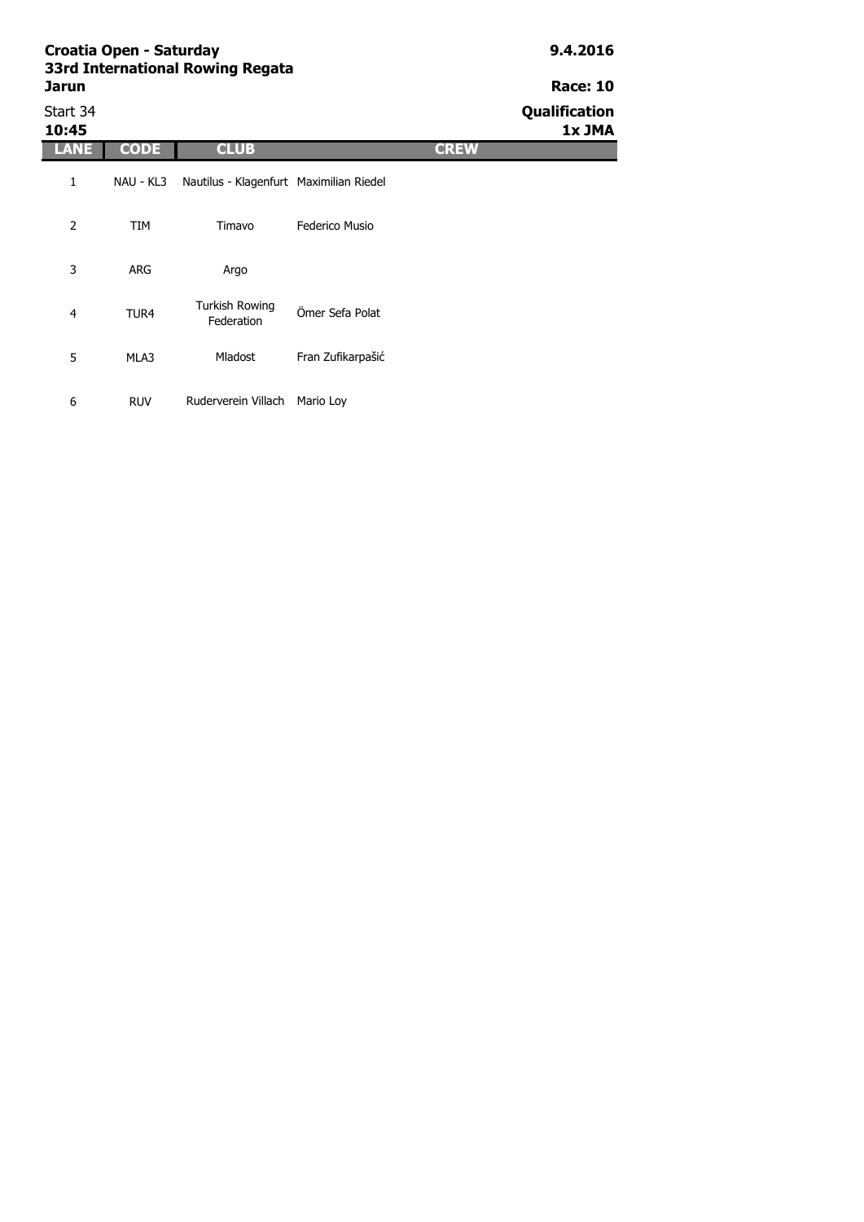| Croatia Open - Saturday<br>33rd International Rowing Regata |             |                                         |                   |             | 9.4.2016                       |
|-------------------------------------------------------------|-------------|-----------------------------------------|-------------------|-------------|--------------------------------|
| <b>Jarun</b>                                                |             |                                         |                   |             | <b>Race: 10</b>                |
| Start 34<br>10:45                                           |             |                                         |                   |             | <b>Qualification</b><br>1x JMA |
| <b>LANE</b>                                                 | <b>CODE</b> | <b>CLUB</b>                             |                   | <b>CREW</b> |                                |
| 1                                                           | NAU - KL3   | Nautilus - Klagenfurt Maximilian Riedel |                   |             |                                |
| 2                                                           | TIM         | Timavo                                  | Federico Musio    |             |                                |
| 3                                                           | <b>ARG</b>  | Argo                                    |                   |             |                                |
| 4                                                           | TUR4        | <b>Turkish Rowing</b><br>Federation     | Ömer Sefa Polat   |             |                                |
| 5                                                           | MLA3        | <b>Mladost</b>                          | Fran Zufikarpašić |             |                                |

6 RUV Ruderverein Villach Mario Loy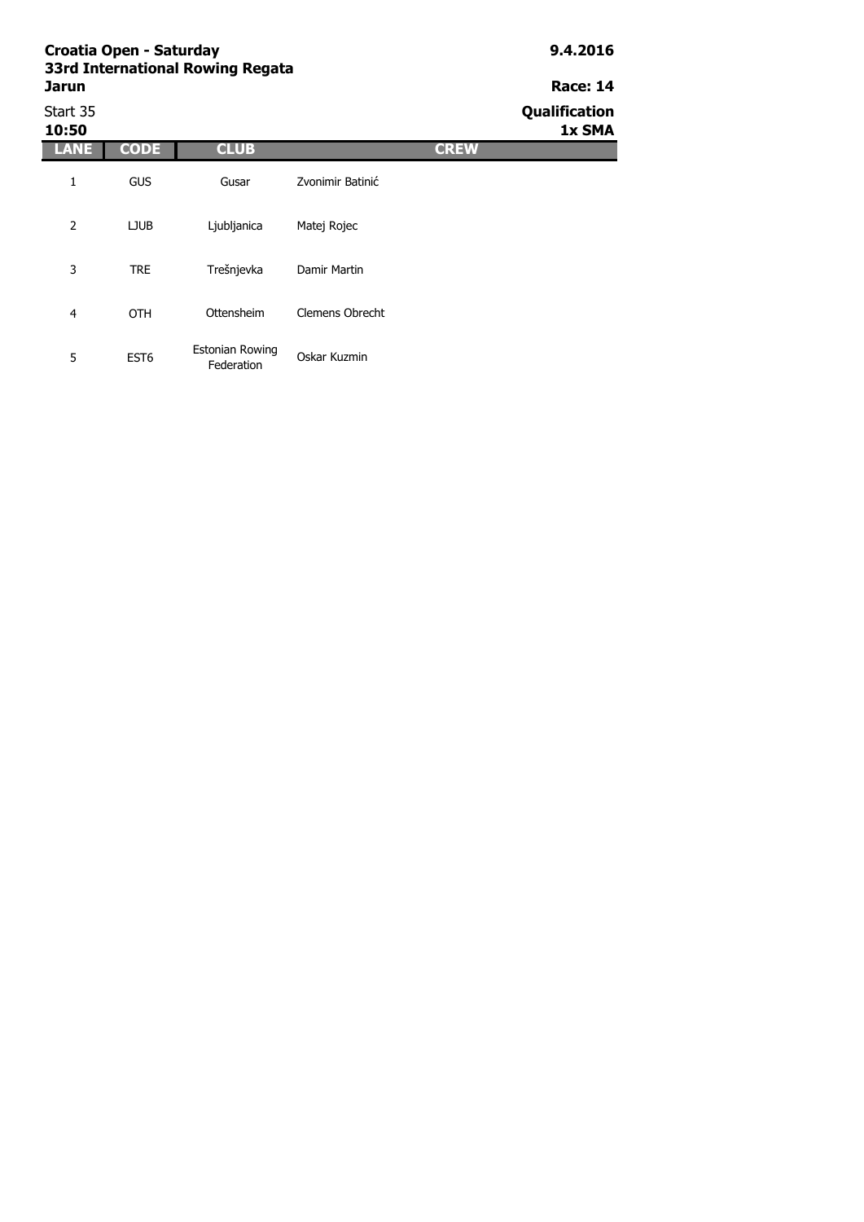## **Jarun Race: 14** Start 35 **Qualification**

**10:50 1x SMA LANE CODE CLUB CREW** 1 GUS 2 LJUB Gusar Zvonimir Batinić Ljubljanica Matej Rojec

3 TRE 4 OTH 5 EST6 Ottensheim Clemens Obrecht Estonian Rowing Federation Oskar Kuzmin Trešnjevka Damir Martin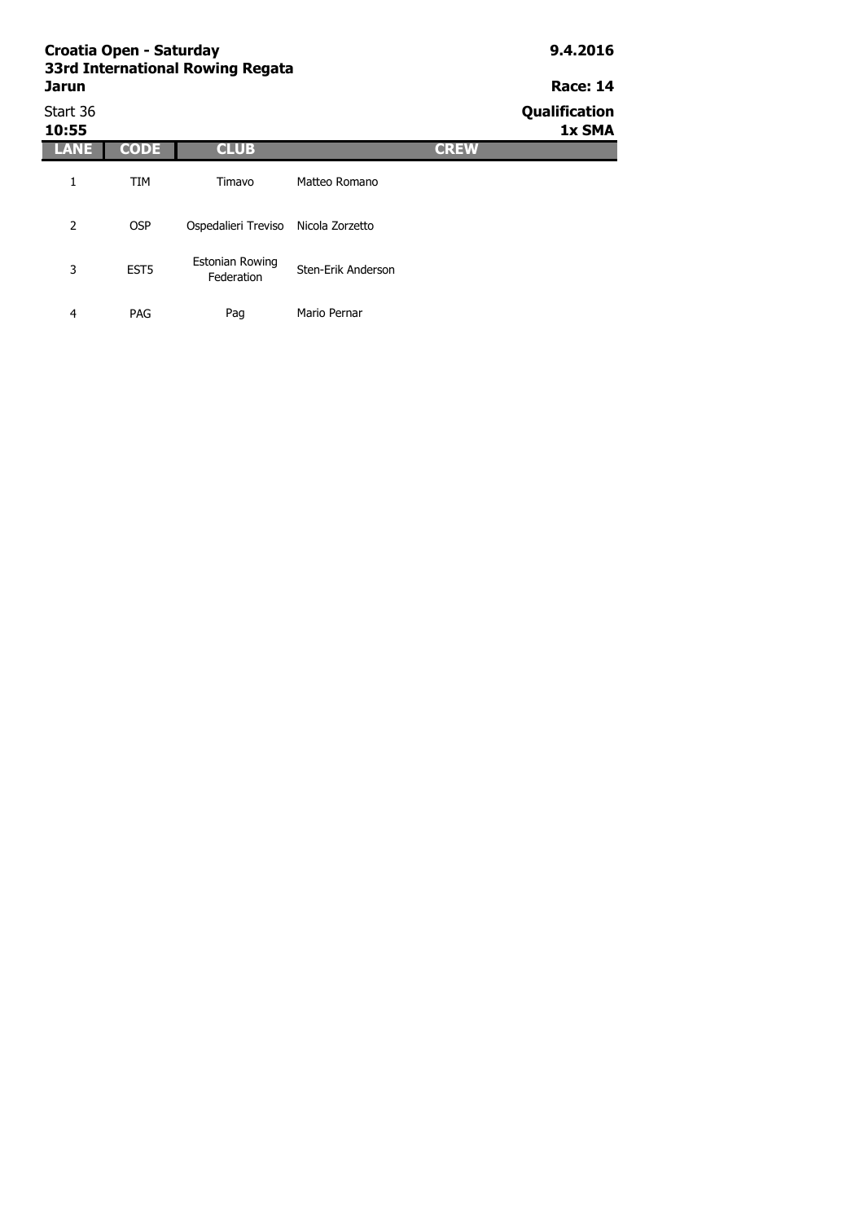|                          | Croatia Open - Saturday | 33rd International Rowing Regata |                    | 9.4.2016    |                                  |  |
|--------------------------|-------------------------|----------------------------------|--------------------|-------------|----------------------------------|--|
| <b>Jarun</b><br>Start 36 |                         |                                  |                    |             | <b>Race: 14</b><br>Qualification |  |
| 10:55                    |                         |                                  |                    |             | 1x SMA                           |  |
| LANE                     | <b>CODE</b>             | <b>CLUB</b>                      |                    | <b>CREW</b> |                                  |  |
| 1                        | <b>TIM</b>              | Timavo                           | Matteo Romano      |             |                                  |  |
| $\overline{2}$           | <b>OSP</b>              | Ospedalieri Treviso              | Nicola Zorzetto    |             |                                  |  |
| 3                        | EST <sub>5</sub>        | Estonian Rowing<br>Federation    | Sten-Erik Anderson |             |                                  |  |
| 4                        | PAG                     | Pag                              | Mario Pernar       |             |                                  |  |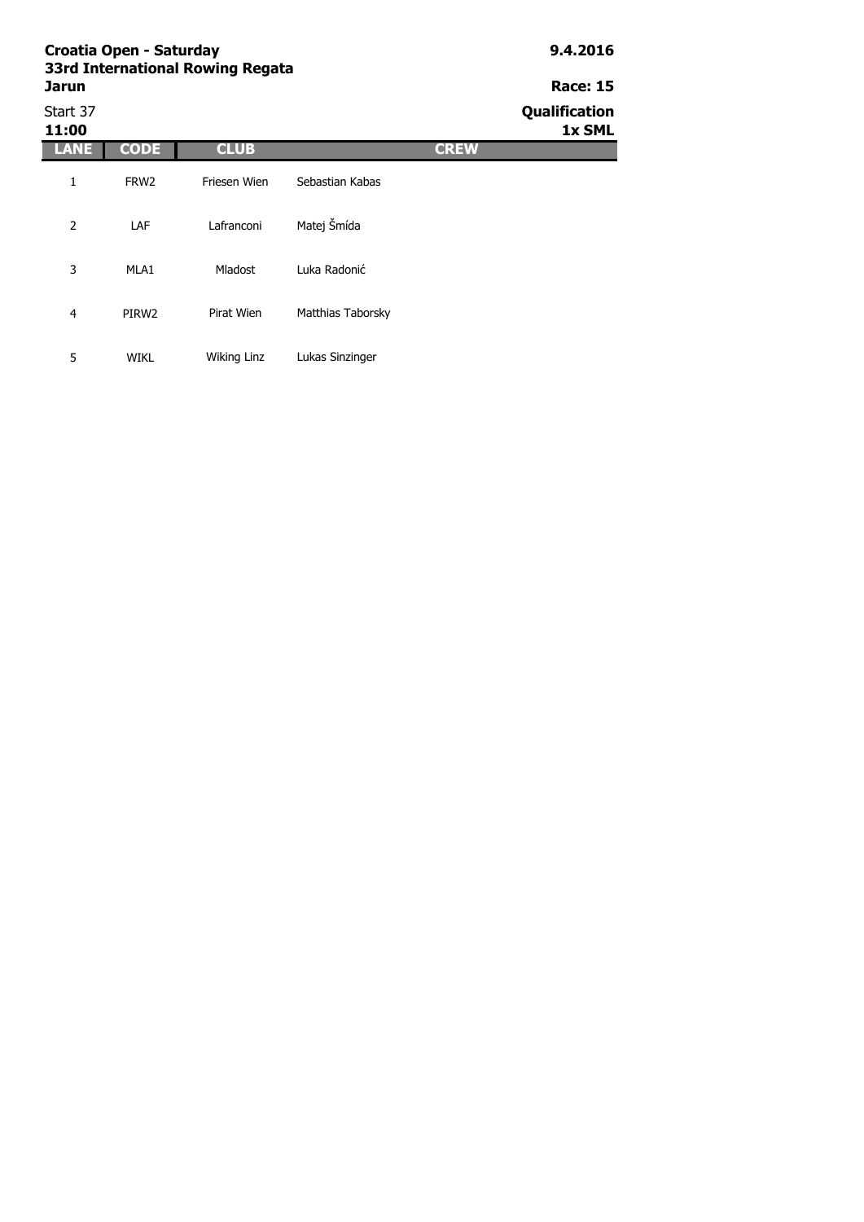|                   | Croatia Open - Saturday | 33rd International Rowing Regata |                   |             | 9.4.2016                |  |
|-------------------|-------------------------|----------------------------------|-------------------|-------------|-------------------------|--|
| Jarun             |                         |                                  |                   |             | <b>Race: 15</b>         |  |
| Start 37<br>11:00 |                         |                                  |                   |             | Qualification<br>1x SML |  |
| LANE              | <b>CODE</b>             | <b>CLUB</b>                      |                   | <b>CREW</b> |                         |  |
| $\mathbf{1}$      | FRW <sub>2</sub>        | Friesen Wien                     | Sebastian Kabas   |             |                         |  |
| 2                 | LAF                     | Lafranconi                       | Matej Šmída       |             |                         |  |
| 3                 | MLA1                    | <b>Mladost</b>                   | Luka Radonić      |             |                         |  |
| 4                 | PIRW <sub>2</sub>       | Pirat Wien                       | Matthias Taborsky |             |                         |  |
| 5                 | <b>WIKL</b>             | Wiking Linz                      | Lukas Sinzinger   |             |                         |  |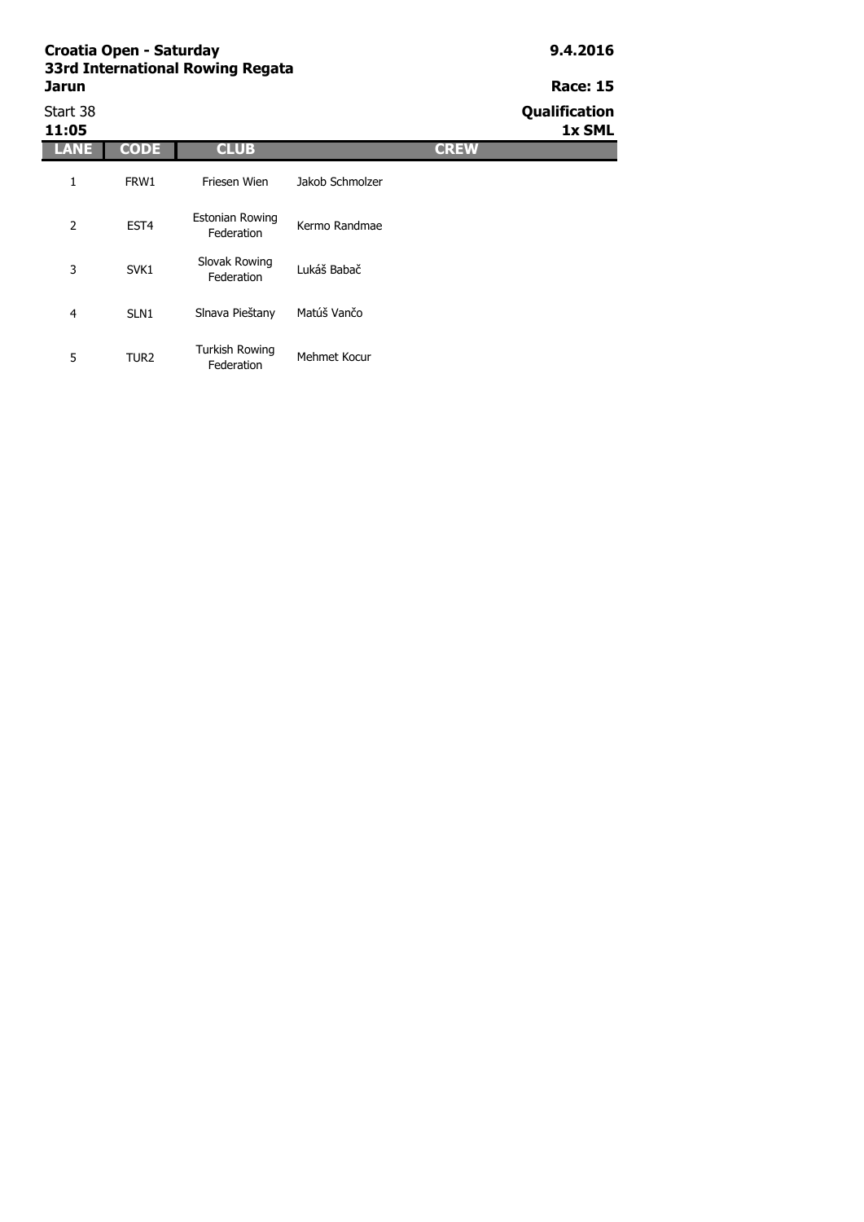# **Jarun Race: 15**

| Start 38<br>11:05 |                  |                                     |                 |             | Qualification<br>1x SML |
|-------------------|------------------|-------------------------------------|-----------------|-------------|-------------------------|
| LANE              | <b>CODE</b>      | <b>CLUB</b>                         |                 | <b>CREW</b> |                         |
| 1                 | FRW1             | Friesen Wien                        | Jakob Schmolzer |             |                         |
| 2                 | EST <sub>4</sub> | Estonian Rowing<br>Federation       | Kermo Randmae   |             |                         |
| 3                 | SVK1             | Slovak Rowing<br>Federation         | Lukáš Babač     |             |                         |
| 4                 | SLN <sub>1</sub> | Slnava Pieštany                     | Matúš Vančo     |             |                         |
| 5                 | TUR <sub>2</sub> | <b>Turkish Rowing</b><br>Federation | Mehmet Kocur    |             |                         |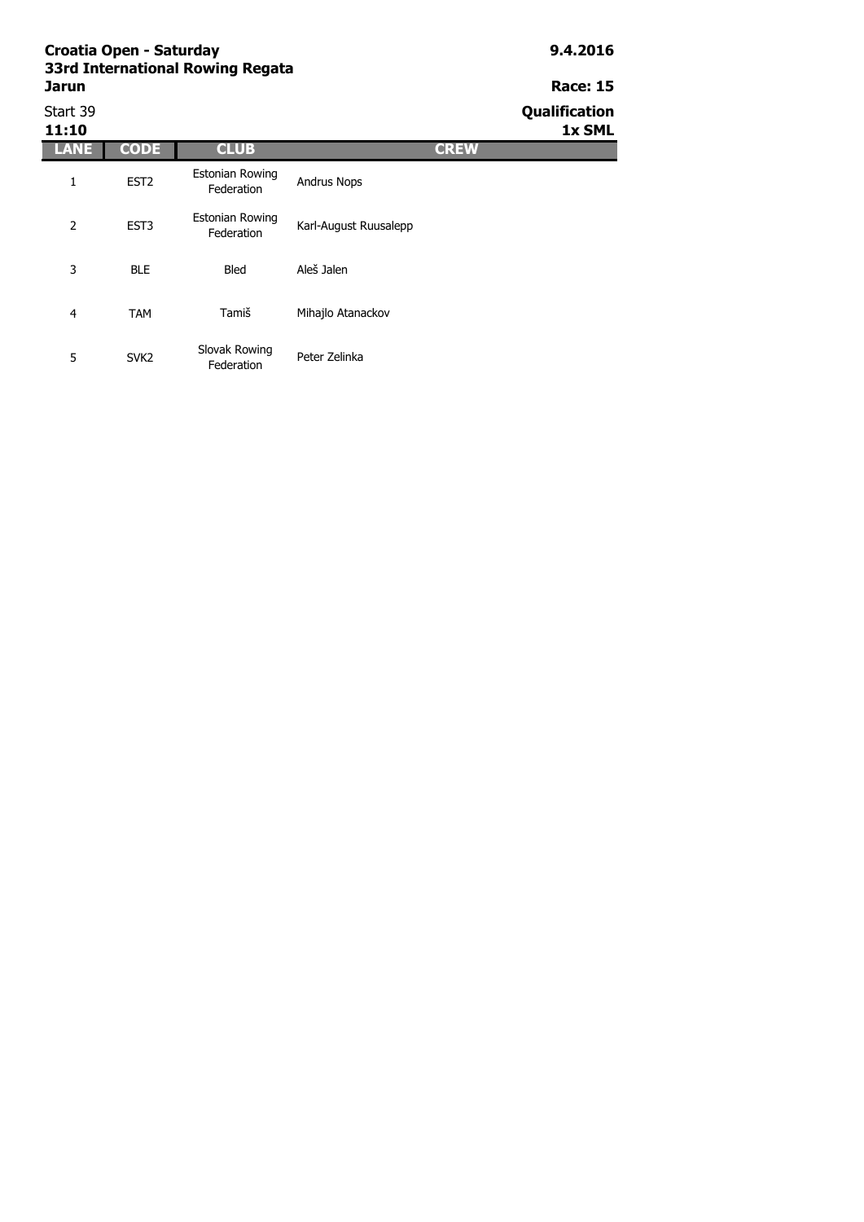| Start 39<br>11:10 |                  |                                      |                       |             | Qualification<br>1x SML |
|-------------------|------------------|--------------------------------------|-----------------------|-------------|-------------------------|
| <b>LANE</b>       | <b>CODE</b>      | <b>CLUB</b>                          |                       | <b>CREW</b> |                         |
| 1                 | EST <sub>2</sub> | <b>Estonian Rowing</b><br>Federation | <b>Andrus Nops</b>    |             |                         |
| 2                 | EST <sub>3</sub> | <b>Estonian Rowing</b><br>Federation | Karl-August Ruusalepp |             |                         |
| 3                 | <b>BLE</b>       | <b>Bled</b>                          | Aleš Jalen            |             |                         |
| $\overline{4}$    | <b>TAM</b>       | Tamiš                                | Mihajlo Atanackov     |             |                         |
| 5                 | SVK <sub>2</sub> | Slovak Rowing<br>Federation          | Peter Zelinka         |             |                         |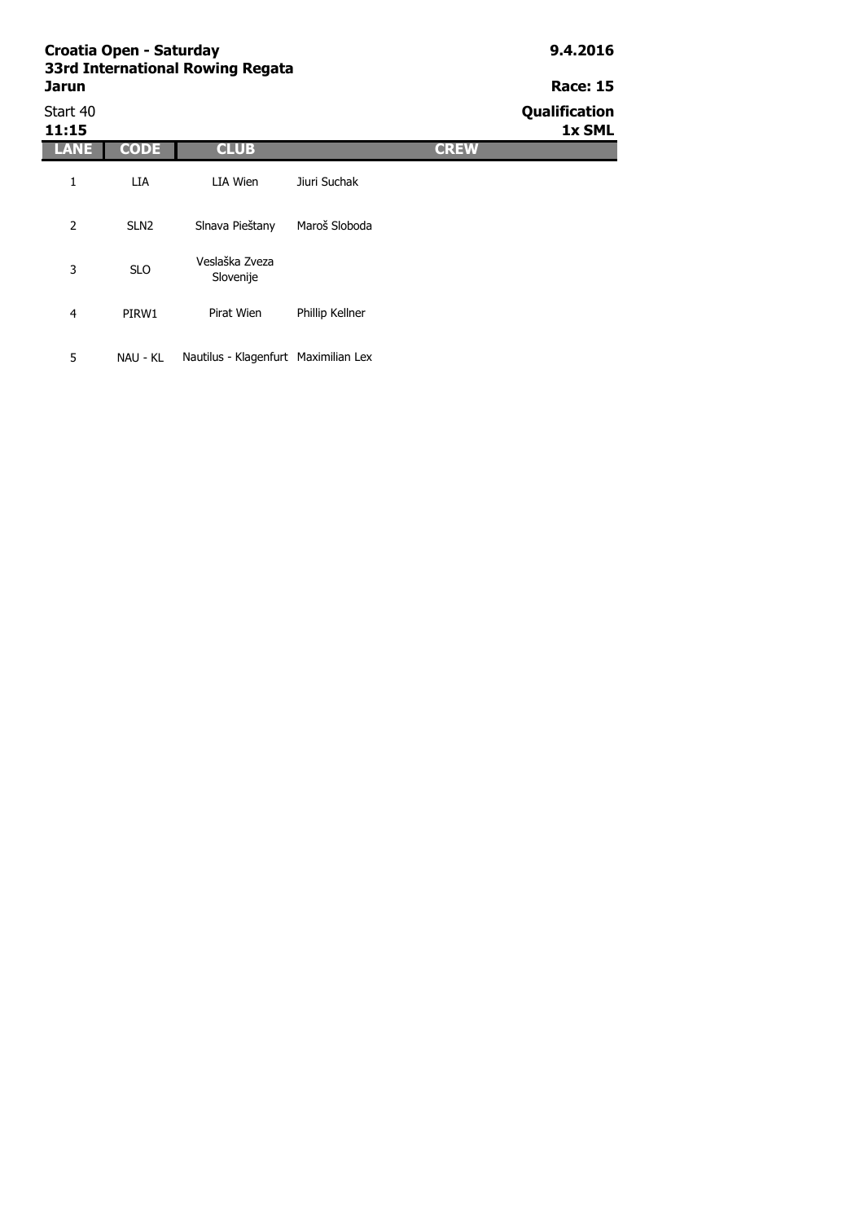| Jarun             | Croatia Open - Saturday | 33rd International Rowing Regata |                 |             | 9.4.2016<br><b>Race: 15</b> |
|-------------------|-------------------------|----------------------------------|-----------------|-------------|-----------------------------|
| Start 40<br>11:15 |                         |                                  |                 |             | Qualification<br>1x SML     |
| LANE              | <b>CODE</b>             | <b>CLUB</b>                      |                 | <b>CREW</b> |                             |
| 1                 | LIA                     | LIA Wien                         | Jiuri Suchak    |             |                             |
| 2                 | SLN <sub>2</sub>        | Slnava Pieštany                  | Maroš Sloboda   |             |                             |
| 3                 | <b>SLO</b>              | Veslaška Zveza<br>Slovenije      |                 |             |                             |
| 4                 | PIRW1                   | Pirat Wien                       | Phillip Kellner |             |                             |
|                   |                         |                                  |                 |             |                             |

5 NAU - KL Nautilus - Klagenfurt Maximilian Lex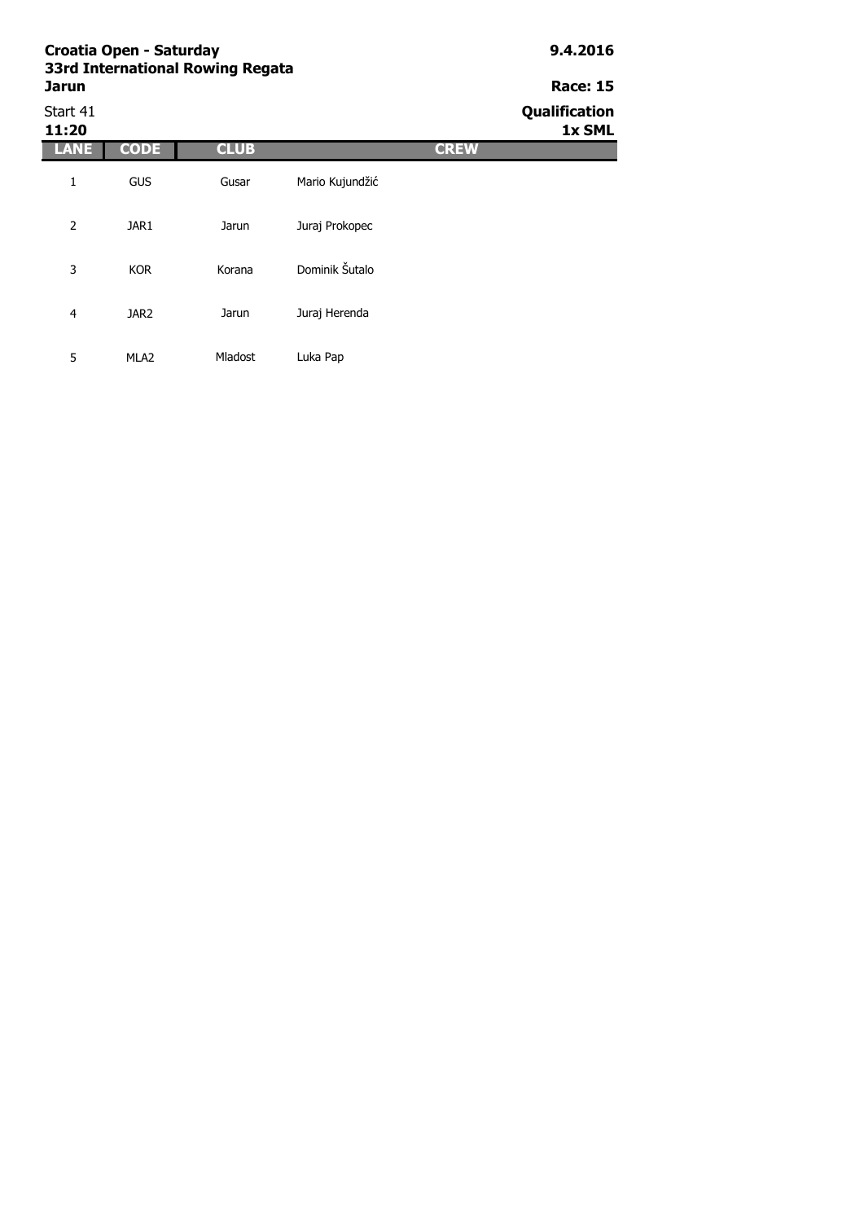|                   | Croatia Open - Saturday | <b>33rd International Rowing Regata</b> |                 |             | 9.4.2016                |
|-------------------|-------------------------|-----------------------------------------|-----------------|-------------|-------------------------|
| Jarun             |                         |                                         |                 |             | <b>Race: 15</b>         |
| Start 41<br>11:20 |                         |                                         |                 |             | Qualification<br>1x SML |
| LANE              | <b>CODE</b>             | <b>CLUB</b>                             |                 | <b>CREW</b> |                         |
| 1                 | <b>GUS</b>              | Gusar                                   | Mario Kujundžić |             |                         |
| $\overline{2}$    | JAR1                    | Jarun                                   | Juraj Prokopec  |             |                         |
| 3                 | <b>KOR</b>              | Korana                                  | Dominik Šutalo  |             |                         |
| 4                 | JAR <sub>2</sub>        | Jarun                                   | Juraj Herenda   |             |                         |
| 5                 | MLA <sub>2</sub>        | <b>Mladost</b>                          | Luka Pap        |             |                         |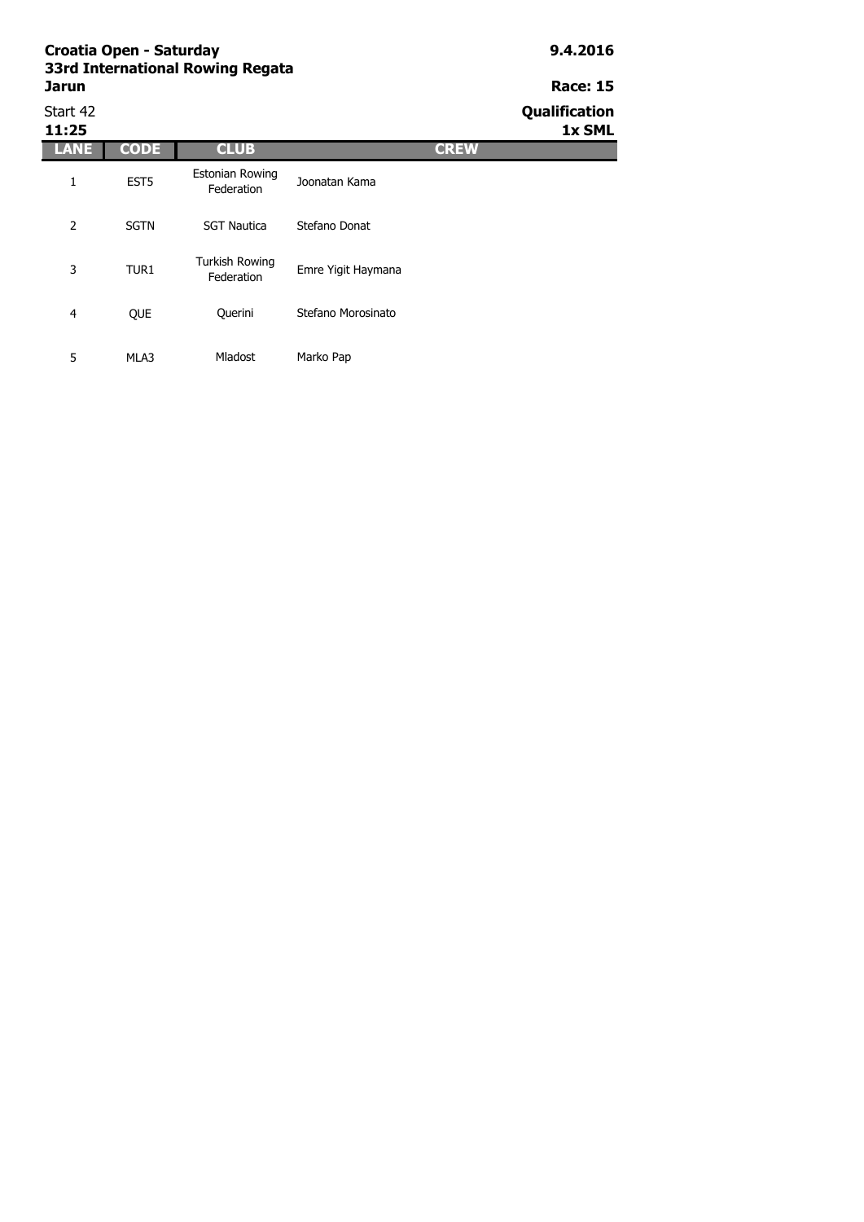| Start 42<br>11:25 |                  |                                      |                    |             | Qualification<br>1x SML |
|-------------------|------------------|--------------------------------------|--------------------|-------------|-------------------------|
| ANE               | <b>CODE</b>      | <b>CLUB</b>                          |                    | <b>CREW</b> |                         |
| 1                 | EST <sub>5</sub> | <b>Estonian Rowing</b><br>Federation | Joonatan Kama      |             |                         |
| 2                 | <b>SGTN</b>      | <b>SGT Nautica</b>                   | Stefano Donat      |             |                         |
| 3                 | TUR1             | <b>Turkish Rowing</b><br>Federation  | Emre Yigit Haymana |             |                         |
| 4                 | QUE              | Querini                              | Stefano Morosinato |             |                         |
| 5                 | MLA3             | <b>Mladost</b>                       | Marko Pap          |             |                         |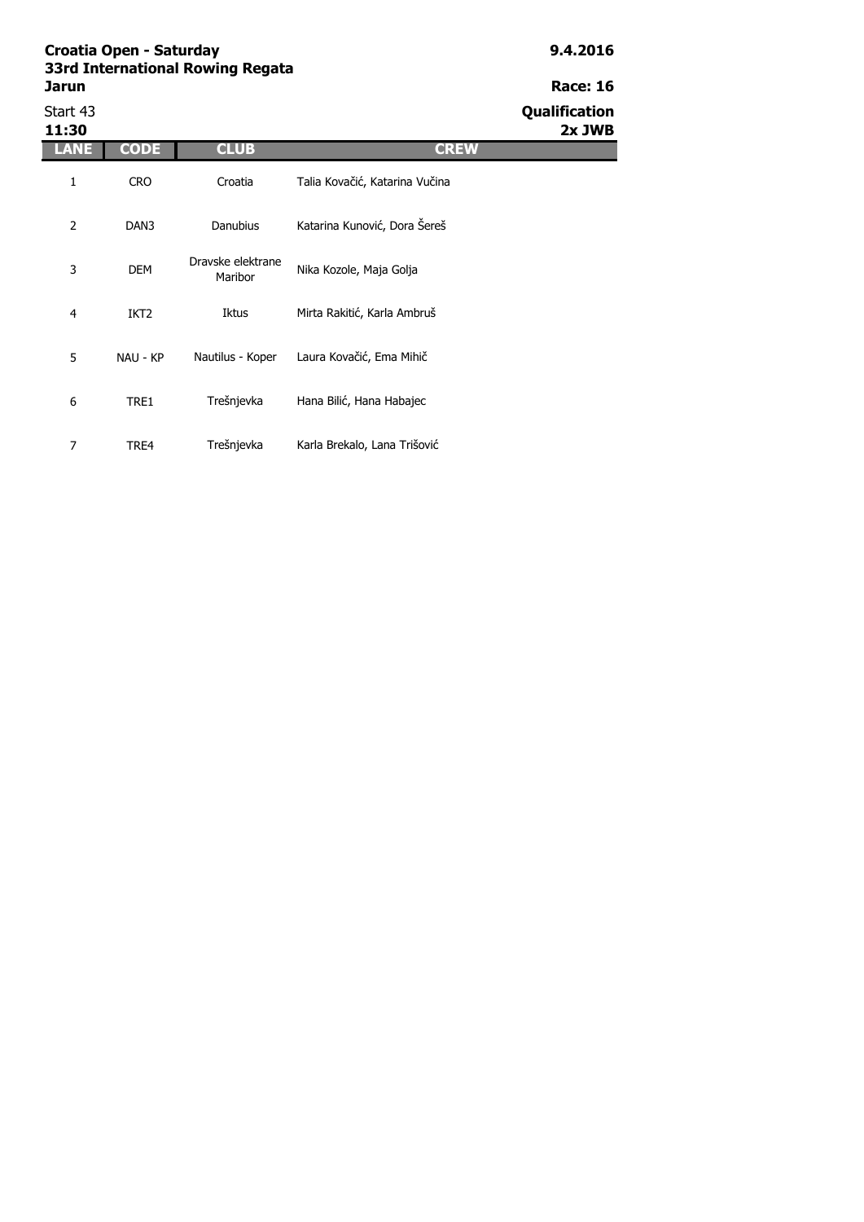# **Race: 16** Start 43<br> **Start 43**<br> **Qualification**<br> **Start 43**<br> **Qualification**

**11:30 2x JWB**

| 11:30 |                  |                              |                                |
|-------|------------------|------------------------------|--------------------------------|
| ANE   | <b>CODE</b>      | <b>CLUB</b>                  | <b>CREW</b>                    |
| 1     | <b>CRO</b>       | Croatia                      | Talia Kovačić, Katarina Vučina |
| 2     | DAN3             | <b>Danubius</b>              | Katarina Kunović, Dora Šereš   |
| 3     | <b>DEM</b>       | Dravske elektrane<br>Maribor | Nika Kozole, Maja Golja        |
| 4     | IKT <sub>2</sub> | Iktus                        | Mirta Rakitić, Karla Ambruš    |
| 5     | NAU - KP         | Nautilus - Koper             | Laura Kovačić, Ema Mihič       |
| 6     | TRE1             | Trešnjevka                   | Hana Bilić, Hana Habajec       |
| 7     | TRE4             | Trešnjevka                   | Karla Brekalo, Lana Trišović   |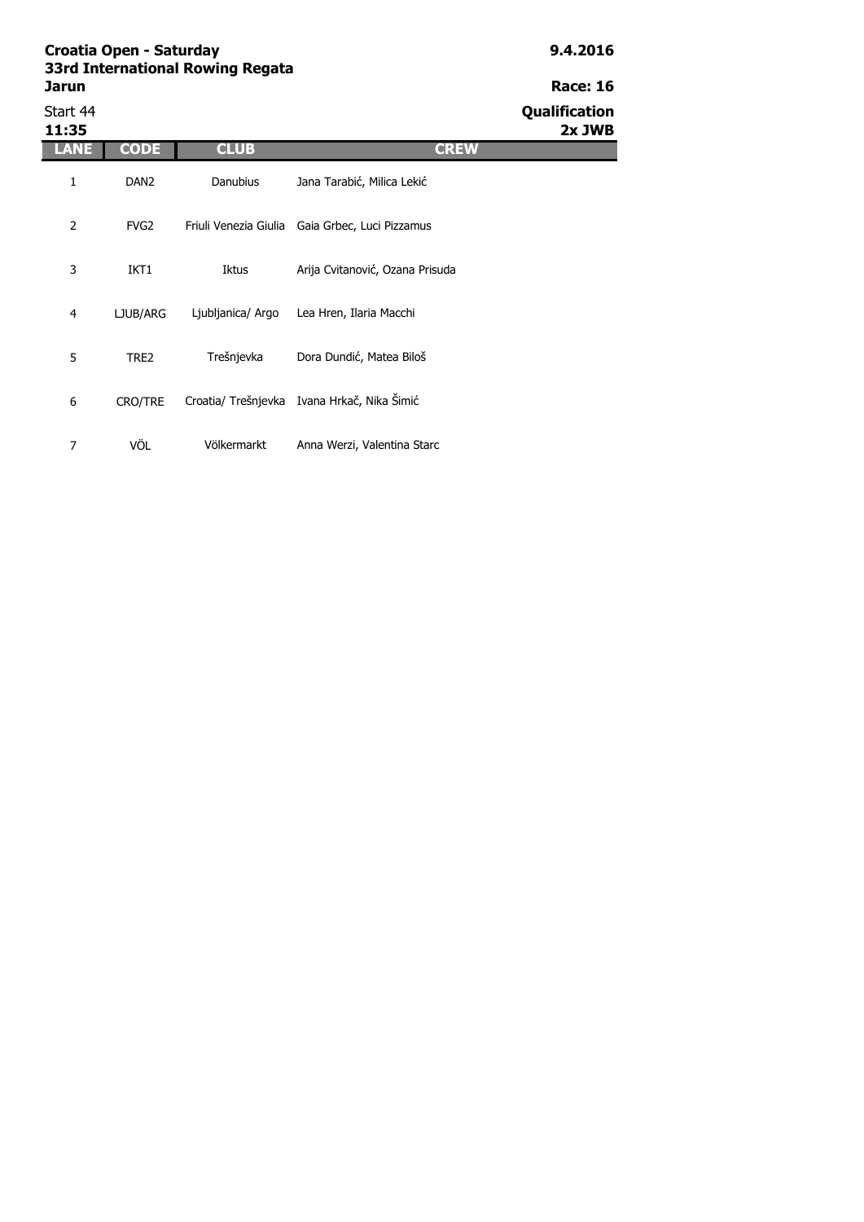| <b>SSRI International Rowling Regata</b> |                      |
|------------------------------------------|----------------------|
| <b>Jarun</b>                             | <b>Race: 16</b>      |
| Start 44                                 | <b>Qualification</b> |
|                                          |                      |

7 VÖL Völkermarkt Anna Werzi, Valentina Starc

Start 44 **Qualification 11:35 2x JWB LANE CODE CLUB CREW** 1 DAN2 2 FVG2 3 IKT1 4 LJUB/ARG 5 TRE2 6 CRO/TRE Ljubljanica/ Argo Lea Hren, Ilaria Macchi Trešnjevka Dora Dundić, Matea Biloš Croatia/ Trešnjevka Ivana Hrkač, Nika Šimić Danubius Jana Tarabić, Milica Lekić Friuli Venezia Giulia Gaia Grbec, Luci Pizzamus Iktus Arija Cvitanović, Ozana Prisuda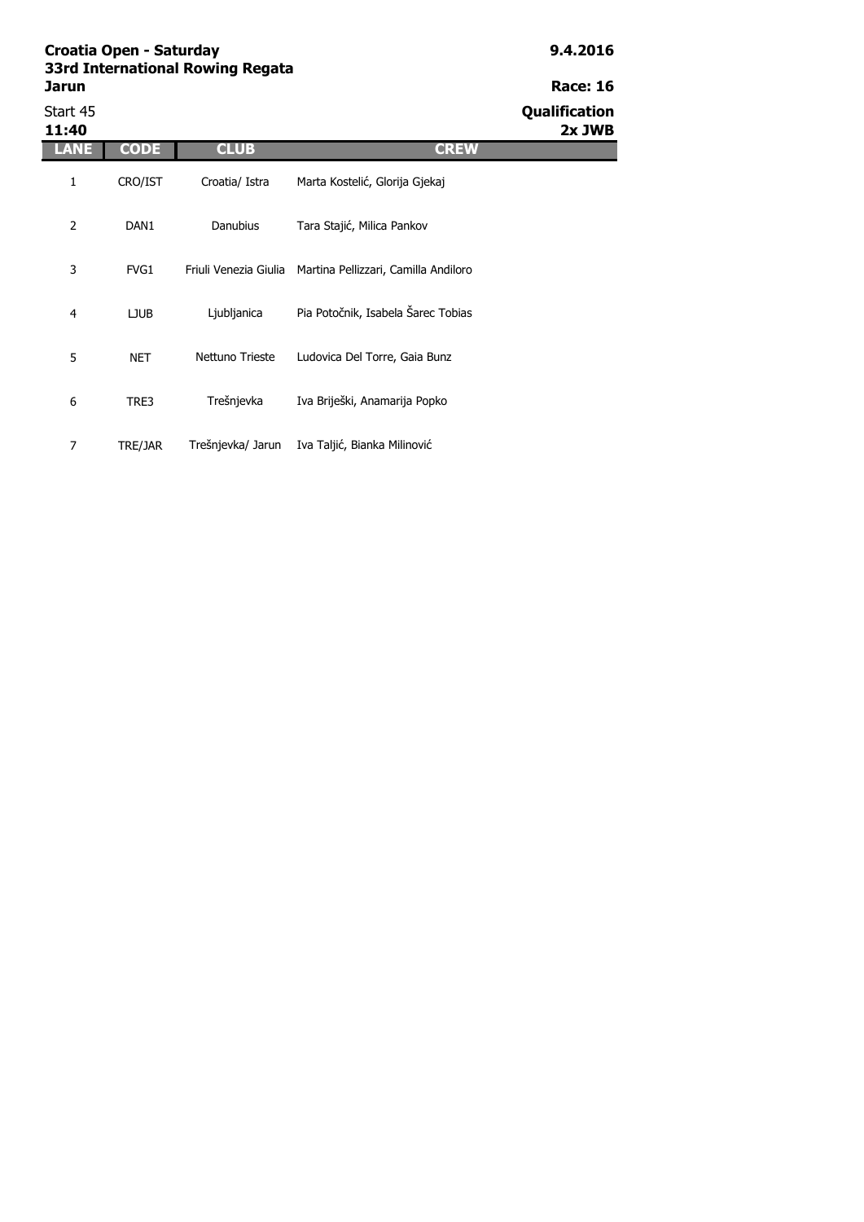| ssra International Rowing Regata |                      |
|----------------------------------|----------------------|
| Jarun                            | <b>Race: 16</b>      |
| Start 45                         | <b>Qualification</b> |

| Start 45<br>11:40 |                  |                   |                                                            | Qualification<br>2x JWB |
|-------------------|------------------|-------------------|------------------------------------------------------------|-------------------------|
| LANE              | <b>CODE</b>      | <b>CLUB</b>       | <b>CREW</b>                                                |                         |
| 1                 | CRO/IST          | Croatia/ Istra    | Marta Kostelić, Glorija Gjekaj                             |                         |
| $\overline{2}$    | DAN <sub>1</sub> | <b>Danubius</b>   | Tara Stajić, Milica Pankov                                 |                         |
| 3                 | FVG1             |                   | Friuli Venezia Giulia Martina Pellizzari, Camilla Andiloro |                         |
| $\overline{4}$    | <b>LJUB</b>      | Ljubljanica       | Pia Potočnik, Isabela Šarec Tobias                         |                         |
| 5                 | <b>NET</b>       | Nettuno Trieste   | Ludovica Del Torre, Gaia Bunz                              |                         |
| 6                 | TRE3             | Trešnjevka        | Iva Briješki, Anamarija Popko                              |                         |
| 7                 | TRE/JAR          | Trešnjevka/ Jarun | Iva Taljić, Bianka Milinović                               |                         |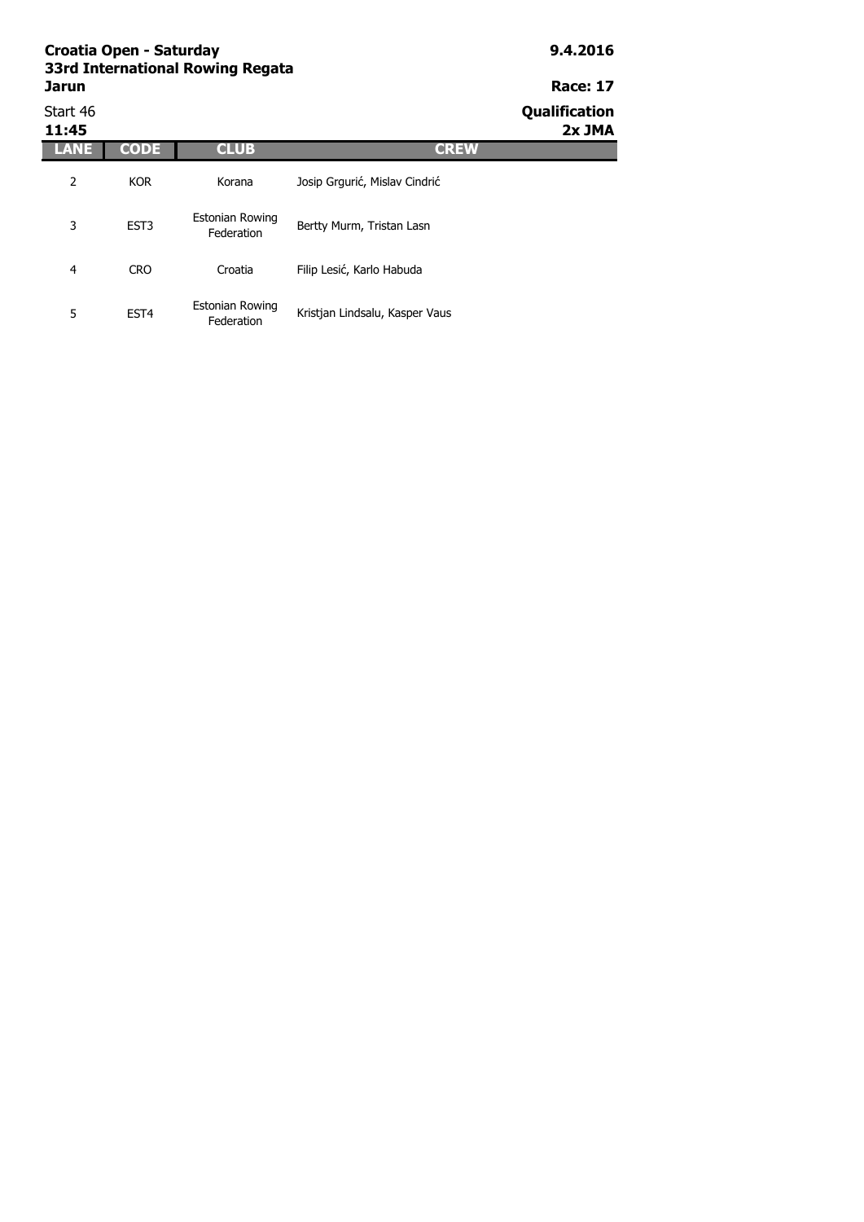#### **Croatia Open - Saturday 9.4.2016 33rd International Rowing Regata Jarun Race: 17** Start 46 **Qualification**

| 11:45 |                  |                                      |                                | 2x JMA |
|-------|------------------|--------------------------------------|--------------------------------|--------|
| ANE   | CODE             | <b>CLUB</b>                          | <b>CREW</b>                    |        |
| 2     | <b>KOR</b>       | Korana                               | Josip Grgurić, Mislav Cindrić  |        |
| 3     | EST <sub>3</sub> | <b>Estonian Rowing</b><br>Federation | Bertty Murm, Tristan Lasn      |        |
| 4     | <b>CRO</b>       | Croatia                              | Filip Lesić, Karlo Habuda      |        |
| 5     | EST <sub>4</sub> | Estonian Rowing<br>Federation        | Kristjan Lindsalu, Kasper Vaus |        |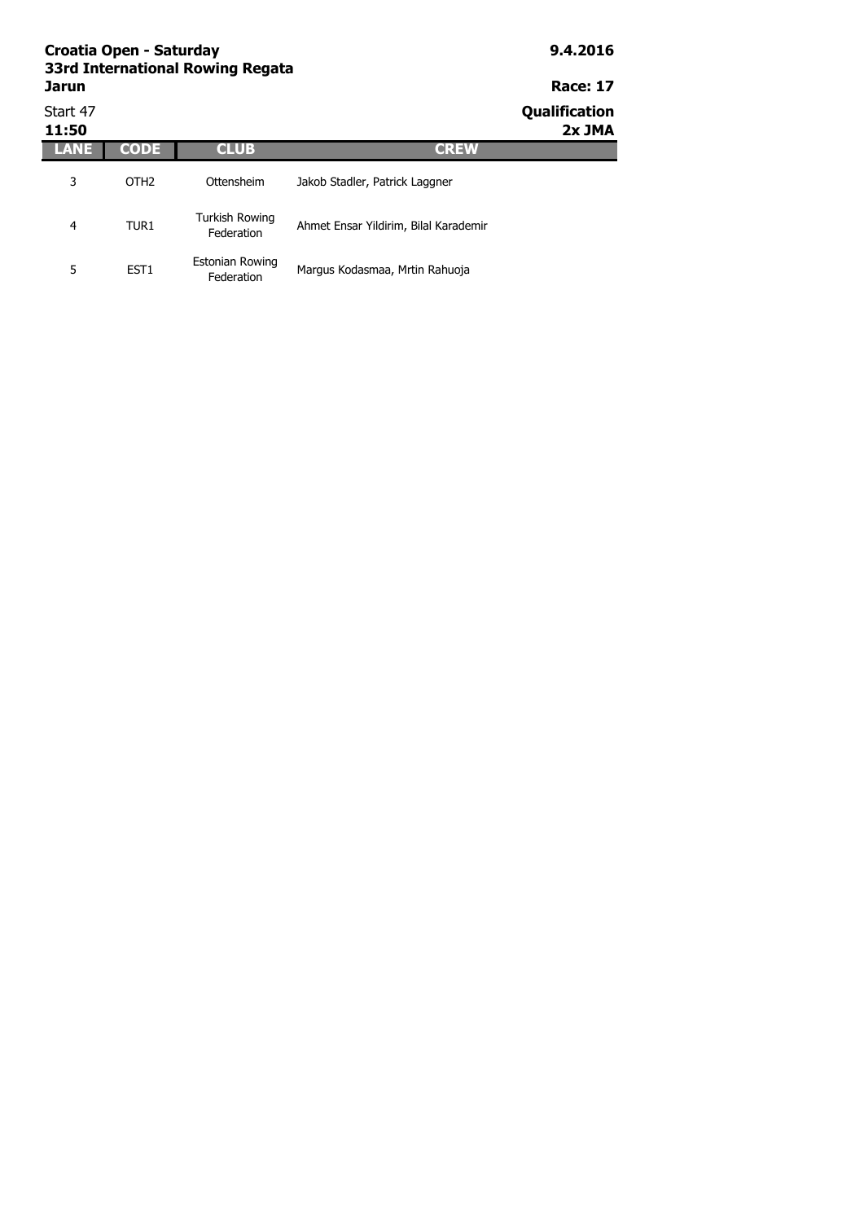| Croatia Open - Saturday<br>33rd International Rowing Regata | 9.4.2016         |                                     |                                       |                                |
|-------------------------------------------------------------|------------------|-------------------------------------|---------------------------------------|--------------------------------|
| <b>Jarun</b>                                                |                  | <b>Race: 17</b>                     |                                       |                                |
| Start 47<br>11:50                                           |                  |                                     |                                       | <b>Qualification</b><br>2x JMA |
| ANE                                                         | <b>CODE</b>      | <b>CLUB</b>                         | <b>CREW</b>                           |                                |
| 3                                                           | OTH <sub>2</sub> | Ottensheim                          | Jakob Stadler, Patrick Laggner        |                                |
| 4                                                           | TUR <sub>1</sub> | <b>Turkish Rowing</b><br>Federation | Ahmet Ensar Yildirim, Bilal Karademir |                                |
| 5                                                           | EST <sub>1</sub> | Estonian Rowing<br>Federation       | Margus Kodasmaa, Mrtin Rahuoja        |                                |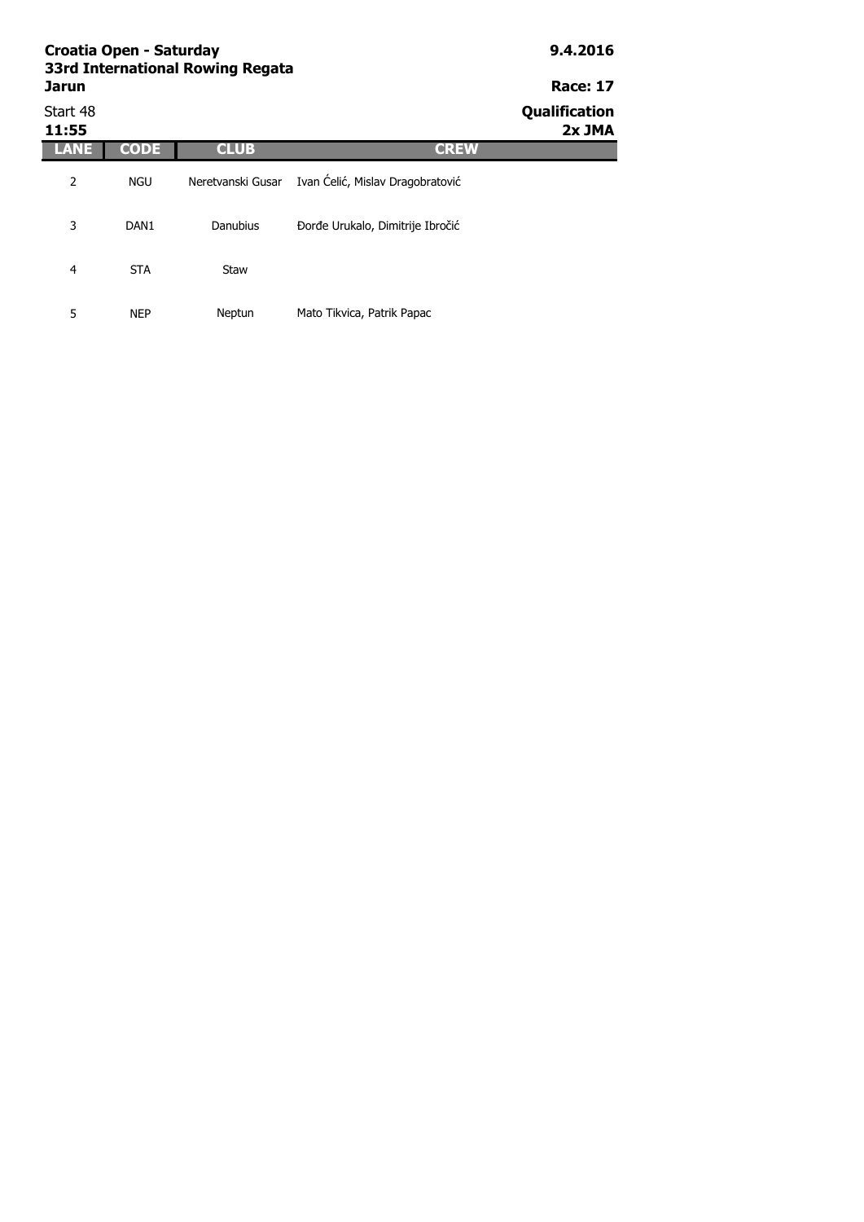| Croatia Open - Saturday<br>33rd International Rowing Regata | 9.4.2016         |                   |                                  |                         |
|-------------------------------------------------------------|------------------|-------------------|----------------------------------|-------------------------|
| <b>Jarun</b>                                                |                  |                   |                                  | <b>Race: 17</b>         |
| Start 48<br>11:55                                           |                  |                   |                                  | Qualification<br>2x JMA |
|                                                             | <b>CODE</b>      | <b>CLUB</b>       | <b>CREW</b>                      |                         |
| 2                                                           | <b>NGU</b>       | Neretvanski Gusar | Ivan Ćelić, Mislav Dragobratović |                         |
| 3                                                           | DAN <sub>1</sub> | Danubius          | Đorđe Urukalo, Dimitrije Ibročić |                         |
| 4                                                           | <b>STA</b>       | Staw              |                                  |                         |
| 5                                                           | NEP              | Neptun            | Mato Tikvica, Patrik Papac       |                         |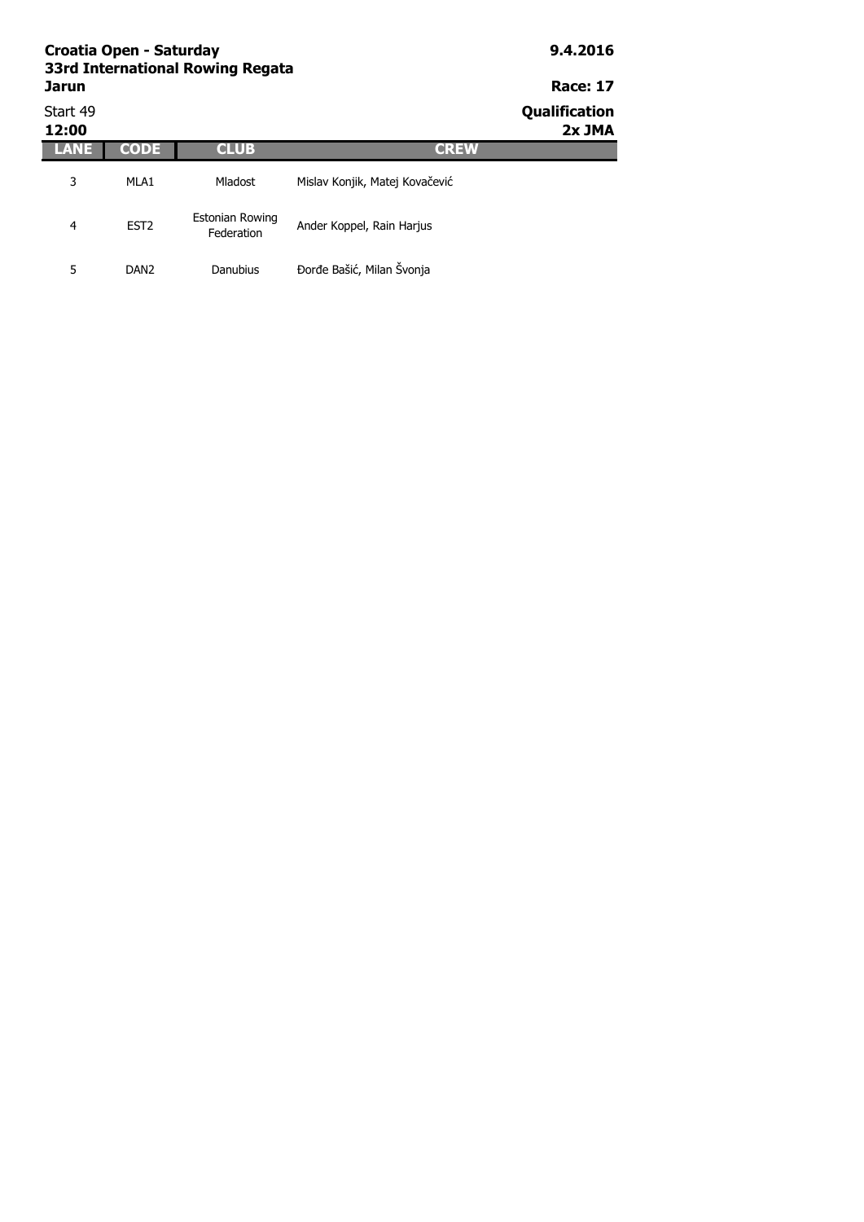| Croatia Open - Saturday<br>33rd International Rowing Regata<br><b>Jarun</b> | 9.4.2016<br><b>Race: 17</b> |                                      |                                |                         |
|-----------------------------------------------------------------------------|-----------------------------|--------------------------------------|--------------------------------|-------------------------|
| Start 49<br>12:00                                                           |                             |                                      |                                | Qualification<br>2x JMA |
| LANE                                                                        | <b>CODE</b>                 | <b>CLUB</b>                          | <b>CREW</b>                    |                         |
| 3                                                                           | MLA1                        | <b>Mladost</b>                       | Mislav Konjik, Matej Kovačević |                         |
| 4                                                                           | EST <sub>2</sub>            | <b>Estonian Rowing</b><br>Federation | Ander Koppel, Rain Harjus      |                         |
| 5                                                                           | DAN <sub>2</sub>            | Danubius                             | Đorđe Bašić, Milan Švonja      |                         |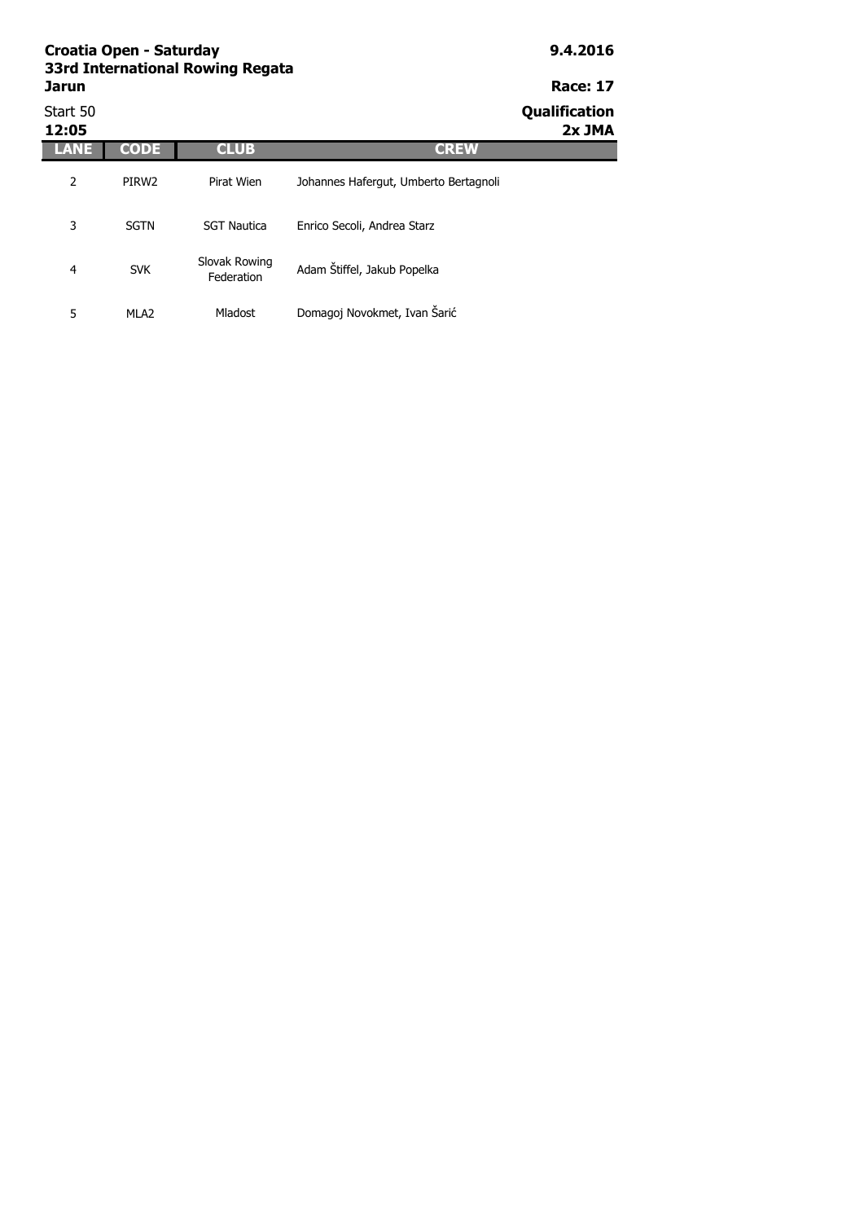| Croatia Open - Saturday<br>33rd International Rowing Regata | 9.4.2016          |                             |                                       |                         |
|-------------------------------------------------------------|-------------------|-----------------------------|---------------------------------------|-------------------------|
| <b>Jarun</b>                                                |                   |                             |                                       | <b>Race: 17</b>         |
| Start 50<br>12:05                                           |                   |                             |                                       | Qualification<br>2x JMA |
|                                                             | <b>CODE</b>       | <b>CLUB</b>                 | <b>CREW</b>                           |                         |
| 2                                                           | PIRW <sub>2</sub> | Pirat Wien                  | Johannes Hafergut, Umberto Bertagnoli |                         |
| 3                                                           | <b>SGTN</b>       | <b>SGT Nautica</b>          | Enrico Secoli, Andrea Starz           |                         |
| 4                                                           | <b>SVK</b>        | Slovak Rowing<br>Federation | Adam Štiffel, Jakub Popelka           |                         |

5 MLA2 Mladost Domagoj Novokmet, Ivan Šarić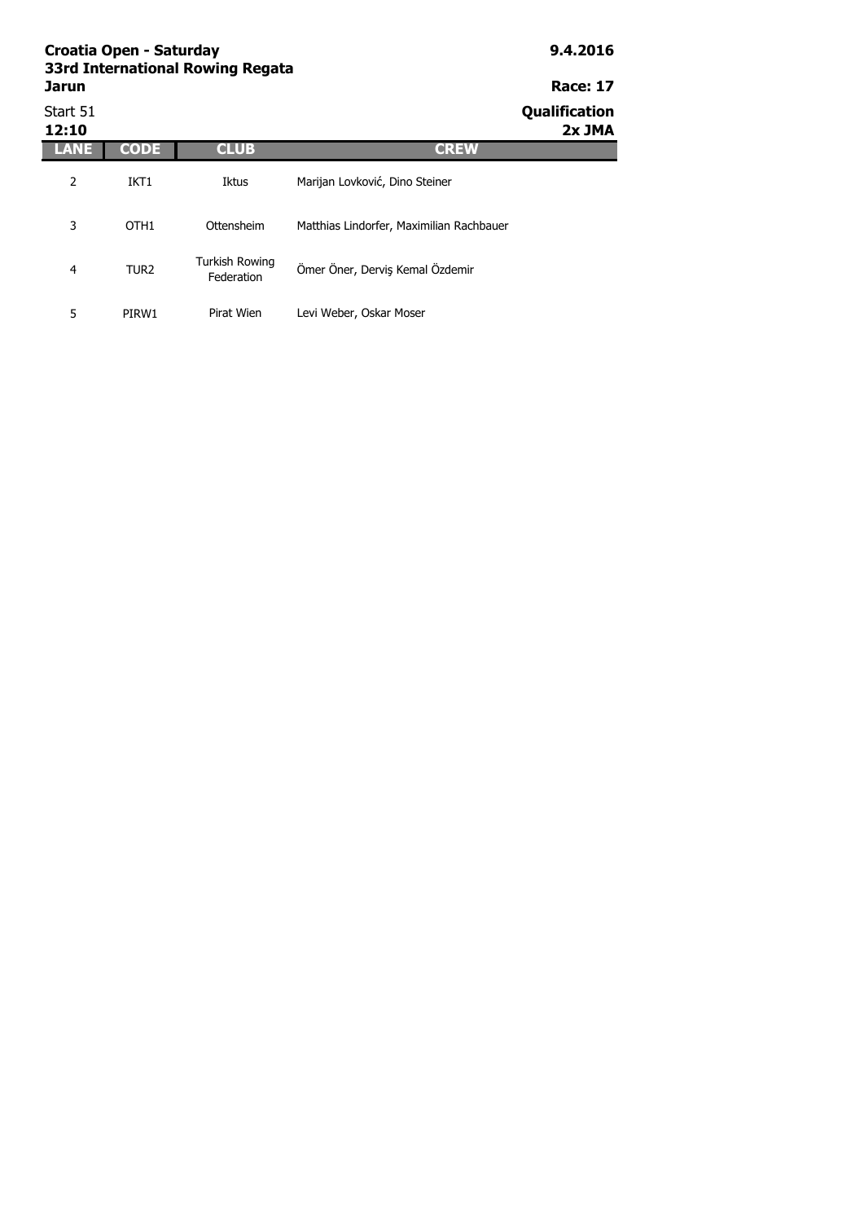| Croatia Open - Saturday<br>33rd International Rowing Regata | 9.4.2016         |                                     |                                          |                         |
|-------------------------------------------------------------|------------------|-------------------------------------|------------------------------------------|-------------------------|
| Jarun                                                       |                  |                                     |                                          | <b>Race: 17</b>         |
| Start 51<br>12:10                                           |                  |                                     |                                          | Qualification<br>2x JMA |
| LANE                                                        | CODE             | <b>CLUB</b>                         | <b>CREW</b>                              |                         |
| 2                                                           | IKT <sub>1</sub> | Iktus                               | Marijan Lovković, Dino Steiner           |                         |
| 3                                                           | OTH <sub>1</sub> | Ottensheim                          | Matthias Lindorfer, Maximilian Rachbauer |                         |
| $\overline{4}$                                              | TUR <sub>2</sub> | <b>Turkish Rowing</b><br>Federation | Ömer Öner, Derviş Kemal Özdemir          |                         |

5 PIRW1 Pirat Wien Levi Weber, Oskar Moser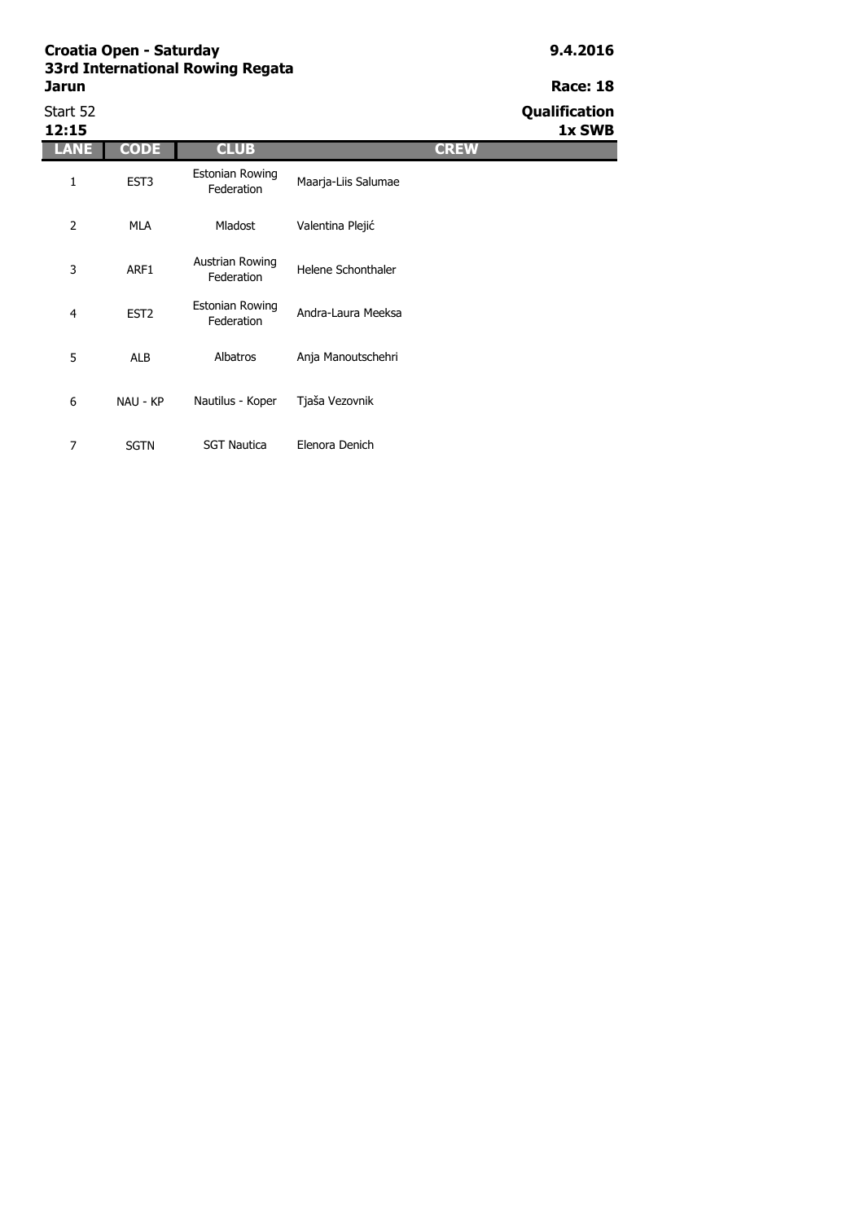# Start 52 **Qualification**

**12:15 1x SWB**

| 12:15 |                  |                               |                     |             |
|-------|------------------|-------------------------------|---------------------|-------------|
| LANE  | <b>CODE</b>      | <b>CLUB</b>                   |                     | <b>CREW</b> |
| 1     | EST <sub>3</sub> | Estonian Rowing<br>Federation | Maarja-Liis Salumae |             |
| 2     | <b>MLA</b>       | <b>Mladost</b>                | Valentina Plejić    |             |
| 3     | ARF1             | Austrian Rowing<br>Federation | Helene Schonthaler  |             |
| 4     | EST <sub>2</sub> | Estonian Rowing<br>Federation | Andra-Laura Meeksa  |             |
| 5     | <b>ALB</b>       | Albatros                      | Anja Manoutschehri  |             |
| 6     | NAU - KP         | Nautilus - Koper              | Tjaša Vezovnik      |             |
| 7     | <b>SGTN</b>      | <b>SGT Nautica</b>            | Elenora Denich      |             |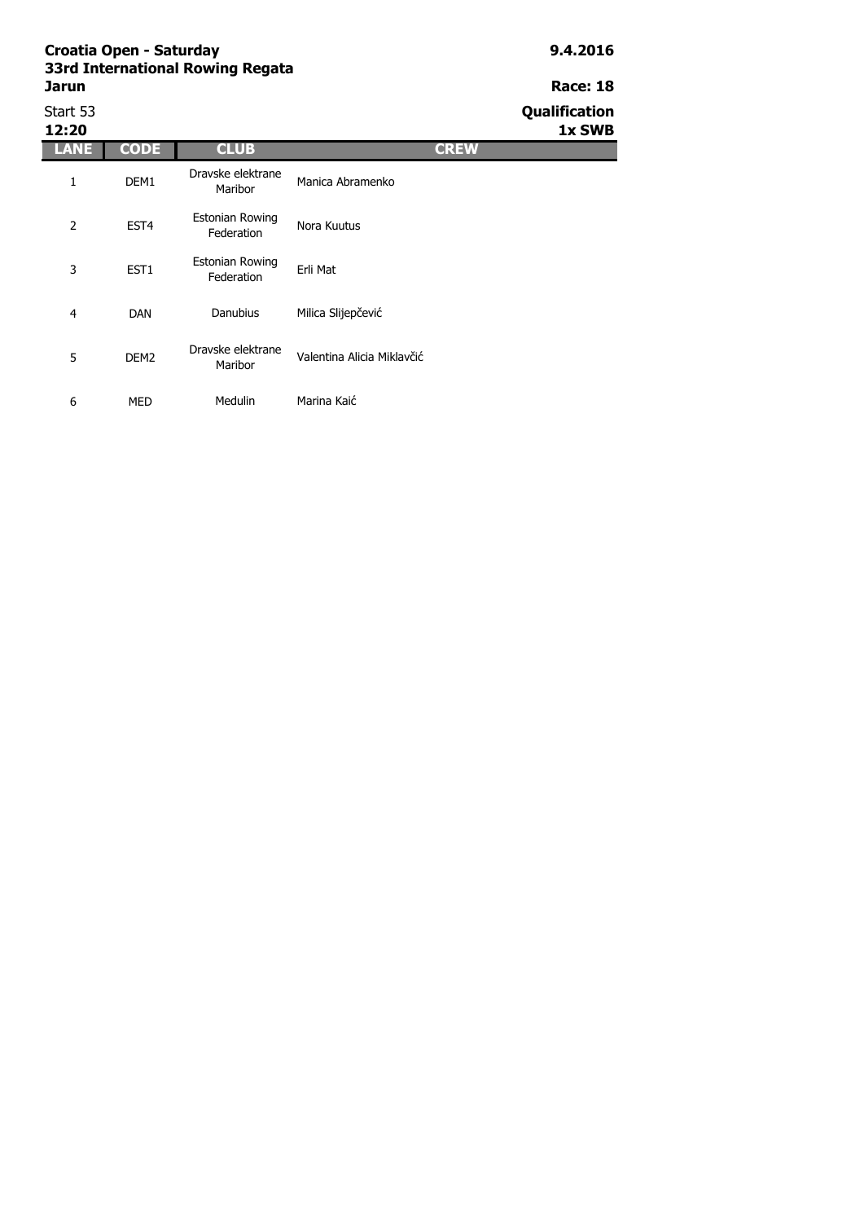## Start 53 **Qualification**

**12:20 1x SWB**

| 12:20 |                  |                                      |                            |
|-------|------------------|--------------------------------------|----------------------------|
| ANE   | <b>CODE</b>      | <b>CLUB</b>                          | <b>CREW</b>                |
| 1     | DEM1             | Dravske elektrane<br>Maribor         | Manica Abramenko           |
| 2     | EST <sub>4</sub> | <b>Estonian Rowing</b><br>Federation | Nora Kuutus                |
| 3     | EST <sub>1</sub> | <b>Estonian Rowing</b><br>Federation | Erli Mat                   |
| 4     | <b>DAN</b>       | Danubius                             | Milica Slijepčević         |
| 5     | DEM <sub>2</sub> | Dravske elektrane<br>Maribor         | Valentina Alicia Miklavčić |
| 6     | MED              | Medulin                              | Marina Kaić                |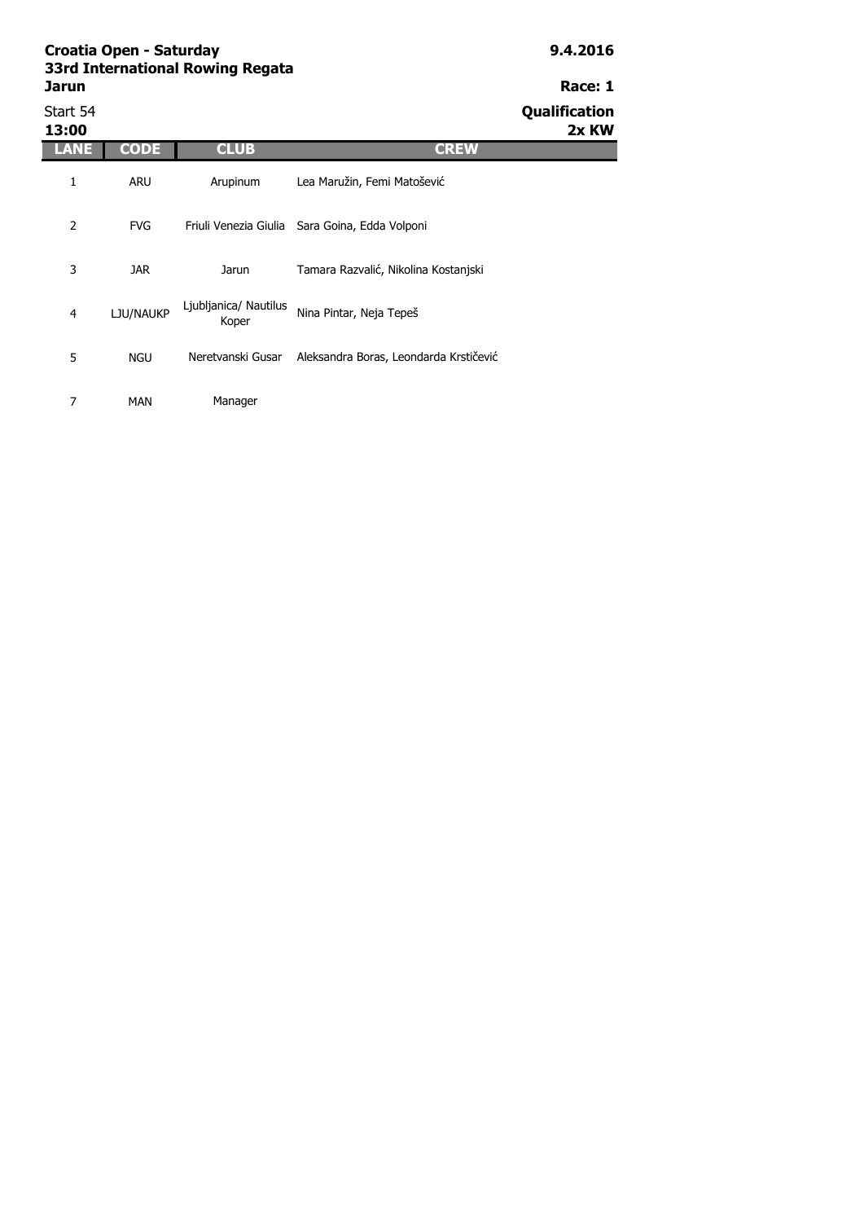| 33rd International Rowing Regata |         |
|----------------------------------|---------|
| Jarun                            | Race: 1 |
| - - - -                          |         |

| Start 54<br>13:00 |             |                                |                                        | Qualification<br>2x KW |
|-------------------|-------------|--------------------------------|----------------------------------------|------------------------|
| ANE               | <b>CODE</b> | <b>CLUB</b>                    | <b>CREW</b>                            |                        |
| 1                 | <b>ARU</b>  | Arupinum                       | Lea Maružin, Femi Matošević            |                        |
| 2                 | <b>FVG</b>  | Friuli Venezia Giulia          | Sara Goina, Edda Volponi               |                        |
| 3                 | JAR.        | Jarun                          | Tamara Razvalić, Nikolina Kostanjski   |                        |
| $\overline{4}$    | LJU/NAUKP   | Ljubljanica/ Nautilus<br>Koper | Nina Pintar, Neja Tepeš                |                        |
| 5                 | <b>NGU</b>  | Neretvanski Gusar              | Aleksandra Boras, Leondarda Krstičević |                        |
|                   |             |                                |                                        |                        |

7 MAN Manager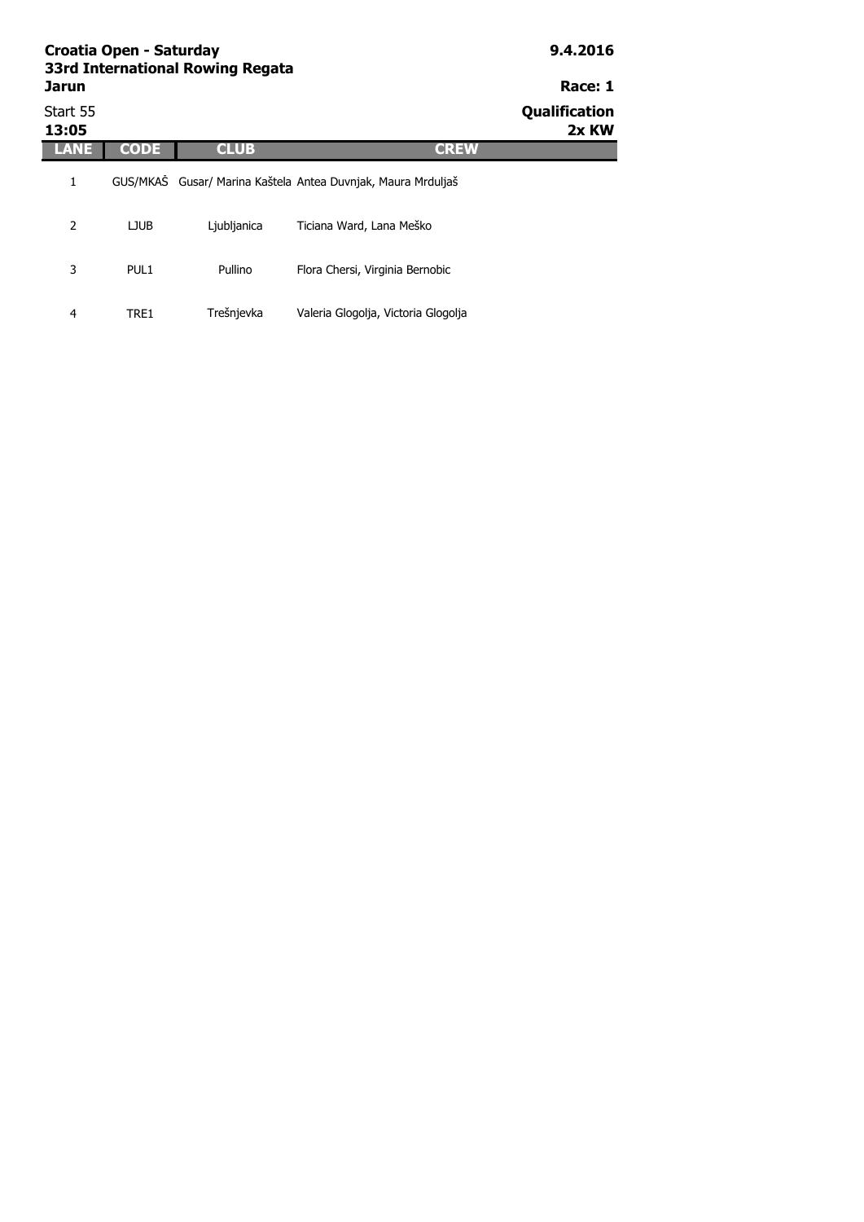| <b>Jarun</b>      | Croatia Open - Saturday | 33rd International Rowing Regata |                                                              | 9.4.2016<br>Race: 1    |
|-------------------|-------------------------|----------------------------------|--------------------------------------------------------------|------------------------|
| Start 55<br>13:05 |                         |                                  |                                                              | Qualification<br>2x KW |
| LANE              | <b>CODE</b>             | <b>CLUB</b>                      | <b>CREW</b>                                                  |                        |
| 1                 |                         |                                  | GUS/MKAS Gusar/ Marina Kaštela Antea Duvnjak, Maura Mrduljaš |                        |
| 2                 | <b>LJUB</b>             | Ljubljanica                      | Ticiana Ward, Lana Meško                                     |                        |

Pullino Flora Chersi, Virginia Bernobic

4 TRE1 Trešnjevka Valeria Glogolja, Victoria Glogolja

3 PUL1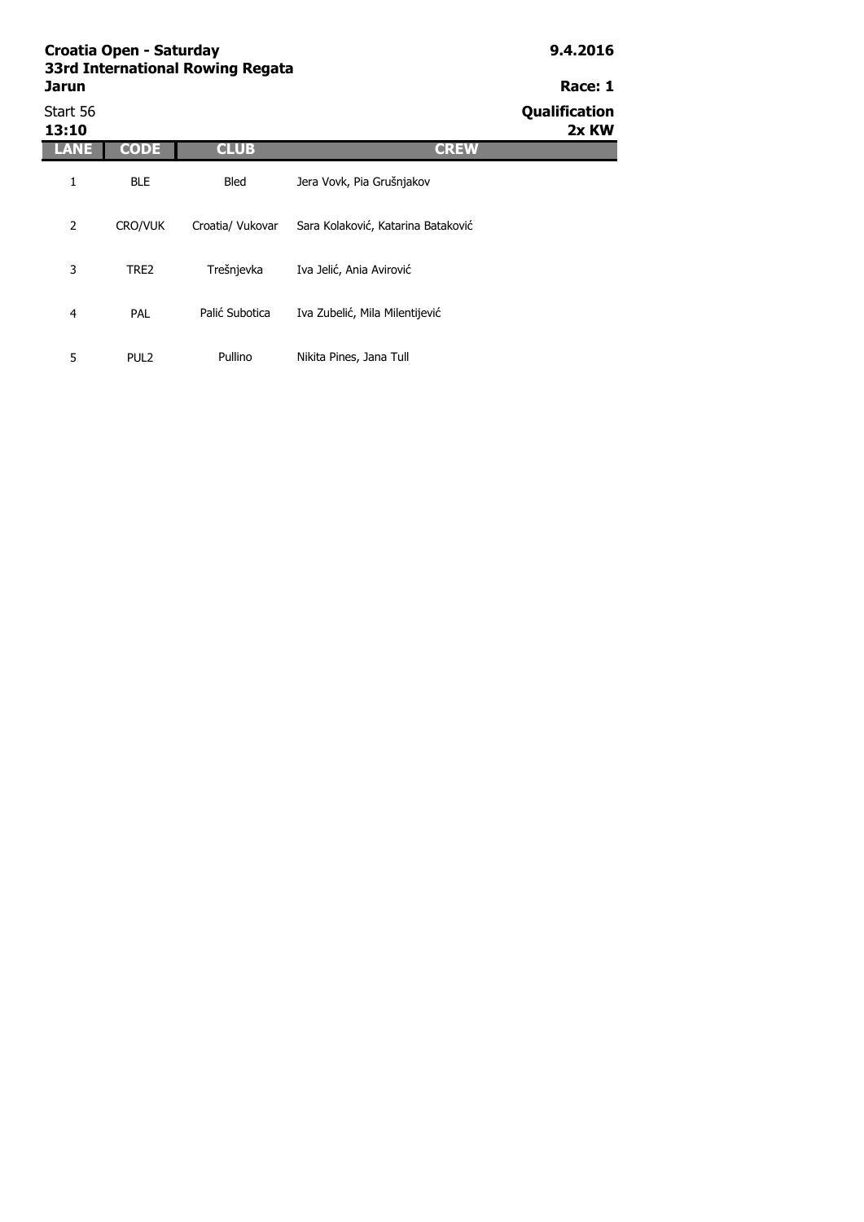## **Jarun Race: 1** Start 56 **Qualification**

| 13:10 |                  |                  |                                    | www.com<br>2x KW |
|-------|------------------|------------------|------------------------------------|------------------|
| LANE  | <b>CODE</b>      | <b>CLUB</b>      | <b>CREW</b>                        |                  |
| 1     | <b>BLE</b>       | <b>Bled</b>      | Jera Vovk, Pia Grušnjakov          |                  |
| 2     | <b>CRO/VUK</b>   | Croatia/ Vukovar | Sara Kolaković, Katarina Bataković |                  |
| 3     | TRE2             | Trešnjevka       | Iva Jelić, Ania Avirović           |                  |
| 4     | <b>PAL</b>       | Palić Subotica   | Iva Zubelić, Mila Milentijević     |                  |
| 5     | PUL <sub>2</sub> | Pullino          | Nikita Pines, Jana Tull            |                  |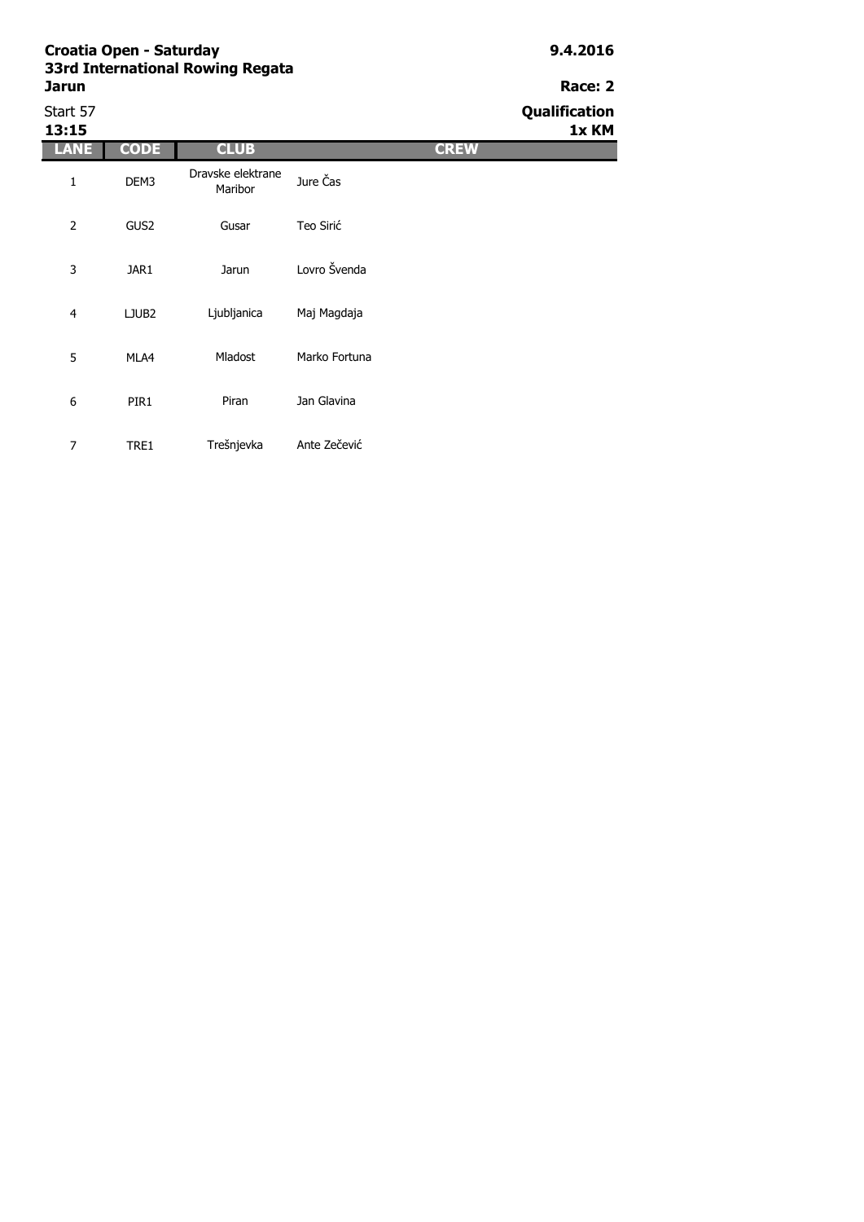| Start 57<br>13:15 |                   |                              |               | Qualification<br>1x KM |
|-------------------|-------------------|------------------------------|---------------|------------------------|
| LANE              | <b>CODE</b>       | <b>CLUB</b>                  | <b>CREW</b>   |                        |
| 1                 | DEM3              | Dravske elektrane<br>Maribor | Jure Čas      |                        |
| 2                 | GUS <sub>2</sub>  | Gusar                        | Teo Sirić     |                        |
| 3                 | JAR1              | Jarun                        | Lovro Švenda  |                        |
| $\overline{4}$    | LJUB <sub>2</sub> | Ljubljanica                  | Maj Magdaja   |                        |
| 5                 | MLA4              | Mladost                      | Marko Fortuna |                        |
| 6                 | PIR1              | Piran                        | Jan Glavina   |                        |
| $\overline{7}$    | TRE1              | Trešnjevka                   | Ante Zečević  |                        |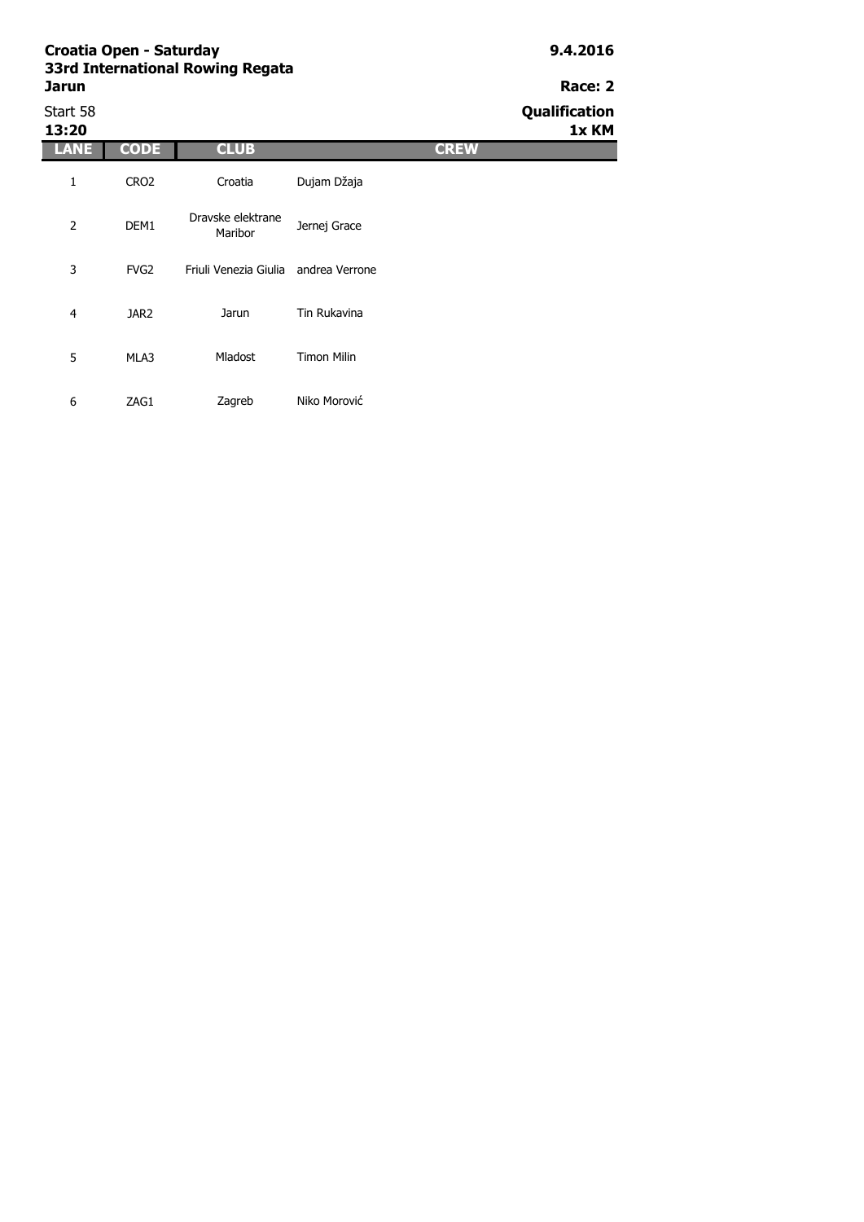### **Croatia Open - Saturday 9.4.2016 33r Jarun Race: 2**

| d International Rowing Regata <sup>.</sup> |  |  |
|--------------------------------------------|--|--|
| un                                         |  |  |
|                                            |  |  |

Start 58 **Qualification 13:20 1x KM LANE CODE CLUB CREW** 1 CRO2 2 DEM1 3 FVG2 4 JAR2 5 MLA3 6 ZAG1 Jarun Tin Rukavina Mladost Timon Milin Zagreb Niko Morović Croatia Dujam Džaja Dravske elektrane Jernej Grace Friuli Venezia Giulia andrea Verrone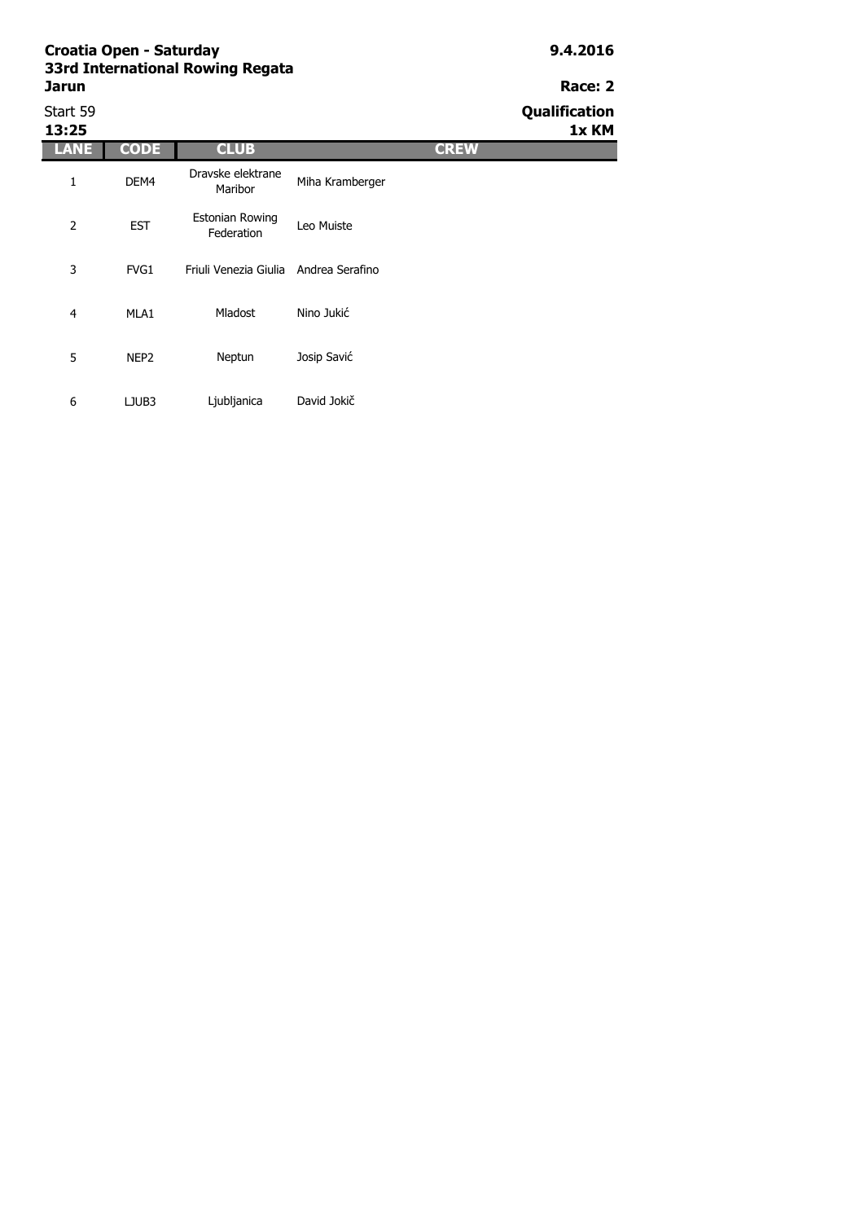| Start 59<br>13:25 |                  |                                       |                 |             | Qualification<br>1x KM |
|-------------------|------------------|---------------------------------------|-----------------|-------------|------------------------|
| LANE              | <b>CODE</b>      | <b>CLUB</b>                           |                 | <b>CREW</b> |                        |
| 1                 | DEM4             | Dravske elektrane<br>Maribor          | Miha Kramberger |             |                        |
| $\overline{2}$    | <b>EST</b>       | Estonian Rowing<br>Federation         | Leo Muiste      |             |                        |
| 3                 | FVG1             | Friuli Venezia Giulia Andrea Serafino |                 |             |                        |
| $\overline{4}$    | MLA1             | <b>Mladost</b>                        | Nino Jukić      |             |                        |
| 5                 | NEP <sub>2</sub> | Neptun                                | Josip Savić     |             |                        |
| 6                 | LJUB3            | Ljubljanica                           | David Jokič     |             |                        |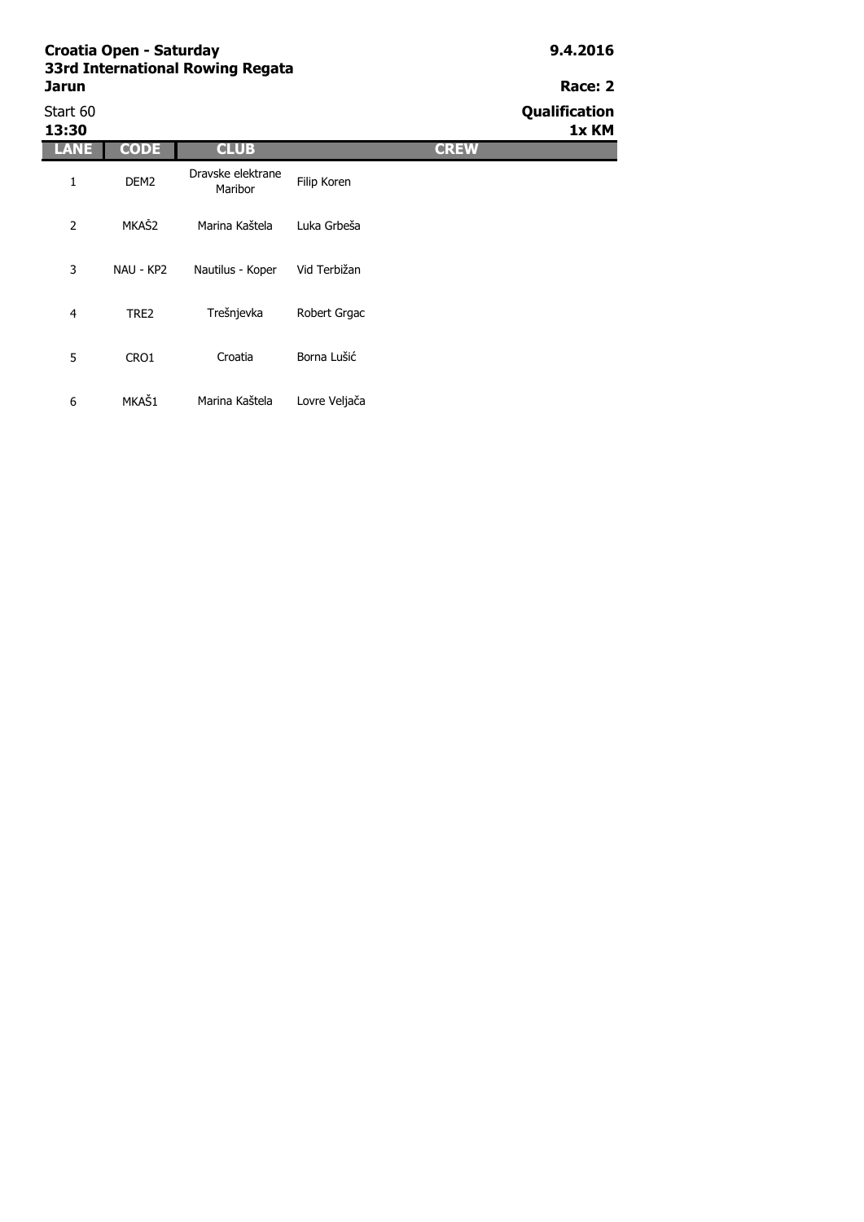| Start 60<br>13:30 |                  |                              |               |             | Qualification<br>1x KM |
|-------------------|------------------|------------------------------|---------------|-------------|------------------------|
| <b>LANE</b>       | <b>CODE</b>      | <b>CLUB</b>                  |               | <b>CREW</b> |                        |
| 1                 | DEM <sub>2</sub> | Dravske elektrane<br>Maribor | Filip Koren   |             |                        |
| $\overline{2}$    | MKAŠ2            | Marina Kaštela               | Luka Grbeša   |             |                        |
| 3                 | NAU - KP2        | Nautilus - Koper             | Vid Terbižan  |             |                        |
| $\overline{4}$    | TRE2             | Trešnjevka                   | Robert Grgac  |             |                        |
| 5                 | CRO1             | Croatia                      | Borna Lušić   |             |                        |
| 6                 | MKAŠ1            | Marina Kaštela               | Lovre Veljača |             |                        |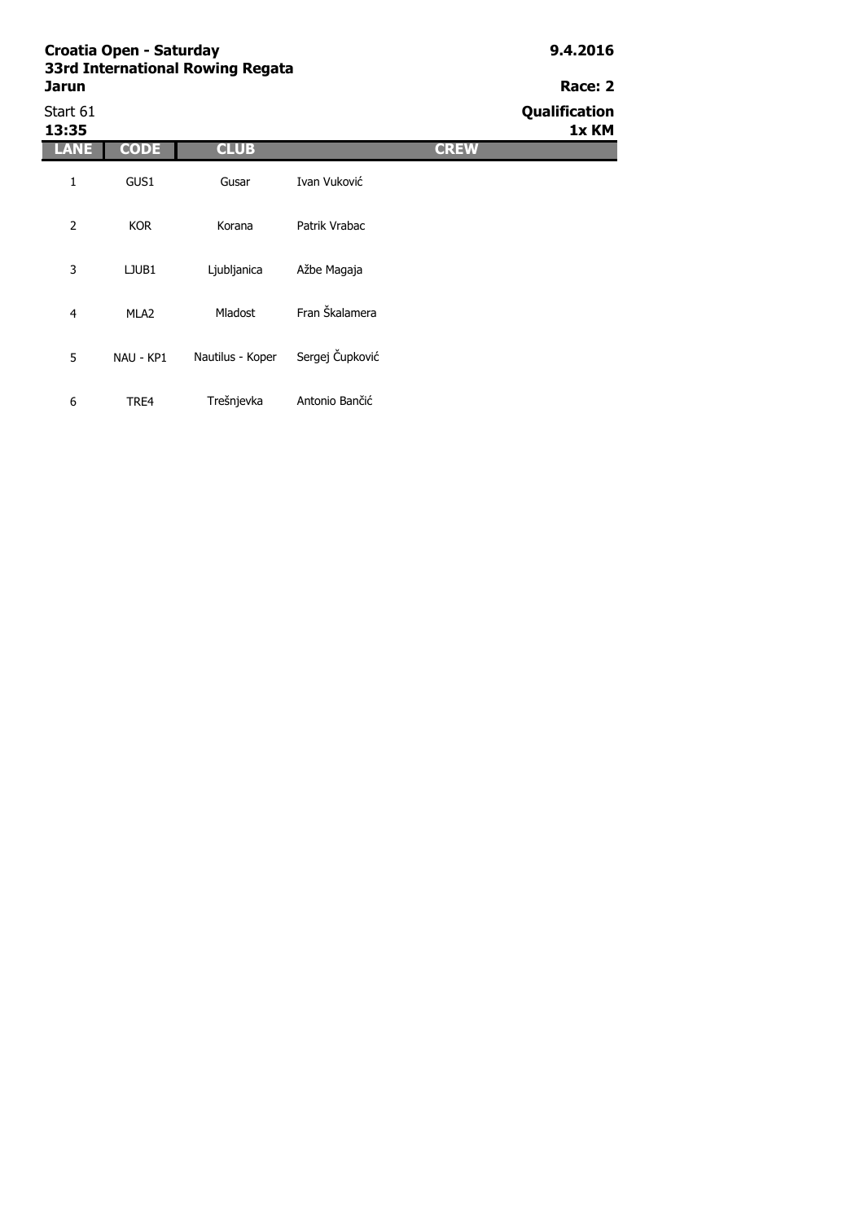| 33rd International Rowing Regata |         |
|----------------------------------|---------|
| Jarun                            | Race: 2 |
|                                  |         |

6 TRE4 Trešnjevka Antonio Bančić

| Start 61<br>13:35 |                  |                  |                 | Qualification<br>1x KM |
|-------------------|------------------|------------------|-----------------|------------------------|
| LANE              | <b>CODE</b>      | <b>CLUB</b>      |                 | <b>CREW</b>            |
| $\mathbf{1}$      | GUS1             | Gusar            | Ivan Vuković    |                        |
| $\overline{2}$    | <b>KOR</b>       | Korana           | Patrik Vrabac   |                        |
| 3                 | LJUB1            | Ljubljanica      | Ažbe Magaja     |                        |
| 4                 | MLA <sub>2</sub> | Mladost          | Fran Škalamera  |                        |
| 5                 | NAU - KP1        | Nautilus - Koper | Sergej Čupković |                        |
|                   |                  |                  |                 |                        |